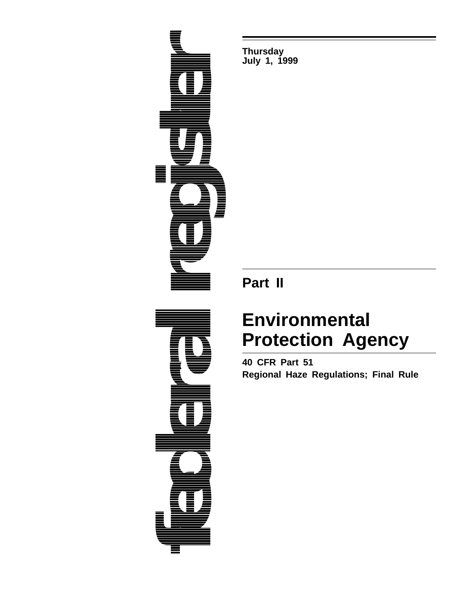

**Thursday July 1, 1999**

## **Part II**

# **Environmental Protection Agency**

**40 CFR Part 51 Regional Haze Regulations; Final Rule**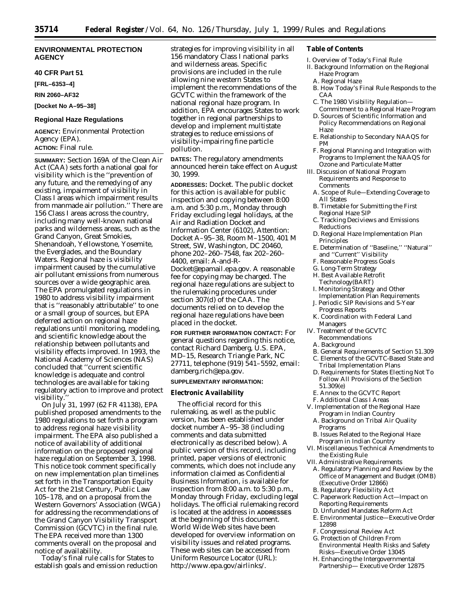## **ENVIRONMENTAL PROTECTION AGENCY**

#### **40 CFR Part 51**

**[FRL–6353–4]**

## **RIN 2060–AF32**

**[Docket No A–95–38]**

#### **Regional Haze Regulations**

**AGENCY:** Environmental Protection Agency (EPA). **ACTION:** Final rule.

**SUMMARY:** Section 169A of the Clean Air Act (CAA) sets forth a national goal for visibility which is the ''prevention of any future, and the remedying of any existing, impairment of visibility in Class I areas which impairment results from manmade air pollution.'' There are 156 Class I areas across the country, including many well-known national parks and wilderness areas, such as the Grand Canyon, Great Smokies, Shenandoah, Yellowstone, Yosemite, the Everglades, and the Boundary Waters. Regional haze is visibility impairment caused by the cumulative air pollutant emissions from numerous sources over a wide geographic area. The EPA promulgated regulations in 1980 to address visibility impairment that is ''reasonably attributable'' to one or a small group of sources, but EPA deferred action on regional haze regulations until monitoring, modeling, and scientific knowledge about the relationship between pollutants and visibility effects improved. In 1993, the National Academy of Sciences (NAS) concluded that ''current scientific knowledge is adequate and control technologies are available for taking regulatory action to improve and protect visibility.

On July 31, 1997 (62 FR 41138), EPA published proposed amendments to the 1980 regulations to set forth a program to address regional haze visibility impairment. The EPA also published a notice of availability of additional information on the proposed regional haze regulation on September 3, 1998. This notice took comment specifically on new implementation plan timelines set forth in the Transportation Equity Act for the 21st Century, Public Law 105–178, and on a proposal from the Western Governors' Association (WGA) for addressing the recommendations of the Grand Canyon Visibility Transport Commission (GCVTC) in the final rule. The EPA received more than 1300 comments overall on the proposal and notice of availability.

Today's final rule calls for States to establish goals and emission reduction strategies for improving visibility in all 156 mandatory Class I national parks and wilderness areas. Specific provisions are included in the rule allowing nine western States to implement the recommendations of the GCVTC within the framework of the national regional haze program. In addition, EPA encourages States to work together in regional partnerships to develop and implement multistate strategies to reduce emissions of visibility-impairing fine particle pollution.

**DATES:** The regulatory amendments announced herein take effect on August 30, 1999.

**ADDRESSES:** *Docket.* The public docket for this action is available for public inspection and copying between 8:00 a.m. and 5:30 p.m., Monday through Friday excluding legal holidays, at the Air and Radiation Docket and Information Center (6102), Attention: Docket A–95–38, Room M–1500, 401 M Street, SW, Washington, DC 20460, phone 202–260–7548, fax 202–260– 4400, email: A-and-R-Docket@epamail.epa.gov. A reasonable

fee for copying may be charged. The regional haze regulations are subject to the rulemaking procedures under section 307(d) of the CAA. The documents relied on to develop the regional haze regulations have been placed in the docket.

**FOR FURTHER INFORMATION CONTACT:** For general questions regarding this notice, contact Richard Damberg, U.S. EPA, MD–15, Research Triangle Park, NC 27711, telephone (919) 541–5592, email: damberg.rich@epa.gov.

## **SUPPLEMENTARY INFORMATION:**

#### **Electronic Availability**

The official record for this rulemaking, as well as the public version, has been established under docket number A–95–38 (including comments and data submitted electronically as described below). A public version of this record, including printed, paper versions of electronic comments, which does not include any information claimed as Confidential Business Information, is available for inspection from 8:00 a.m. to 5:30 p.m., Monday through Friday, excluding legal holidays. The official rulemaking record is located at the address in **ADDRESSES** at the beginning of this document. World Wide Web sites have been developed for overview information on visibility issues and related programs. These web sites can be accessed from Uniform Resource Locator (URL): http://www.epa.gov/airlinks/.

#### **Table of Contents**

- I. Overview of Today's Final Rule
- II. Background Information on the Regional Haze Program
	- A. Regional Haze
	- B. How Today's Final Rule Responds to the CAA
	- C. The 1980 Visibility Regulation—
	- Commitment to a Regional Haze Program D. Sources of Scientific Information and Policy Recommendations on Regional Haze
	- E. Relationship to Secondary NAAQS for PM
	- F. Regional Planning and Integration with Programs to Implement the NAAQS for Ozone and Particulate Matter
- III. Discussion of National Program Requirements and Response to Comments
	- A. Scope of Rule—Extending Coverage to All States
	- B. Timetable for Submitting the First Regional Haze SIP
	- C. Tracking Deciviews and Emissions **Reductions**
	- D. Regional Haze Implementation Plan Principles
	- E. Determination of ''Baseline,'' ''Natural'' and ''Current'' Visibility
	- F. Reasonable Progress Goals
	- G. Long-Term Strategy
	- H. Best Available Retrofit
- Technology(BART) I. Monitoring Strategy and Other Implementation Plan Requirements
- J. Periodic SIP Revisions and 5-Year Progress Reports
- K. Coordination with Federal Land Managers
- IV. Treatment of the GCVTC Recommendations
	- A. Background
	- B. General Requirements of Section 51.309
- C. Elements of the GCVTC-Based State and Tribal Implementation Plans
- D. Requirements for States Electing Not To Follow All Provisions of the Section 51.309(e)
- E. Annex to the GCVTC Report
- F. Additional Class I Areas
- V. Implementation of the Regional Haze Program in Indian Country
	- A. Background on Tribal Air Quality Programs
	- B. Issues Related to the Regional Haze Program in Indian Country
- VI. Miscellaneous Technical Amendments to the Existing Rule
- VII. Administrative Requirements
- A. Regulatory Planning and Review by the Office of Management and Budget (OMB) (Executive Order 12866)
- B. Regulatory Flexibility Act
- C. Paperwork Reduction Act—Impact on Reporting Requirements
- D. Unfunded Mandates Reform Act
- E. Environmental Justice—Executive Order 12898
- F. Congressional Review Act
- G. Protection of Children From Environmental Health Risks and Safety Risks—Executive Order 13045
- H. Enhancing the Intergovernmental Partnership— Executive Order 12875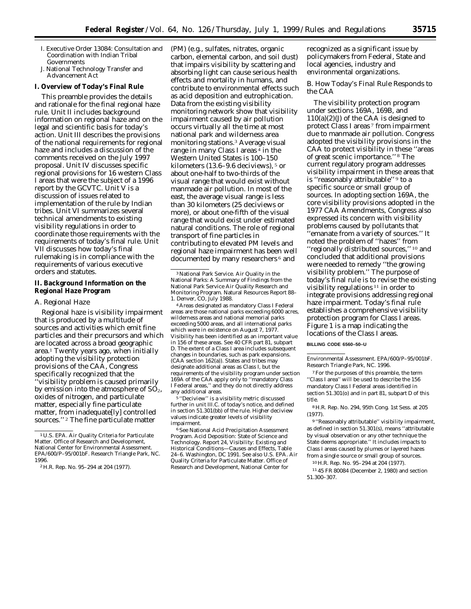- I. Executive Order 13084: Consultation and Coordination with Indian Tribal Governments
- J. National Technology Transfer and Advancement Act

#### **I. Overview of Today's Final Rule**

This preamble provides the details and rationale for the final regional haze rule. Unit II includes background information on regional haze and on the legal and scientific basis for today's action. Unit III describes the provisions of the national requirements for regional haze and includes a discussion of the comments received on the July 1997 proposal. Unit IV discusses specific regional provisions for 16 western Class I areas that were the subject of a 1996 report by the GCVTC. Unit V is a discussion of issues related to implementation of the rule by Indian tribes. Unit VI summarizes several technical amendments to existing visibility regulations in order to coordinate those requirements with the requirements of today's final rule. Unit VII discusses how today's final rulemaking is in compliance with the requirements of various executive orders and statutes.

#### **II. Background Information on the Regional Haze Program**

#### *A. Regional Haze*

Regional haze is visibility impairment that is produced by a multitude of sources and activities which emit fine particles and their precursors and which are located across a broad geographic area.1 Twenty years ago, when initially adopting the visibility protection provisions of the CAA, Congress specifically recognized that the 'visibility problem is caused primarily by emission into the atmosphere of  $SO<sub>2</sub>$ , oxides of nitrogen, and particulate matter, especially fine particulate matter, from inadequate[ly] controlled sources.'' 2 The fine particulate matter

(PM) (e.g., sulfates, nitrates, organic carbon, elemental carbon, and soil dust) that impairs visibility by scattering and absorbing light can cause serious health effects and mortality in humans, and contribute to environmental effects such as acid deposition and eutrophication. Data from the existing visibility monitoring network show that visibility impairment caused by air pollution occurs virtually all the time at most national park and wilderness area monitoring stations.3 Average visual range in many Class I areas 4 in the Western United States is 100–150 kilometers (13.6–9.6 deciviews), 5 or about one-half to two-thirds of the visual range that would exist without manmade air pollution. In most of the east, the average visual range is less than 30 kilometers (25 deciviews or more), or about one-fifth of the visual range that would exist under estimated natural conditions. The role of regional transport of fine particles in contributing to elevated PM levels and regional haze impairment has been well documented by many researchers 6 and

4Areas designated as mandatory Class I Federal areas are those national parks exceeding 6000 acres, wilderness areas and national memorial parks exceeding 5000 areas, and all international parks which were in existence on August 7, 1977. Visibility has been identified as an important value in 156 of these areas. See 40 CFR part 81, subpart D. The extent of a Class I area includes subsequent changes in boundaries, such as park expansions. (CAA section 162(a)). States and tribes may designate additional areas as Class I, but the requirements of the visibility program under section 169A of the CAA apply only to ''mandatory Class I Federal areas,'' and they do not directly address any additional areas.

5 ''Deciview'' is a visibility metric discussed further in unit III.C. of today's notice, and defined in section 51.301(bb) of the rule. Higher deciview values indicate greater levels of visibility impairment.

6See National Acid Precipitation Assessment Program. Acid Deposition: State of Science and Technology. Report 24, Visibility: Existing and Historical Conditions—Causes and Effects, Table 24–6. Washington, DC 1991. See also U.S. EPA. Air Quality Criteria for Particulate Matter. Office of Research and Development, National Center for

recognized as a significant issue by policymakers from Federal, State and local agencies, industry and environmental organizations.

## *B. How Today's Final Rule Responds to the CAA*

The visibility protection program under sections 169A, 169B, and 110(a)(2)(J) of the CAA is designed to protect Class I areas 7 from impairment due to manmade air pollution. Congress adopted the visibility provisions in the CAA to protect visibility in these ''areas of great scenic importance.'' 8 The current regulatory program addresses visibility impairment in these areas that is ''reasonably attributable'' 9 to a specific source or small group of sources. In adopting section 169A, the core visibility provisions adopted in the 1977 CAA Amendments, Congress also expressed its concern with visibility problems caused by pollutants that ''emanate from a variety of sources.'' It noted the problem of ''hazes'' from ''regionally distributed sources,'' 10 and concluded that additional provisions were needed to remedy ''the growing visibility problem.'' The purpose of today's final rule is to revise the existing visibility regulations 11 in order to integrate provisions addressing regional haze impairment. Today's final rule establishes a comprehensive visibility protection program for Class I areas. Figure 1 is a map indicating the locations of the Class I areas.

#### **BILLING CODE 6560–50–U**

Environmental Assessment. EPA/600/P–95/001bF. Research Triangle Park, NC. 1996.

7For the purposes of this preamble, the term ''Class I area'' will be used to describe the 156 mandatory Class I Federal areas identified in section 51.301(o) and in part 81, subpart D of this title.

8H.R. Rep. No. 294, 95th Cong. 1st Sess. at 205 (1977).

9 ''Reasonably attributable'' visibility impairment, as defined in section 51.301(s), means ''attributable by visual observation or any other technique the State deems appropriate.'' It includes impacts to Class I areas caused by plumes or layered hazes from a single source or small group of sources.

10H.R. Rep. No. 95–294 at 204 (1977).

11 45 FR 80084 (December 2, 1980) and section 51.300–307.

<sup>1</sup>U.S. EPA. Air Quality Criteria for Particulate Matter. Office of Research and Development, National Center for Environmental Assessment. EPA/600/P–95/001bF. Research Triangle Park, NC. 1996.

<sup>2</sup>H.R. Rep. No. 95–294 at 204 (1977).

<sup>3</sup>National Park Service. Air Quality in the National Parks: A Summary of Findings from the National Park Service Air Quality Research and Monitoring Program. Natural Resources Report 88– 1. Denver, CO, July 1988.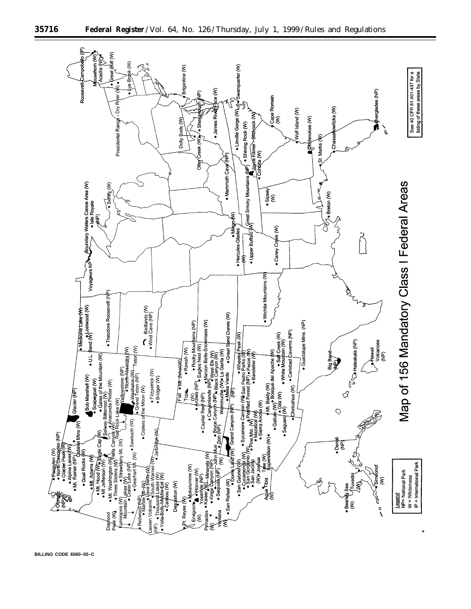

**BILLING CODE 6560–50–C**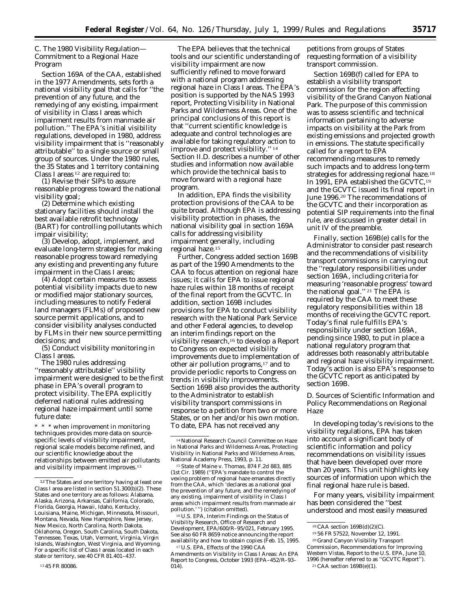## *C. The 1980 Visibility Regulation— Commitment to a Regional Haze Program*

Section 169A of the CAA, established in the 1977 Amendments, sets forth a national visibility goal that calls for ''the prevention of any future, and the remedying of any existing, impairment of visibility in Class I areas which impairment results from manmade air pollution.'' The EPA's initial visibility regulations, developed in 1980, address visibility impairment that is ''reasonably attributable'' to a single source or small group of sources. Under the 1980 rules, the 35 States and 1 territory containing Class I areas 12 are required to:

(1) Revise their SIPs to assure reasonable progress toward the national visibility goal;

(2) Determine which existing stationary facilities should install the best available retrofit technology (BART) for controlling pollutants which impair visibility;

(3) Develop, adopt, implement, and evaluate long-term strategies for making reasonable progress toward remedying any existing and preventing any future impairment in the Class I areas;

(4) Adopt certain measures to assess potential visibility impacts due to new or modified major stationary sources, including measures to notify Federal land managers (FLMs) of proposed new source permit applications, and to consider visibility analyses conducted by FLMs in their new source permitting decisions; and

(5) Conduct visibility monitoring in Class I areas.

The 1980 rules addressing ''reasonably attributable'' visibility impairment were designed to be the first phase in EPA's overall program to protect visibility. The EPA explicitly deferred national rules addressing regional haze impairment until some future date:

\* \* \* when improvement in monitoring techniques provides more data on sourcespecific levels of visibility impairment, regional scale models become refined, and our scientific knowledge about the relationships between emitted air pollutants and visibility impairment improves.13

The EPA believes that the technical tools and our scientific understanding of visibility impairment are now sufficiently refined to move forward with a national program addressing regional haze in Class I areas. The EPA's position is supported by the NAS 1993 report, Protecting Visibility in National Parks and Wilderness Areas. One of the principal conclusions of this report is that ''current scientific knowledge is adequate and control technologies are available for taking regulatory action to improve and protect visibility.'' 14 Section II.D. describes a number of other studies and information now available which provide the technical basis to move forward with a regional haze program.

In addition, EPA finds the visibility protection provisions of the CAA to be quite broad. Although EPA is addressing visibility protection in phases, the national visibility goal in section 169A calls for addressing visibility impairment generally, including regional haze.15

Further, Congress added section 169B as part of the 1990 Amendments to the CAA to focus attention on regional haze issues; it calls for EPA to issue regional haze rules within 18 months of receipt of the final report from the GCVTC. In addition, section 169B includes provisions for EPA to conduct visibility research with the National Park Service and other Federal agencies, to develop an interim findings report on the visibility research,16 to develop a Report to Congress on expected visibility improvements due to implementation of other air pollution programs,17 and to provide periodic reports to Congress on trends in visibility improvements. Section 169B also provides the authority to the Administrator to establish visibility transport commissions in response to a petition from two or more States, or on her and/or his own motion. To date, EPA has not received any

15*State of Maine* v. *Thomas,* 874 F.2d 883, 885 (1st Cir. 1989) (''EPA's mandate to control the vexing problem of regional haze emanates directly from the CAA, which 'declares as a national goal the prevention of any future, and the remedying of any existing, impairment of visibility in Class I areas which impairment results from manmade air pollution.'") (citation omitted).

16U.S. EPA, Interim Findings on the Status of Visibility Research, Office of Research and Development, EPA/600/R–95/021, February 1995. See also 60 FR 8659 notice announcing the report availability and how to obtain copies (Feb. 15, 1995.

17U.S. EPA, Effects of the 1990 CAA Amendments on Visibility in Class I Areas: An EPA Report to Congress, October 1993 (EPA–452/R–93–  $014$ ).

petitions from groups of States requesting formation of a visibility transport commission.

Section 169B(f) called for EPA to establish a visibility transport commission for the region affecting visibility of the Grand Canyon National Park. The purpose of this commission was to assess scientific and technical information pertaining to adverse impacts on visibility at the Park from existing emissions and projected growth in emissions. The statute specifically called for a report to EPA recommending measures to remedy such impacts and to address long-term strategies for addressing regional haze.18 In 1991, EPA established the GCVTC,19 and the GCVTC issued its final report in June 1996.20 The recommendations of the GCVTC and their incorporation as potential SIP requirements into the final rule, are discussed in greater detail in unit IV of the preamble.

Finally, section 169B(e) calls for the Administrator to consider past research and the recommendations of visibility transport commissions in carrying out the ''regulatory responsibilities under section 169A, including criteria for measuring 'reasonable progress' toward the national goal.'' 21 The EPA is required by the CAA to meet these regulatory responsibilities within 18 months of receiving the GCVTC report. Today's final rule fulfills EPA's responsibility under section 169A, pending since 1980, to put in place a national regulatory program that addresses both reasonably attributable and regional haze visibility impairment. Today's action is also EPA's response to the GCVTC report as anticipated by section 169B.

## *D. Sources of Scientific Information and Policy Recommendations on Regional Haze*

In developing today's revisions to the visibility regulations, EPA has taken into account a significant body of scientific information and policy recommendations on visibility issues that have been developed over more than 20 years. This unit highlights key sources of information upon which the final regional haze rule is based.

For many years, visibility impairment has been considered the ''best understood and most easily measured

<sup>&</sup>lt;sup>12</sup>The States and one territory having at least one Class I area are listed in section  $51.300(b)(2)$ . These States and one territory are as follows: Alabama, Alaska, Arizona, Arkansas, California, Colorado, Florida, Georgia, Hawaii, Idaho, Kentucky, Louisiana, Maine, Michigan, Minnesota, Missouri, Montana, Nevada, New Hampshire, New Jersey, New Mexico, North Carolina, North Dakota, Oklahoma, Oregon, South Carolina, South Dakota, Tennessee, Texas, Utah, Vermont, Virginia, Virgin Islands, Washington, West Virginia, and Wyoming. For a specific list of Class I areas located in each state or territory, see 40 CFR 81.401–437.

<sup>13</sup> 45 FR 80086.

<sup>&</sup>lt;sup>14</sup> National Research Council Committee on Haze in National Parks and Wilderness Areas, Protecting Visibility in National Parks and Wilderness Areas, National Academy Press, 1993, p. 11.

<sup>18</sup>CAA section 169B(d)(2)(C).

<sup>19</sup> 56 FR 57522, November 12, 1991.

<sup>20</sup> Grand Canyon Visibility Transport Commission, Recommendations for Improving

Western Vistas, Report to the U.S. EPA, June 10, 1996 (hereafter referred to as ''GCVTC Report''). 21CAA section 169B(e)(1).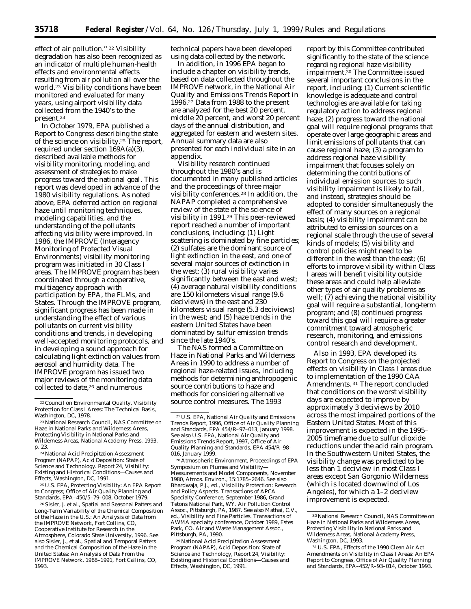effect of air pollution.'' 22 Visibility degradation has also been recognized as an indicator of multiple human-health effects and environmental effects resulting from air pollution all over the world.23 Visibility conditions have been monitored and evaluated for many years, using airport visibility data collected from the 1940's to the present.24

In October 1979, EPA published a Report to Congress describing the state of the science on visibility.25 The report, required under section 169A(a)(3), described available methods for visibility monitoring, modeling, and assessment of strategies to make progress toward the national goal. This report was developed in advance of the 1980 visibility regulations. As noted above, EPA deferred action on regional haze until monitoring techniques, modeling capabilities, and the understanding of the pollutants affecting visibility were improved. In 1986, the IMPROVE (Interagency Monitoring of Protected Visual Environments) visibility monitoring program was initiated in 30 Class I areas. The IMPROVE program has been coordinated through a cooperative, multiagency approach with participation by EPA, the FLMs, and States. Through the IMPROVE program, significant progress has been made in understanding the effect of various pollutants on current visibility conditions and trends, in developing well-accepted monitoring protocols, and in developing a sound approach for calculating light extinction values from aerosol and humidity data. The IMPROVE program has issued two major reviews of the monitoring data collected to date,26 and numerous

technical papers have been developed using data collected by the network.

In addition, in 1996 EPA began to include a chapter on visibility trends, based on data collected throughout the IMPROVE network, in the National Air Quality and Emissions Trends Report in 1996.27 Data from 1988 to the present are analyzed for the best 20 percent, middle 20 percent, and worst 20 percent days of the annual distribution, and aggregated for eastern and western sites. Annual summary data are also presented for each individual site in an appendix.

Visibility research continued throughout the 1980's and is documented in many published articles and the proceedings of three major visibility conferences.28 In addition, the NAPAP completed a comprehensive review of the state of the science of visibility in 1991.29 This peer-reviewed report reached a number of important conclusions, including: (1) Light scattering is dominated by fine particles; (2) sulfates are the dominant source of light extinction in the east, and one of several major sources of extinction in the west; (3) rural visibility varies significantly between the east and west; (4) average natural visibility conditions are 150 kilometers visual range (9.6 deciviews) in the east and 230 kilometers visual range (5.3 deciviews) in the west; and (5) haze trends in the eastern United States have been dominated by sulfur emission trends since the late 1940's.

The NAS formed a Committee on Haze in National Parks and Wilderness Areas in 1990 to address a number of regional haze-related issues, including methods for determining anthropogenic source contributions to haze and methods for considering alternative source control measures. The 1993

28Atmospheric Environment, Proceedings of EPA Symposium on Plumes and Visibility— Measurements and Model Components, November 1980, Atmos. Environ., 15:1785–2646. See also Bhardwaja, P.J., ed., Visibility Protection: Research and Policy Aspects. Transactions of APCA Specialty Conference, September 1986, Grand Tetons National Park, WY. Air Pollution Control Assoc., Pittsburgh, PA, 1987. See also Mathai, C.V., ed., Visibility and Fine Particles. Transactions of AWMA specialty conference, October 1989, Estes Park, CO. Air and Waste Management Assoc., Pittsburgh, PA, 1990.

29National Acid Precipitation Assessment Program (NAPAP), Acid Deposition: State of Science and Technology, Report 24, Visibility: Existing and Historical Conditions—Causes and Effects, Washington, DC, 1991.

report by this Committee contributed significantly to the state of the science regarding regional haze visibility impairment.30 The Committee issued several important conclusions in the report, including: (1) Current scientific knowledge is adequate and control technologies are available for taking regulatory action to address regional haze; (2) progress toward the national goal will require regional programs that operate over large geographic areas and limit emissions of pollutants that can cause regional haze; (3) a program to address regional haze visibility impairment that focuses solely on determining the contributions of individual emission sources to such visibility impairment is likely to fail, and instead, strategies should be adopted to consider simultaneously the effect of many sources on a regional basis; (4) visibility impairment can be attributed to emission sources on a regional scale through the use of several kinds of models; (5) visibility and control policies might need to be different in the west than the east; (6) efforts to improve visibility within Class I areas will benefit visibility outside these areas and could help alleviate other types of air quality problems as well; (7) achieving the national visibility goal will require a substantial, long-term program; and (8) continued progress toward this goal will require a greater commitment toward atmospheric research, monitoring, and emissions control research and development.

Also in 1993, EPA developed its Report to Congress on the projected effects on visibility in Class I areas due to implementation of the 1990 CAA Amendments. 31 The report concluded that conditions on the worst visibility days are expected to improve by approximately 3 deciviews by 2010 across the most impaired portions of the Eastern United States. Most of this improvement is expected in the 1995– 2005 timeframe due to sulfur dioxide reductions under the acid rain program. In the Southwestern United States, the visibility change was predicted to be less than 1 deciview in most Class I areas except San Gorgonio Wilderness (which is located downwind of Los Angeles), for which a 1–2 deciview improvement is expected.

<sup>22</sup>Council on Environmental Quality, Visibility Protection for Class I Areas: The Technical Basis, Washington, DC, 1978.

<sup>23</sup>National Research Council, NAS Committee on Haze in National Parks and Wilderness Areas, Protecting Visibility in National Parks and Wilderness Areas, National Academy Press, 1993, p. 23.

<sup>24</sup>National Acid Precipitation Assessment Program (NAPAP), Acid Deposition: State of Science and Technology. Report 24, Visibility: Existing and Historical Conditions—Causes and Effects, Washington, DC, 1991.

<sup>25</sup>U.S. EPA, Protecting Visibility: An EPA Report to Congress; Office of Air Quality Planning and Standards, EPA–450/5–79–008, October 1979.

<sup>26</sup>Sisler, J. et al., Spatial and Seasonal Patters and Long-Term Variability of the Chemical Composition of the Haze in the U.S.: An Analysis of Data from the IMPROVE Network, Fort Collins, CO, Cooperative Institute for Research in the Atmosphere, Colorado State University, 1996. See also Sisler, J., et al., Spatial and Temporal Patters and the Chemical Composition of the Haze in the United States: An Analysis of Data From the IMPROVE Network, 1988–1991, Fort Callins, CO, 1993.

<sup>27</sup>U.S. EPA, National Air Quality and Emissions Trends Report, 1996, Office of Air Quality Planning and Standards, EPA 454/R–97–013, January 1998. See also U.S. EPA, National Air Quality and Emissions Trends Report, 1997, Office of Air Quality Planning and Standards, EPA 454/R–98– 016, January 1999.

<sup>30</sup>National Research Council, NAS Committee on Haze in National Parks and Wilderness Areas, Protecting Visibility in National Parks and Wilderness Areas, National Academy Press, Washington, DC, 1993.

<sup>31</sup>U.S. EPA, Effects of the 1990 Clean Air Act Amendments on Visibility in Class I Areas: An EPA Report to Congress, Office of Air Quality Planning and Standards, EPA–452/R–93–014, October 1993.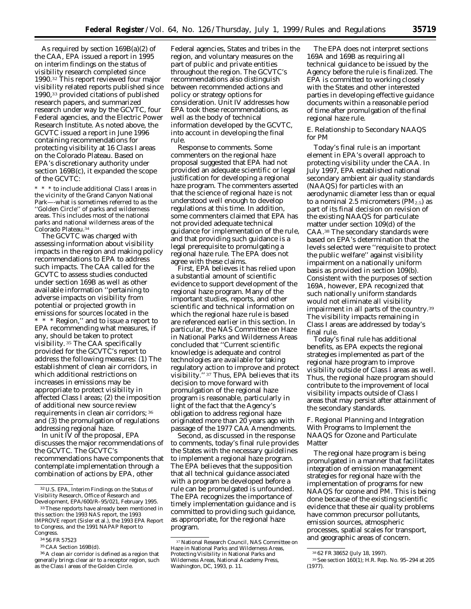As required by section 169B(a)(2) of the CAA, EPA issued a report in 1995 on interim findings on the status of visibility research completed since 1990.32 This report reviewed four major visibility related reports published since 1990,33 provided citations of published research papers, and summarized research under way by the GCVTC, four Federal agencies, and the Electric Power Research Institute. As noted above, the GCVTC issued a report in June 1996 containing recommendations for protecting visibility at 16 Class I areas on the Colorado Plateau. Based on EPA's discretionary authority under section 169B(c), it expanded the scope of the GCVTC:

\* \* \* to include additional Class I areas in the vicinity of the Grand Canyon National Park—-what is sometimes referred to as the ''Golden Circle'' of parks and wilderness areas. This includes most of the national parks and national wilderness areas of the Colorado Plateau.34

The GCVTC was charged with assessing information about visibility impacts in the region and making policy recommendations to EPA to address such impacts. The CAA called for the GCVTC to assess studies conducted under section 169B as well as other available information ''pertaining to adverse impacts on visibility from potential or projected growth in emissions for sources located in the \* Region," and to issue a report to EPA recommending what measures, if any, should be taken to protect visibility. 35 The CAA specifically provided for the GCVTC's report to address the following measures: (1) The establishment of clean air corridors, in which additional restrictions on increases in emissions may be appropriate to protect visibility in affected Class I areas; (2) the imposition of additional new source review requirements in clean air corridors; 36 and (3) the promulgation of regulations addressing regional haze.

In unit IV of the proposal, EPA discusses the major recommendations of the GCVTC. The GCVTC's recommendations have components that contemplate implementation through a combination of actions by EPA, other

Federal agencies, States and tribes in the region, and voluntary measures on the part of public and private entities throughout the region. The GCVTC's recommendations also distinguish between recommended actions and policy or strategy options for consideration. Unit IV addresses how EPA took these recommendations, as well as the body of technical information developed by the GCVTC, into account in developing the final rule.

*Response to comments*. Some commenters on the regional haze proposal suggested that EPA had not provided an adequate scientific or legal justification for developing a regional haze program. The commenters asserted that the science of regional haze is not understood well enough to develop regulations at this time. In addition, some commenters claimed that EPA has not provided adequate technical guidance for implementation of the rule, and that providing such guidance is a legal prerequisite to promulgating a regional haze rule. The EPA does not agree with these claims.

First, EPA believes it has relied upon a substantial amount of scientific evidence to support development of the regional haze program. Many of the important studies, reports, and other scientific and technical information on which the regional haze rule is based are referenced earlier in this section. In particular, the NAS Committee on Haze in National Parks and Wilderness Areas concluded that ''Current scientific knowledge is adequate and control technologies are available for taking regulatory action to improve and protect visibility.'' 37 Thus, EPA believes that its decision to move forward with promulgation of the regional haze program is reasonable, particularly in light of the fact that the Agency's obligation to address regional haze originated more than 20 years ago with passage of the 1977 CAA Amendments.

Second, as discussed in the response to comments, today's final rule provides the States with the necessary guidelines to implement a regional haze program. The EPA believes that the supposition that all technical guidance associated with a program be developed before a rule can be promulgated is unfounded. The EPA recognizes the importance of timely implementation guidance and is committed to providing such guidance, as appropriate, for the regional haze program.

The EPA does not interpret sections 169A and 169B as requiring all technical guidance to be issued by the Agency before the rule is finalized. The EPA is committed to working closely with the States and other interested parties in developing effective guidance documents within a reasonable period of time after promulgation of the final regional haze rule.

## *E. Relationship to Secondary NAAQS for PM*

Today's final rule is an important element in EPA's overall approach to protecting visibility under the CAA. In July 1997, EPA established national secondary ambient air quality standards (NAAQS) for particles with an aerodynamic diameter less than or equal to a nominal 2.5 micrometers  $(PM_{2.5})$  as part of its final decision on revision of the existing NAAQS for particulate matter under section 109(d) of the CAA.38 The secondary standards were based on EPA's determination that the levels selected were ''requisite to protect the public welfare'' against visibility impairment on a nationally uniform basis as provided in section 109(b). Consistent with the purposes of section 169A, however, EPA recognized that such nationally uniform standards would not eliminate all visibility impairment in all parts of the country.39 The visibility impacts remaining in Class I areas are addressed by today's final rule.

Today's final rule has additional benefits, as EPA expects the regional strategies implemented as part of the regional haze program to improve visibility outside of Class I areas as well. Thus, the regional haze program should contribute to the improvement of local visibility impacts outside of Class I areas that may persist after attainment of the secondary standards.

## *F. Regional Planning and Integration With Programs to Implement the NAAQS for Ozone and Particulate Matter*

The regional haze program is being promulgated in a manner that facilitates integration of emission management strategies for regional haze with the implementation of programs for new NAAQS for ozone and PM. This is being done because of the existing scientific evidence that these air quality problems have common precursor pollutants, emission sources, atmospheric processes, spatial scales for transport, and geographic areas of concern.

<sup>32</sup>U.S. EPA, Interim Findings on the Status of Visibility Research, Office of Research and Development, EPA/600/R–95/021, February 1995.

<sup>33</sup>These repdorts have already been mentioned in this section: the 1993 NAS report, the 1993 IMPROVE report (Sisler et al.), the 1993 EPA Report to Congress, and the 1991 NAPAP Report to Congress.

<sup>34</sup> 56 FR 57523

<sup>35</sup>CAA Section 169B(d).

<sup>36</sup>A clean air corridor is defined as a region that generally brings clear air to a receptor region, such as the Class I areas of the Golden Circle.

<sup>37</sup>National Research Council, NAS Committee on Haze in National Parks and Wilderness Areas, Protecting Visibility in National Parks and Wilderness Areas, National Academy Press, Washington, DC, 1993, p. 11.

<sup>38</sup> 62 FR 38652 (July 18, 1997).

<sup>39</sup>See section 160(1); H.R. Rep. No. 95–294 at 205 (1977).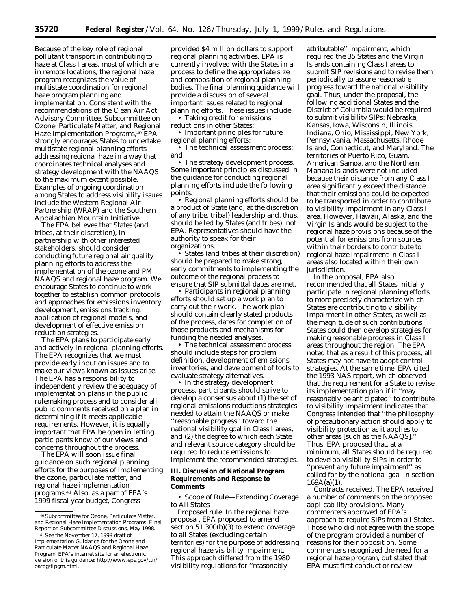Because of the key role of regional pollutant transport in contributing to haze at Class I areas, most of which are in remote locations, the regional haze program recognizes the value of multistate coordination for regional haze program planning and implementation. Consistent with the recommendations of the Clean Air Act Advisory Committee, Subcommittee on Ozone, Particulate Matter, and Regional Haze Implementation Programs, <sup>40</sup> EPA strongly encourages States to undertake multistate regional planning efforts addressing regional haze in a way that coordinates technical analyses and strategy development with the NAAQS to the maximum extent possible. Examples of ongoing coordination among States to address visibility issues include the Western Regional Air Partnership (WRAP) and the Southern Appalachian Mountain Initiative.

The EPA believes that States (and tribes, at their discretion), in partnership with other interested stakeholders, should consider conducting future regional air quality planning efforts to address the implementation of the ozone and PM NAAQS and regional haze program. We encourage States to continue to work together to establish common protocols and approaches for emissions inventory development, emissions tracking, application of regional models, and development of effective emission reduction strategies.

The EPA plans to participate early and actively in regional planning efforts. The EPA recognizes that we must provide early input on issues and to make our views known as issues arise. The EPA has a responsibility to independently review the adequacy of implementation plans in the public rulemaking process and to consider all public comments received on a plan in determining if it meets applicable requirements. However, it is equally important that EPA be open in letting participants know of our views and concerns throughout the process.

The EPA will soon issue final guidance on such regional planning efforts for the purposes of implementing the ozone, particulate matter, and regional haze implementation programs.41 Also, as a part of EPA's 1999 fiscal year budget, Congress

provided \$4 million dollars to support regional planning activities. EPA is currently involved with the States in a process to define the appropriate size and composition of regional planning bodies. The final planning guidance will provide a discussion of several important issues related to regional planning efforts. These issues include:

• Taking credit for emissions reductions in other States;

• Important principles for future regional planning efforts;

• The technical assessment process; and

• The strategy development process. Some important principles discussed in the guidance for conducting regional planning efforts include the following points.

• Regional planning efforts should be a product of State (and, at the discretion of any tribe, tribal) leadership and, thus, should be led by States (and tribes), not EPA. Representatives should have the authority to speak for their organizations.

• States (and tribes at their discretion) should be prepared to make strong, early commitments to implementing the outcome of the regional process to ensure that SIP submittal dates are met.

• Participants in regional planning efforts should set up a work plan to carry out their work. The work plan should contain clearly stated products of the process, dates for completion of those products and mechanisms for funding the needed analyses.

• The technical assessment process should include steps for problem definition, development of emissions inventories, and development of tools to evaluate strategy alternatives.

• In the strategy development process, participants should strive to develop a consensus about (1) the set of regional emissions reductions strategies needed to attain the NAAQS or make ''reasonable progress'' toward the national visibility goal in Class I areas, and (2) the degree to which each State and relevant source category should be required to reduce emissions to implement the recommended strategies.

## **III. Discussion of National Program Requirements and Response to Comments**

• *Scope of Rule—Extending Coverage to All States*

*Proposed rule.* In the regional haze proposal, EPA proposed to amend section 51.300(b)(3) to extend coverage to all States (excluding certain territories) for the purpose of addressing regional haze visibility impairment. This approach differed from the 1980 visibility regulations for ''reasonably

attributable'' impairment, which required the 35 States and the Virgin Islands containing Class I areas to submit SIP revisions and to revise them periodically to assure reasonable progress toward the national visibility goal. Thus, under the proposal, the following additional States and the District of Columbia would be required to submit visibility SIPs: Nebraska, Kansas, Iowa, Wisconsin, Illinois, Indiana, Ohio, Mississippi, New York, Pennsylvania, Massachusetts, Rhode Island, Connecticut, and Maryland. The territories of Puerto Rico, Guam, American Samoa, and the Northern Mariana Islands were not included because their distance from any Class I area significantly exceed the distance that their emissions could be expected to be transported in order to contribute to visibility impairment in any Class I area. However, Hawaii, Alaska, and the Virgin Islands would be subject to the regional haze provisions because of the potential for emissions from sources within their borders to contribute to regional haze impairment in Class I areas also located within their own jurisdiction.

In the proposal, EPA also recommended that all States initially participate in regional planning efforts to more precisely characterize which States are contributing to visibility impairment in other States, as well as the magnitude of such contributions. States could then develop strategies for making reasonable progress in Class I areas throughout the region. The EPA noted that as a result of this process, all States may not have to adopt control strategies. At the same time, EPA cited the 1993 NAS report, which observed that the requirement for a State to revise its implementation plan if it ''may reasonably be anticipated'' to contribute to visibility impairment indicates that Congress intended that ''the philosophy of precautionary action should apply to visibility protection as it applies to other areas [such as the NAAQS].'' Thus, EPA proposed that, at a minimum, all States should be required to develop visibility SIPs in order to ''prevent any future impairment'' as called for by the national goal in section 169A(a)(1).

*Contracts received.* The EPA received a number of comments on the proposed applicability provisions. Many commenters approved of EPA's approach to require SIPs from all States. Those who did not agree with the scope of the program provided a number of reasons for their opposition. Some commenters recognized the need for a regional haze program, but stated that EPA must first conduct or review

<sup>40</sup>Subcommittee for Ozone, Particulate Matter, and Regional Haze Implementation Programs, Final Report on Subcommittee Discussions, May 1998.

<sup>&</sup>lt;sup>41</sup> See the November 17, 1998 draft of Implementation Guidance for the Ozone and Particulate Matter NAAQS and Regional Haze Program. EPA's internet site for an electronic version of this guidance: http://www.epa.gov/ttn/ oarpg/tlpgm.html.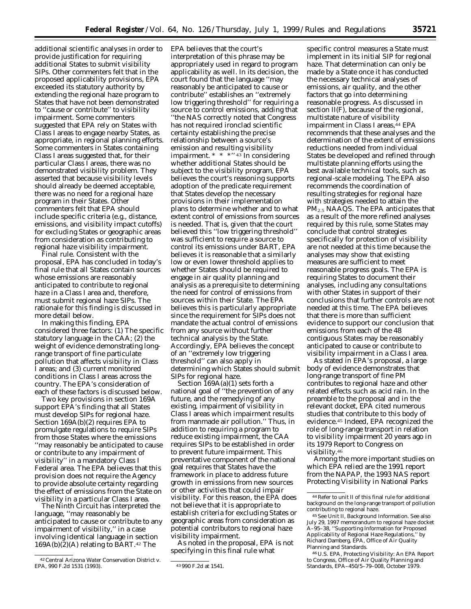additional scientific analyses in order to provide justification for requiring additional States to submit visibility SIPs. Other commenters felt that in the proposed applicability provisions, EPA exceeded its statutory authority by extending the regional haze program to States that have not been demonstrated to ''cause or contribute'' to visibility impairment. Some commenters suggested that EPA rely on States with Class I areas to engage nearby States, as appropriate, in regional planning efforts. Some commenters in States containing Class I areas suggested that, for their particular Class I areas, there was no demonstrated visibility problem. They asserted that because visibility levels should already be deemed acceptable, there was no need for a regional haze program in their States. Other commenters felt that EPA should include specific criteria (e.g., distance, emissions, and visibility impact cutoffs) for excluding States or geographic areas from consideration as contributing to regional haze visibility impairment.

*Final rule.* Consistent with the proposal, EPA has concluded in today's final rule that all States contain sources whose emissions are reasonably anticipated to contribute to regional haze in a Class I area and, therefore, must submit regional haze SIPs. The rationale for this finding is discussed in more detail below.

In making this finding, EPA considered three factors: (1) The specific statutory language in the CAA; (2) the weight of evidence demonstrating longrange transport of fine particulate pollution that affects visibility in Class I areas; and (3) current monitored conditions in Class I areas across the country. The EPA's consideration of each of these factors is discussed below.

Two key provisions in section 169A support EPA's finding that all States must develop SIPs for regional haze. Section 169A(b)(2) requires EPA to promulgate regulations to require SIPs from those States where the emissions ''may reasonably be anticipated to cause or contribute to any impairment of visibility'' in a mandatory Class I Federal area. The EPA believes that this provision does not require the Agency to provide absolute certainty regarding the effect of emissions from the State on visibility in a particular Class I area.

The Ninth Circuit has interpreted the language, ''may reasonably be anticipated to cause or contribute to any impairment of visibility,'' in a case involving identical language in section  $169A(b)(2)(A)$  relating to BART.<sup>42</sup> The

EPA believes that the court's interpretation of this phrase may be appropriately used in regard to program applicability as well. In its decision, the court found that the language ''may reasonably be anticipated to cause or contribute'' establishes an ''extremely low triggering threshold'' for requiring a source to control emissions, adding that ''the NAS correctly noted that Congress has not required ironclad scientific certainty establishing the precise relationship between a source's emission and resulting visibility impairment.  $* * * "43]$  In considering whether additional States should be subject to the visibility program, EPA believes the court's reasoning supports adoption of the predicate requirement that States develop the necessary provisions in their implementation plans to determine whether and to what extent control of emissions from sources is needed. That is, given that the court believed this ''low triggering threshold'' was sufficient to require a source to control its emissions under BART, EPA believes it is reasonable that a similarly low or even lower threshold applies to whether States should be required to engage in air quality planning and analysis as a prerequisite to determining the need for control of emissions from sources within their State. The EPA believes this is particularly appropriate since the requirement for SIPs does not mandate the actual control of emissions from any source without further technical analysis by the State. Accordingly, EPA believes the concept of an ''extremely low triggering threshold'' can also apply in determining which States should submit SIPs for regional haze.

Section  $\overline{1}69A(a)(1)$  sets forth a national goal of ''the prevention of any future, and the remedying of any existing, impairment of visibility in Class I areas which impairment results from manmade air pollution.'' Thus, in addition to requiring a program to reduce existing impairment, the CAA requires SIPs to be established in order to prevent future impairment. This preventative component of the national goal requires that States have the framework in place to address future growth in emissions from new sources or other activities that could impair visibility. For this reason, the EPA does not believe that it is appropriate to establish criteria for excluding States or geographic areas from consideration as potential contributors to regional haze visibility impairment.

As noted in the proposal, EPA is not specifying in this final rule what

specific control measures a State must implement in its initial SIP for regional haze. That determination can only be made by a State once it has conducted the necessary technical analyses of emissions, air quality, and the other factors that go into determining reasonable progress. As discussed in section II(F), because of the regional, multistate nature of visibility impairment in Class I areas, 44 EPA recommends that these analyses and the determination of the extent of emissions reductions needed from individual States be developed and refined through multistate planning efforts using the best available technical tools, such as regional-scale modeling. The EPA also recommends the coordination of resulting strategies for regional haze with strategies needed to attain the  $PM<sub>2.5</sub> NAAGS.$  The EPA anticipates that as a result of the more refined analyses required by this rule, some States may conclude that control strategies specifically for protection of visibility are not needed at this time because the analyses may show that existing measures are sufficient to meet reasonable progress goals. The EPA is requiring States to document their analyses, including any consultations with other States in support of their conclusions that further controls are not needed at this time. The EPA believes that there is more than sufficient evidence to support our conclusion that emissions from each of the 48 contiguous States may be reasonably anticipated to cause or contribute to visibility impairment in a Class I area.

As stated in EPA's proposal, a large body of evidence demonstrates that long-range transport of fine PM contributes to regional haze and other related effects such as acid rain. In the preamble to the proposal and in the relevant docket, EPA cited numerous studies that contribute to this body of evidence.45 Indeed, EPA recognized the role of long-range transport in relation to visibility impairment 20 years ago in its 1979 Report to Congress on visibility.46

Among the more important studies on which EPA relied are the 1991 report from the NAPAP, the 1993 NAS report Protecting Visibility in National Parks

46U.S. EPA, Protecting Visibility: An EPA Report to Congress, Office of Air Quality Planning and Standards, EPA–450/5–79–008, October 1979.

<sup>42</sup>*Central Arizona Water Conservation District* v. *EPA,* 990 F.2d 1531 (1993). 43 990 F.2d at 1541.

<sup>44</sup>Refer to unit II of this final rule for additional background on the long-range transport of pollution contributing to regional haze.

<sup>45</sup>See Unit II, Background Information. See also July 29, 1997 memorandum to regional haze docket A–95–38, ''Supporting Information for Proposed Applicability of Regional Haze Regulations,'' by Richard Damberg, EPA, Office of Air Quality Planning and Standards.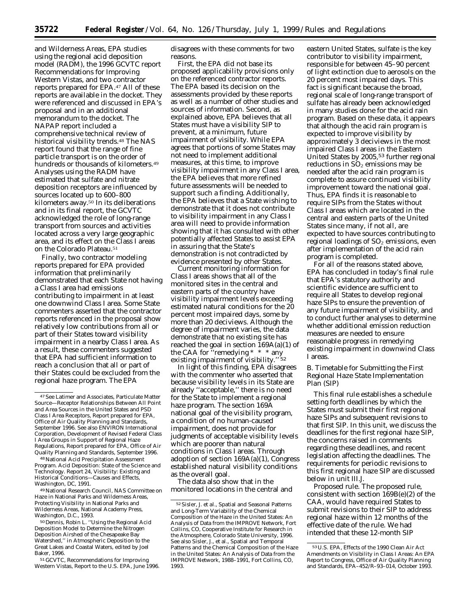and Wilderness Areas, EPA studies using the regional acid deposition model (RADM), the 1996 GCVTC report Recommendations for Improving Western Vistas, and two contractor reports prepared for EPA.47 All of these reports are available in the docket. They were referenced and discussed in EPA's proposal and in an additional memorandum to the docket. The NAPAP report included a comprehensive technical review of historical visibility trends.<sup>48</sup> The NAS report found that the range of fine particle transport is on the order of hundreds or thousands of kilometers.49 Analyses using the RADM have estimated that sulfate and nitrate deposition receptors are influenced by sources located up to 600–800 kilometers away.50 In its deliberations and in its final report, the GCVTC acknowledged the role of long-range transport from sources and activities located across a very large geographic area, and its effect on the Class I areas on the Colorado Plateau.51

Finally, two contractor modeling reports prepared for EPA provided information that preliminarily demonstrated that each State not having a Class I area had emissions contributing to impairment in at least one downwind Class I area. Some State commenters asserted that the contractor reports referenced in the proposal show relatively low contributions from all or part of their States toward visibility impairment in a nearby Class I area. As a result, these commenters suggested that EPA had sufficient information to reach a conclusion that all or part of their States could be excluded from the regional haze program. The EPA

48National Acid Precipitation Assessment Program. Acid Deposition: State of the Science and Technology. Report 24, Visibility: Existing and Historical Conditions—Causes and Effects, Washington, DC, 1991.

49National Research Council, NAS Committee on Haze in National Parks and Wilderness Areas, Protecting Visibility in National Parks and Wilderness Areas, National Academy Press, Washington, D.C., 1993.

50 Dennis, Robin L. ''Using the Regional Acid Deposition Model to Determine the Nitrogen Deposition Airshed of the Chesapeake Bay Watershed,'' in Atmospheric Deposition to the Great Lakes and Coastal Waters, edited by Joel Baker, 1996.

51 GCVTC, Recommendations for Improving Western Vistas, Report to the U.S. EPA, June 1996. disagrees with these comments for two reasons.

First, the EPA did not base its proposed applicability provisions only on the referenced contractor reports. The EPA based its decision on the assessments provided by these reports as well as a number of other studies and sources of information. Second, as explained above, EPA believes that all States must have a visibility SIP to prevent, at a minimum, future impairment of visibility. While EPA agrees that portions of some States may not need to implement additional measures, at this time, to improve visibility impairment in any Class I area, the EPA believes that more refined future assessments will be needed to support such a finding. Additionally, the EPA believes that a State wishing to demonstrate that it does not contribute to visibility impairment in any Class I area will need to provide information showing that it has consulted with other potentially affected States to assist EPA in assuring that the State's demonstration is not contradicted by evidence presented by other States.

Current monitoring information for Class I areas shows that all of the monitored sites in the central and eastern parts of the country have visibility impairment levels exceeding estimated natural conditions for the 20 percent most impaired days, some by more than 20 deciviews. Although the degree of impairment varies, the data demonstrate that no existing site has reached the goal in section 169A(a)(1) of the CAA for ''remedying \* \* \* any existing impairment of visibility."<sup>52</sup>

In light of this finding, EPA disagrees with the commenter who asserted that because visibility levels in its State are already ''acceptable,'' there is no need for the State to implement a regional haze program. The section 169A national goal of the visibility program, a condition of no human-caused impairment, does not provide for judgments of acceptable visibility levels which are poorer than natural conditions in Class I areas. Through adoption of section 169A(a)(1), Congress established natural visibility conditions as the overall goal.

The data also show that in the monitored locations in the central and eastern United States, sulfate is the key contributor to visibility impairment, responsible for between 45–90 percent of light extinction due to aerosols on the 20 percent most impaired days. This fact is significant because the broad, regional scale of long-range transport of sulfate has already been acknowledged in many studies done for the acid rain program. Based on these data, it appears that although the acid rain program is expected to improve visibility by approximately 3 deciviews in the most impaired Class I areas in the Eastern United States by 2005,<sup>53</sup> further regional reductions in  $SO<sub>2</sub>$  emissions may be needed after the acid rain program is complete to assure continued visibility improvement toward the national goal. Thus, EPA finds it is reasonable to require SIPs from the States without Class I areas which are located in the central and eastern parts of the United States since many, if not all, are expected to have sources contributing to regional loadings of  $SO<sub>2</sub>$  emissions, even after implementation of the acid rain program is completed.

For all of the reasons stated above, EPA has concluded in today's final rule that EPA's statutory authority and scientific evidence are sufficient to require all States to develop regional haze SIPs to ensure the prevention of any future impairment of visibility, and to conduct further analyses to determine whether additional emission reduction measures are needed to ensure reasonable progress in remedying existing impairment in downwind Class I areas.

## *B. Timetable for Submitting the First Regional Haze State Implementation Plan (SIP)*

This final rule establishes a schedule setting forth deadlines by which the States must submit their first regional haze SIPs and subsequent revisions to that first SIP. In this unit, we discuss the deadlines for the first regional haze SIP, the concerns raised in comments regarding these deadlines, and recent legislation affecting the deadlines. The requirements for periodic revisions to this first regional haze SIP are discussed below in unit III.J.

*Proposed rule.* The proposed rule, consistent with section 169B(e)(2) of the CAA, would have required States to submit revisions to their SIP to address regional haze within 12 months of the effective date of the rule. We had intended that these 12-month SIP

<sup>47</sup>See Latimer and Associates, Particulate Matter Source—Receptor Relationships Between All Point and Area Sources in the United States and PSD Class I Area Receptors, Report prepared for EPA, Office of Air Quality Planning and Standards, September 1996. See also ENVIRON International Corporation, Development of Revised Federal Class I Area Groups in Support of Regional Haze Regulations, Report prepared for EPA, Office of Air Quality Planning and Standards, September 1996.

<sup>52</sup>Sisler, J. *et al.,* Spatial and Seasonal Patterns and Long-Term Variability of the Chemical Composition of the Haze in the United States: An Analysis of Data from the IMPROVE Network, Fort Collins, CO, Cooperative Institute for Research in the Atmosphere, Colorado State University, 1996. See also Sisler, J., et al., Spatial and Temporal Patterns and the Chemical Composition of the Haze in the United States: An Analysis of Data from the IMPROVE Network, 1988–1991, Fort Collins, CO, 1993.

<sup>53</sup>U.S. EPA, Effects of the 1990 Clean Air Act Amendments on Visibility in Class I Areas: An EPA Report to Congress, Office of Air Quality Planning and Standards, EPA–452/R–93–014, October 1993.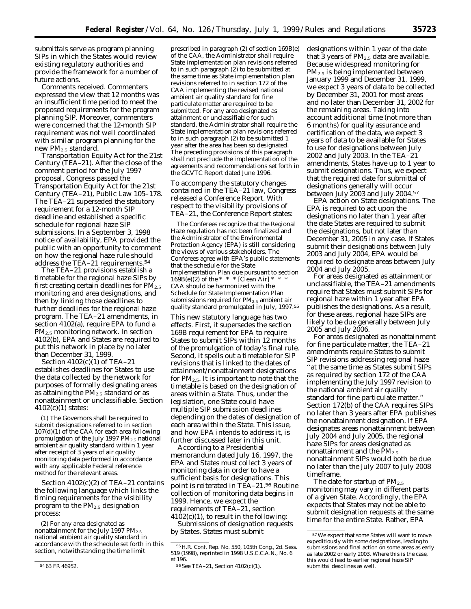submittals serve as program planning SIPs in which the States would review existing regulatory authorities and provide the framework for a number of future actions.

*Comments received.* Commenters expressed the view that 12 months was an insufficient time period to meet the proposed requirements for the program planning SIP. Moreover, commenters were concerned that the 12-month SIP requirement was not well coordinated with similar program planning for the new PM<sub>2.5</sub> standard.

*Transportation Equity Act for the 21st Century (TEA–21).* After the close of the comment period for the July 1997 proposal, Congress passed the Transportation Equity Act for the 21st Century (TEA–21), Public Law 105–178. The TEA–21 superseded the statutory requirement for a 12-month SIP deadline and established a specific schedule for regional haze SIP submissions. In a September 3, 1998 notice of availability, EPA provided the public with an opportunity to comment on how the regional haze rule should address the TEA–21 requirements.54

The TEA–21 provisions establish a timetable for the regional haze SIPs by first creating certain deadlines for  $PM_{2.5}$ monitoring and area designations, and then by linking those deadlines to further deadlines for the regional haze program. The TEA–21 amendments, in section 4102(a), require EPA to fund a PM2.5 monitoring network. In section 4102(b), EPA and States are required to put this network in place by no later than December 31, 1999.

Section 4102(c)(1) of TEA–21 establishes deadlines for States to use the data collected by the network for purposes of formally designating areas as attaining the  $PM<sub>2.5</sub>$  standard or as nonattainment or unclassifiable. Section 4102(c)(1) states:

(1) The Governors shall be required to submit designations referred to in section 107(d)(1) of the CAA for each area following promulgation of the July 1997 PM<sub>2.5</sub> national ambient air quality standard within 1 year after receipt of 3 years of air quality monitoring data performed in accordance with any applicable Federal reference method for the relevant areas.

Section 4102(c)(2) of TEA–21 contains the following language which links the timing requirements for the visibility program to the PM2.5 designation process:

(2) For any area designated as nonattainment for the July 1997  $PM_{2.5}$ national ambient air quality standard in accordance with the schedule set forth in this section, notwithstanding the time limit

prescribed in paragraph (2) of section 169B(e) of the CAA, the Administrator shall require State implementation plan revisions referred to in such paragraph  $(2)$  to be submitted at the same time as State implementation plan revisions referred to in section 172 of the CAA implementing the revised national ambient air quality standard for fine particulate matter are required to be submitted. For any area designated as attainment or unclassifiable for such standard, the Administrator shall require the State implementation plan revisions referred to in such paragraph (2) to be submitted 1 year after the area has been so designated. The preceding provisions of this paragraph shall not preclude the implementation of the agreements and recommendations set forth in the GCVTC Report dated June 1996.

To accompany the statutory changes contained in the TEA–21 law, Congress released a Conference Report. With respect to the visibility provisions of TEA–21, the Conference Report states:

The Conferees recognize that the Regional Haze regulation has not been finalized and the Administrator of the Environmental Protection Agency (EPA) is still considering the views of various stakeholders. The Conferees agree with EPA's public statements that the schedule for the State Implementation Plan due pursuant to section 169B(e)(2) of the  $* * *$  [Clean Air]  $*$ CAA should be harmonized with the Schedule for State Implementation Plan submissions required for  $PM_{2.5}$  ambient air quality standard promulgated in July, 1997.55

This new statutory language has two effects. First, it supersedes the section 169B requirement for EPA to require States to submit SIPs within 12 months of the promulgation of today's final rule. Second, it spells out a timetable for SIP revisions that is linked to the dates of attainment/nonattainment designations for  $PM_{2.5}$ . It is important to note that the timetable is based on the designation of areas within a State. Thus, under the legislation, one State could have multiple SIP submission deadlines depending on the dates of designation of each area within the State. This issue, and how EPA intends to address it, is further discussed later in this unit.

According to a Presidential memorandum dated July 16, 1997, the EPA and States must collect 3 years of monitoring data in order to have a sufficient basis for designations. This point is reiterated in TEA–21.56 Routine collection of monitoring data begins in 1999. Hence, we expect the requirements of TEA–21, section  $4102(c)(1)$ , to result in the following:

*Submissions of designation requests by States.* States must submit

designations within 1 year of the date that 3 years of  $PM_{2.5}$  data are available. Because widespread monitoring for PM2.5 is being implemented between January 1999 and December 31, 1999, we expect 3 years of data to be collected by December 31, 2001 for most areas and no later than December 31, 2002 for the remaining areas. Taking into account additional time (not more than 6 months) for quality assurance and certification of the data, we expect 3 years of data to be available for States to use for designations between July 2002 and July 2003. In the TEA–21 amendments, States have up to 1 year to submit designations. Thus, we expect that the required date for submittal of designations generally will occur between July 2003 and July 2004.57

EPA action on State designations. The EPA is required to act upon the designations no later than 1 year after the date States are required to submit the designations, but not later than December 31, 2005 in any case. If States submit their designations between July 2003 and July 2004, EPA would be required to designate areas between July 2004 and July 2005.

For areas designated as attainment or unclassifiable, the TEA–21 amendments require that States must submit SIPs for regional haze within 1 year after EPA publishes the designations. As a result, for these areas, regional haze SIPs are likely to be due generally between July 2005 and July 2006.

For areas designated as nonattainment for fine particulate matter, the TEA–21 amendments require States to submit SIP revisions addressing regional haze ''at the same time as States submit SIPs as required by section 172 of the CAA implementing the July 1997 revision to the national ambient air quality standard for fine particulate matter.'' Section 172(b) of the CAA requires SIPs no later than 3 years after EPA publishes the nonattainment designation. If EPA designates areas nonattainment between July 2004 and July 2005, the regional haze SIPs for areas designated as nonattainment and the  $PM_{2.5}$ nonattainment SIPs would both be due no later than the July 2007 to July 2008 timeframe.

The date for startup of  $PM_{2.5}$ monitoring may vary in different parts of a given State. Accordingly, the EPA expects that States may not be able to submit designation requests at the same time for the entire State. Rather, EPA

<sup>54</sup> 63 FR 46952.

<sup>55</sup>H.R. Conf. Rep. No. 550, 105th Cong., 2d. Sess. 519 (1998), reprinted in 1998 U.S.C.C.A.N., No. 6 at 196.

<sup>56</sup>See TEA–21, Section 4102(c)(1).

<sup>57</sup>We expect that some States will want to move expeditiously with some designations, leading to submissions and final action on some areas as early as late 2002 or early 2003. Where this is the case, this would lead to earlier regional haze SIP submittal deadlines as well.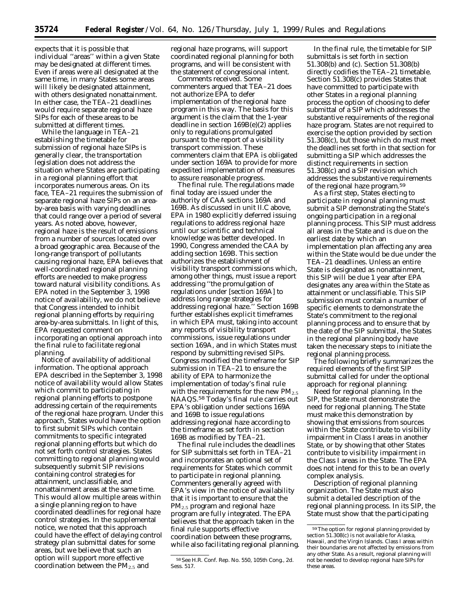expects that it is possible that individual ''areas'' within a given State may be designated at different times. Even if areas were all designated at the same time, in many States some areas will likely be designated attainment, with others designated nonattainment. In either case, the TEA–21 deadlines would require separate regional haze SIPs for each of these areas to be submitted at different times.

While the language in TEA–21 establishing the timetable for submission of regional haze SIPs is generally clear, the transportation legislation does not address the situation where States are participating in a regional planning effort that incorporates numerous areas. On its face, TEA–21 requires the submission of separate regional haze SIPs on an areaby-area basis with varying deadlines that could range over a period of several years. As noted above, however, regional haze is the result of emissions from a number of sources located over a broad geographic area. Because of the long-range transport of pollutants causing regional haze, EPA believes that well-coordinated regional planning efforts are needed to make progress toward natural visibility conditions. As EPA noted in the September 3, 1998 notice of availability, we do not believe that Congress intended to inhibit regional planning efforts by requiring area-by-area submittals. In light of this, EPA requested comment on incorporating an optional approach into the final rule to facilitate regional planning.

*Notice of availability of additional information*. The optional approach EPA described in the September 3, 1998 notice of availability would allow States which commit to participating in regional planning efforts to postpone addressing certain of the requirements of the regional haze program. Under this approach, States would have the option to first submit SIPs which contain commitments to specific integrated regional planning efforts but which do not set forth control strategies. States committing to regional planning would subsequently submit SIP revisions containing control strategies for attainment, unclassifiable, and nonattainment areas at the same time. This would allow multiple areas within a single planning region to have coordinated deadlines for regional haze control strategies. In the supplemental notice, we noted that this approach could have the effect of delaying control strategy plan submittal dates for some areas, but we believe that such an option will support more effective coordination between the PM2.5 and

regional haze programs, will support coordinated regional planning for both programs, and will be consistent with the statement of congressional intent.

*Comments received*. Some commenters argued that TEA–21 does not authorize EPA to defer implementation of the regional haze program in this way. The basis for this argument is the claim that the 1-year deadline in section 169B(e)(2) applies only to regulations promulgated pursuant to the report of a visibility transport commission. These commenters claim that EPA is obligated under section 169A to provide for more expedited implementation of measures to assure reasonable progress.

*The final rule*. The regulations made final today are issued under the authority of CAA sections 169A and 169B. As discussed in unit II.C above, EPA in 1980 explicitly deferred issuing regulations to address regional haze until our scientific and technical knowledge was better developed. In 1990, Congress amended the CAA by adding section 169B. This section authorizes the establishment of visibility transport commissions which, among other things, must issue a report addressing ''the promulgation of regulations under [section 169A] to address long range strategies for addressing regional haze.'' Section 169B further establishes explicit timeframes in which EPA must, taking into account any reports of visibility transport commissions, issue regulations under section 169A, and in which States must respond by submitting revised SIPs. Congress modified the timeframe for SIP submission in TEA–21 to ensure the ability of EPA to harmonize the implementation of today's final rule with the requirements for the new  $PM_{2.5}$ NAAQS.58 Today's final rule carries out EPA's obligation under sections 169A and 169B to issue regulations addressing regional haze according to the timeframe as set forth in section 169B as modified by TEA–21.

The final rule includes the deadlines for SIP submittals set forth in TEA–21 and incorporates an optional set of requirements for States which commit to participate in regional planning. Commenters generally agreed with EPA's view in the notice of availability that it is important to ensure that the PM2.5 program and regional haze program are fully integrated. The EPA believes that the approach taken in the final rule supports effective coordination between these programs, while also facilitating regional planning.

In the final rule, the timetable for SIP submittals is set forth in section 51.308(b) and (c). Section 51.308(b) directly codifies the TEA–21 timetable. Section 51.308(c) provides States that have committed to participate with other States in a regional planning process the option of choosing to defer submittal of a SIP which addresses the substantive requirements of the regional haze program. States are not required to exercise the option provided by section 51.308(c), but those which do must meet the deadlines set forth in that section for submitting a SIP which addresses the distinct requirements in section 51.308(c) and a SIP revision which addresses the substantive requirements of the regional haze program.59

As a first step, States electing to participate in regional planning must submit a SIP demonstrating the State's ongoing participation in a regional planning process. This SIP must address all areas in the State and is due on the earliest date by which an implementation plan affecting any area within the State would be due under the TEA–21 deadlines. Unless an entire State is designated as nonattainment, this SIP will be due 1 year after EPA designates any area within the State as attainment or unclassifiable. This SIP submission must contain a number of specific elements to demonstrate the State's commitment to the regional planning process and to ensure that by the date of the SIP submittal, the States in the regional planning body have taken the necessary steps to initiate the regional planning process.

The following briefly summarizes the required elements of the first SIP submittal called for under the optional approach for regional planning:

*Need for regional planning*. In the SIP, the State must demonstrate the need for regional planning. The State must make this demonstration by showing that emissions from sources within the State contribute to visibility impairment in Class I areas in another State, or by showing that other States contribute to visibility impairment in the Class I areas in the State. The EPA does not intend for this to be an overly complex analysis.

*Description of regional planning organization*. The State must also submit a detailed description of the regional planning process. In its SIP, the State must show that the participating

<sup>58</sup>See H.R. Conf. Rep. No. 550, 105th Cong., 2d. Sess. 517.

<sup>59</sup>The option for regional planning provided by section 51.308(c) is not available for Alaska, Hawaii, and the Virgin Islands. Class I areas within their boundaries are not affected by emissions from any other State. As a result, regional planning will not be needed to develop regional haze SIPs for these areas.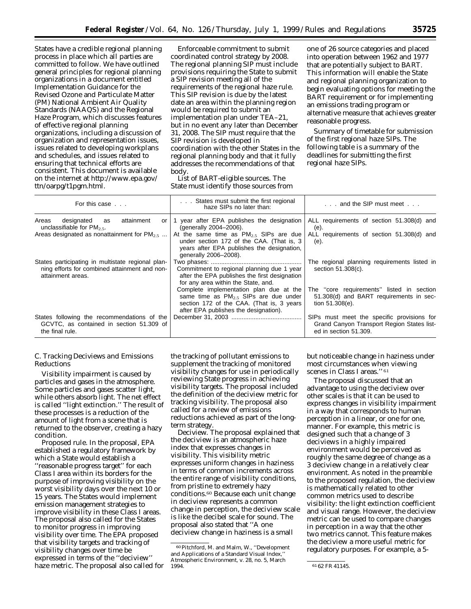States have a credible regional planning process in place which all parties are committed to follow. We have outlined general principles for regional planning organizations in a document entitled Implementation Guidance for the Revised Ozone and Particulate Matter (PM) National Ambient Air Quality Standards (NAAQS) and the Regional Haze Program, which discusses features of effective regional planning organizations, including a discussion of organization and representation issues, issues related to developing workplans and schedules, and issues related to ensuring that technical efforts are consistent. This document is available on the internet at http://www.epa.gov/ ttn/oarpg/t1pgm.html.

*Enforceable commitment to submit coordinated control strategy by 2008*. The regional planning SIP must include provisions requiring the State to submit a SIP revision meeting all of the requirements of the regional haze rule. This SIP revision is due by the latest date an area within the planning region would be required to submit an implementation plan under TEA–21, but in no event any later than December 31, 2008. The SIP must require that the SIP revision is developed in coordination with the other States in the regional planning body and that it fully addresses the recommendations of that body.

*List of BART-eligible sources*. The State must identify those sources from

one of 26 source categories and placed into operation between 1962 and 1977 that are potentially subject to BART. This information will enable the State and regional planning organization to begin evaluating options for meeting the BART requirement or for implementing an emissions trading program or alternative measure that achieves greater reasonable progress.

*Summary of timetable for submission of the first regional haze SIPs*. The following table is a summary of the deadlines for submitting the first regional haze SIPs.

| For this case                                                                                                           | States must submit the first regional<br>haze SIPs no later than:                                                                                                        | and the SIP must meet                                                                                             |  |
|-------------------------------------------------------------------------------------------------------------------------|--------------------------------------------------------------------------------------------------------------------------------------------------------------------------|-------------------------------------------------------------------------------------------------------------------|--|
| attainment<br>Areas<br>designated<br>as<br>unclassifiable for $PM_{2.5}$ .                                              | or $\vert$ 1 year after EPA publishes the designation<br>(generally 2004-2006).                                                                                          | ALL requirements of section 51.308(d) and<br>(e).                                                                 |  |
| Areas designated as nonattainment for $PM_{2.5}$                                                                        | At the same time as $PM2.5$ SIPs are due<br>under section 172 of the CAA. (That is, 3)<br>years after EPA publishes the designation,<br>generally 2006-2008).            | ALL requirements of section 51.308(d) and<br>(e).                                                                 |  |
| States participating in multistate regional plan-<br>ning efforts for combined attainment and non-<br>attainment areas. | Commitment to regional planning due 1 year<br>after the EPA publishes the first designation<br>for any area within the State, and.                                       | The regional planning requirements listed in<br>section 51.308(c).                                                |  |
|                                                                                                                         | Complete implementation plan due at the<br>same time as $PM2.5$ SIPs are due under<br>section 172 of the CAA. (That is, 3 years<br>after EPA publishes the designation). | The "core requirements" listed in section<br>51.308(d) and BART requirements in sec-<br>tion 51.308(e).           |  |
| States following the recommendations of the<br>GCVTC, as contained in section 51.309 of<br>the final rule.              |                                                                                                                                                                          | SIPs must meet the specific provisions for<br>Grand Canyon Transport Region States list-<br>ed in section 51.309. |  |

## *C. Tracking Deciviews and Emissions Reductions*

Visibility impairment is caused by particles and gases in the atmosphere. Some particles and gases scatter light, while others absorb light. The net effect is called ''light extinction.'' The result of these processes is a reduction of the amount of light from a scene that is returned to the observer, creating a hazy condition.

*Proposed rule*. In the proposal, EPA established a regulatory framework by which a State would establish a ''reasonable progress target'' for each Class I area within its borders for the purpose of improving visibility on the worst visibility days over the next 10 or 15 years. The States would implement emission management strategies to improve visibility in these Class I areas. The proposal also called for the States to monitor progress in improving visibility over time. The EPA proposed that visibility targets and tracking of visibility changes over time be expressed in terms of the ''deciview'' haze metric. The proposal also called for

the tracking of pollutant emissions to supplement the tracking of monitored visibility changes for use in periodically reviewing State progress in achieving visibility targets. The proposal included the definition of the deciview metric for tracking visibility. The proposal also called for a review of emissions reductions achieved as part of the longterm strategy.

*Deciview*. The proposal explained that the deciview is an atmospheric haze index that expresses changes in visibility. This visibility metric expresses uniform changes in haziness in terms of common increments across the entire range of visibility conditions, from pristine to extremely hazy conditions.60 Because each unit change in deciview represents a common change in perception, the deciview scale is like the decibel scale for sound. The proposal also stated that ''A one deciview change in haziness is a small

but noticeable change in haziness under most circumstances when viewing scenes in Class I areas." 61

The proposal discussed that an advantage to using the deciview over other scales is that it can be used to express changes in visibility impairment in a way that corresponds to human perception in a linear, or one for one, manner. For example, this metric is designed such that a change of 3 deciviews in a highly impaired environment would be perceived as roughly the same degree of change as a 3 deciview change in a relatively clear environment. As noted in the preamble to the proposed regulation, the deciview is mathematically related to other common metrics used to describe visibility: the light extinction coefficient and visual range. However, the deciview metric can be used to compare changes in perception in a way that the other two metrics cannot. This feature makes the deciview a more useful metric for regulatory purposes. For example, a 5-

<sup>60</sup>Pitchford, M. and Malm, W., ''Development and Applications of a Standard Visual Index, Atmospheric Environment, v. 28, no. 5, March

<sup>61 62</sup> FR 41145.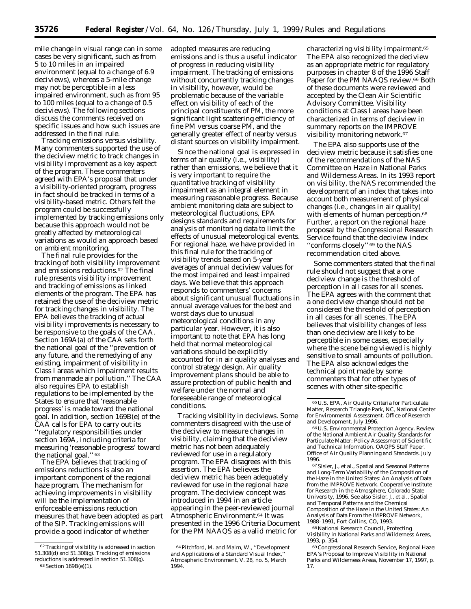mile change in visual range can in some cases be very significant, such as from 5 to 10 miles in an impaired environment (equal to a change of 6.9 deciviews), whereas a 5-mile change may not be perceptible in a less impaired environment, such as from 95 to 100 miles (equal to a change of 0.5 deciviews). The following sections discuss the comments received on specific issues and how such issues are addressed in the final rule.

*Tracking emissions versus visibility.* Many commenters supported the use of the deciview metric to track changes in visibility improvement as a key aspect of the program. These commenters agreed with EPA's proposal that under a visibility-oriented program, progress in fact should be tracked in terms of a visibility-based metric. Others felt the program could be successfully implemented by tracking emissions only because this approach would not be greatly affected by meteorological variations as would an approach based on ambient monitoring.

The final rule provides for the tracking of both visibility improvement and emissions reductions.62 The final rule presents visibility improvement and tracking of emissions as linked elements of the program. The EPA has retained the use of the deciview metric for tracking changes in visibility. The EPA believes the tracking of actual visibility improvements is necessary to be responsive to the goals of the CAA. Section 169A(a) of the CAA sets forth the national goal of the ''prevention of any future, and the remedying of any existing, impairment of visibility in Class I areas which impairment results from manmade air pollution.'' The CAA also requires EPA to establish regulations to be implemented by the States to ensure that 'reasonable progress' is made toward the national goal. In addition, section 169B(e) of the CAA calls for EPA to carry out its ''regulatory responsibilities under section 169A, including criteria for measuring 'reasonable progress' toward the national goal.'' 63

The EPA believes that tracking of emissions reductions is also an important component of the regional haze program. The mechanism for achieving improvements in visibility will be the implementation of enforceable emissions reduction measures that have been adopted as part of the SIP. Tracking emissions will provide a good indicator of whether

adopted measures are reducing emissions and is thus a useful indicator of progress in reducing visibility impairment. The tracking of emissions without concurrently tracking changes in visibility, however, would be problematic because of the variable effect on visibility of each of the principal constituents of PM, the more significant light scattering efficiency of fine PM versus coarse PM, and the generally greater effect of nearby versus distant sources on visibility impairment.

Since the national goal is expressed in terms of air quality (i.e., visibility) rather than emissions, we believe that it is very important to require the quantitative tracking of visibility impairment as an integral element in measuring reasonable progress. Because ambient monitoring data are subject to meteorological fluctuations, EPA designs standards and requirements for analysis of monitoring data to limit the effects of unusual meteorological events. For regional haze, we have provided in this final rule for the tracking of visibility trends based on 5-year averages of annual deciview values for the most impaired and least impaired days. We believe that this approach responds to commenters' concerns about significant unusual fluctuations in annual average values for the best and worst days due to unusual meteorological conditions in any particular year. However, it is also important to note that EPA has long held that normal meteorological variations should be explicitly accounted for in air quality analyses and control strategy design. Air quality improvement plans should be able to assure protection of public health and welfare under the normal and foreseeable range of meteorological conditions.

*Tracking visibility in deciviews.* Some commenters disagreed with the use of the deciview to measure changes in visibility, claiming that the deciview metric has not been adequately reviewed for use in a regulatory program. The EPA disagrees with this assertion. The EPA believes the deciview metric has been adequately reviewed for use in the regional haze program. The deciview concept was introduced in 1994 in an article appearing in the peer-reviewed journal Atmospheric Environment.64 It was presented in the 1996 Criteria Document for the PM NAAQS as a valid metric for

characterizing visibility impairment.65 The EPA also recognized the deciview as an appropriate metric for regulatory purposes in chapter 8 of the 1996 Staff Paper for the PM NAAQS review.<sup>66</sup> Both of these documents were reviewed and accepted by the Clean Air Scientific Advisory Committee. Visibility conditions at Class I areas have been characterized in terms of deciview in summary reports on the IMPROVE visibility monitoring network.<sup>67</sup>

The EPA also supports use of the deciview metric because it satisfies one of the recommendations of the NAS Committee on Haze in National Parks and Wilderness Areas. In its 1993 report on visibility, the NAS recommended the development of an index that takes into account both measurement of physical changes (i.e., changes in air quality) with elements of human perception.<sup>68</sup> Further, a report on the regional haze proposal by the Congressional Research Service found that the deciview index ''conforms closely'' 69 to the NAS recommendation cited above.

Some commenters stated that the final rule should not suggest that a one deciview change is the threshold of perception in all cases for all scenes. The EPA agrees with the comment that a one deciview change should not be considered the threshold of perception in all cases for all scenes. The EPA believes that visibility changes of less than one deciview are likely to be perceptible in some cases, especially where the scene being viewed is highly sensitive to small amounts of pollution. The EPA also acknowledges the technical point made by some commenters that for other types of scenes with other site-specific

67Sisler, J., *et al.,* Spatial and Seasonal Patterns and Long-Term Variability of the Composition of the Haze in the United States: An Analysis of Data from the IMPROVE Network. Cooperative Institute for Research in the Atmosphere, Colorado State University, 1996. See also Sisler, J., et al., Spatial and Temporal Patterns and the Chemical Composition of the Haze in the United States: An Analysis of Data From the IMPROVE Network, 1988–1991, Fort Collins, CO, 1993.

68National Research Council, Protecting Visibility in National Parks and Wilderness Areas, 1993, p. 354.

<sup>62</sup>Tracking of visibility is addressed in section 51.308(d) and 51.308(g). Tracking of emissions reductions is addressed in section 51.308(g). 63Section 169B(e)(1).

<sup>64</sup>Pitchford, M. and Malm, W., ''Development and Applications of a Standard Visual Index, Atmospheric Environment, V. 28, no. 5, March 1994.

<sup>65</sup>U.S. EPA, Air Quality Criteria for Particulate Matter, Research Triangle Park, NC, National Center for Environmental Assessment. Office of Research and Development, July 1996.

<sup>66</sup>U.S. Environmental Protection Agency. Review of the National Ambient Air Quality Standards for Particulate Matter: Policy Assessment of Scientific and Technical Information. OAQPS Staff Paper. Office of Air Quality Planning and Standards. July 1996.

<sup>69</sup>Congressional Research Service, Regional Haze: EPA's Proposal to Improve Visibility in National Parks and Wilderness Areas, November 17, 1997, p. 17.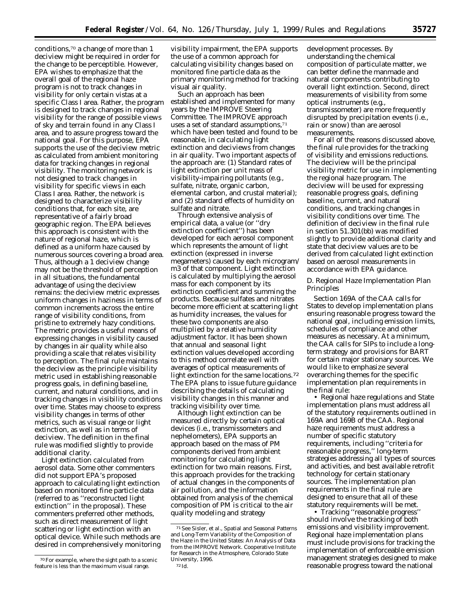conditions,70 a change of more than 1 deciview might be required in order for the change to be perceptible. However, EPA wishes to emphasize that the overall goal of the regional haze program is not to track changes in visibility for only certain vistas at a specific Class I area. Rather, the program is designed to track changes in regional visibility for the range of possible views of sky and terrain found in any Class I area, and to assure progress toward the national goal. For this purpose, EPA supports the use of the deciview metric as calculated from ambient monitoring data for tracking changes in regional visibility. The monitoring network is not designed to track changes in visibility for specific views in each Class I area. Rather, the network is designed to characterize visibility conditions that, for each site, are representative of a fairly broad geographic region. The EPA believes this approach is consistent with the nature of regional haze, which is defined as a uniform haze caused by numerous sources covering a broad area. Thus, although a 1 deciview change may not be the threshold of perception in all situations, the fundamental advantage of using the deciview remains: the deciview metric expresses uniform changes in haziness in terms of common increments across the entire range of visibility conditions, from pristine to extremely hazy conditions. The metric provides a useful means of expressing changes in visibility caused by changes in air quality while also providing a scale that relates visibility to perception. The final rule maintains the deciview as the principle visibility metric used in establishing reasonable progress goals, in defining baseline, current, and natural conditions, and in tracking changes in visibility conditions over time. States may choose to express visibility changes in terms of other metrics, such as visual range or light extinction, as well as in terms of deciview. The definition in the final rule was modified slightly to provide additional clarity.

*Light extinction calculated from aerosol data.* Some other commenters did not support EPA's proposed approach to calculating light extinction based on monitored fine particle data (referred to as ''reconstructed light extinction'' in the proposal). These commenters preferred other methods, such as direct measurement of light scattering or light extinction with an optical device. While such methods are desired in comprehensively monitoring

visibility impairment, the EPA supports the use of a common approach for calculating visibility changes based on monitored fine particle data as the primary monitoring method for tracking visual air quality.

Such an approach has been established and implemented for many years by the IMPROVE Steering Committee. The IMPROVE approach uses a set of standard assumptions,<sup>71</sup> which have been tested and found to be reasonable, in calculating light extinction and deciviews from changes in air quality. Two important aspects of the approach are: (1) Standard rates of light extinction per unit mass of visibility-impairing pollutants (e.g., sulfate, nitrate, organic carbon, elemental carbon, and crustal material); and (2) standard effects of humidity on sulfate and nitrate.

Through extensive analysis of empirical data, a value (or ''dry extinction coefficient'') has been developed for each aerosol component which represents the amount of light extinction (expressed in inverse megameters) caused by each microgram/ m3 of that component. Light extinction is calculated by multiplying the aerosol mass for each component by its extinction coefficient and summing the products. Because sulfates and nitrates become more efficient at scattering light as humidity increases, the values for these two components are also multiplied by a relative humidity adjustment factor. It has been shown that annual and seasonal light extinction values developed according to this method correlate well with averages of optical measurements of light extinction for the same locations.72 The EPA plans to issue future guidance describing the details of calculating visibility changes in this manner and tracking visibility over time.

Although light extinction can be measured directly by certain optical devices (i.e., transmissometers and nephelometers), EPA supports an approach based on the mass of PM components derived from ambient monitoring for calculating light extinction for two main reasons. First, this approach provides for the tracking of actual changes in the components of air pollution, and the information obtained from analysis of the chemical composition of PM is critical to the air quality modeling and strategy

development processes. By understanding the chemical composition of particulate matter, we can better define the manmade and natural components contributing to overall light extinction. Second, direct measurements of visibility from some optical instruments (e.g., transmissometer) are more frequently disrupted by precipitation events (i.e., rain or snow) than are aerosol measurements.

For all of the reasons discussed above, the final rule provides for the tracking of visibility and emissions reductions. The deciview will be the principal visibility metric for use in implementing the regional haze program. The deciview will be used for expressing reasonable progress goals, defining baseline, current, and natural conditions, and tracking changes in visibility conditions over time. The definition of deciview in the final rule in section 51.301(bb) was modified slightly to provide additional clarity and state that deciview values are to be derived from calculated light extinction based on aerosol measurements in accordance with EPA guidance.

#### *D. Regional Haze Implementation Plan Principles*

Section 169A of the CAA calls for States to develop implementation plans ensuring reasonable progress toward the national goal, including emission limits, schedules of compliance and other measures as necessary. At a minimum, the CAA calls for SIPs to include a longterm strategy and provisions for BART for certain major stationary sources. We would like to emphasize several overarching themes for the specific implementation plan requirements in the final rule:

• Regional haze regulations and State implementation plans must address all of the statutory requirements outlined in 169A and 169B of the CAA. Regional haze requirements must address a number of specific statutory requirements, including ''criteria for reasonable progress,'' long-term strategies addressing all types of sources and activities, and best available retrofit technology for certain stationary sources. The implementation plan requirements in the final rule are designed to ensure that all of these statutory requirements will be met.

• Tracking ''reasonable progress'' should involve the tracking of both emissions and visibility improvement. Regional haze implementation plans must include provisions for tracking the implementation of enforceable emission management strategies designed to make reasonable progress toward the national

<sup>70</sup>For example, where the sight path to a scenic feature is less than the maximum visual range.

<sup>71</sup>See Sisler, *et al.,* Spatial and Seasonal Patterns and Long-Term Variability of the Composition of the Haze in the United States: An Analysis of Data from the IMPROVE Network. Cooperative Institute for Research in the Atmosphere, Colorado State University, 1996. 72 Id.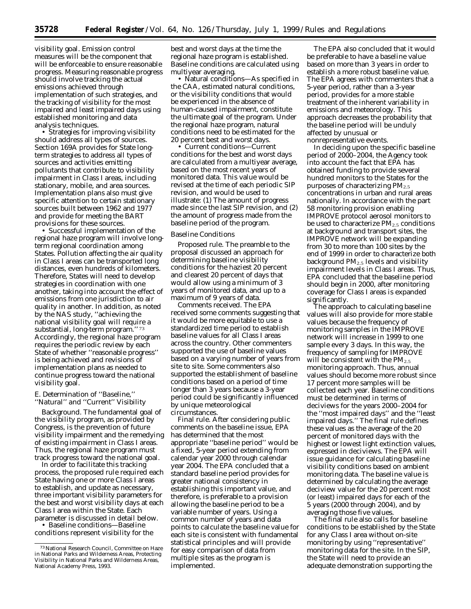visibility goal. Emission control measures will be the component that will be enforceable to ensure reasonable progress. Measuring reasonable progress should involve tracking the actual emissions achieved through implementation of such strategies, and the tracking of visibility for the most impaired and least impaired days using established monitoring and data analysis techniques.

• Strategies for improving visibility should address all types of sources. Section 169A provides for State longterm strategies to address all types of sources and activities emitting pollutants that contribute to visibility impairment in Class I areas, including stationary, mobile, and area sources. Implementation plans also must give specific attention to certain stationary sources built between 1962 and 1977 and provide for meeting the BART provisions for these sources.

• Successful implementation of the regional haze program will involve longterm regional coordination among States. Pollution affecting the air quality in Class I areas can be transported long distances, even hundreds of kilometers. Therefore, States will need to develop strategies in coordination with one another, taking into account the effect of emissions from one jurisdiction to air quality in another. In addition, as noted by the NAS study, ''achieving the national visibility goal will require a substantial, long-term program.'' 73 Accordingly, the regional haze program requires the periodic review by each State of whether ''reasonable progress'' is being achieved and revisions of implementation plans as needed to continue progress toward the national visibility goal.

## *E. Determination of ''Baseline,'' ''Natural'' and ''Current'' Visibility*

Background. The fundamental goal of the visibility program, as provided by Congress, is the prevention of future visibility impairment and the remedying of existing impairment in Class I areas. Thus, the regional haze program must track progress toward the national goal.

In order to facilitate this tracking process, the proposed rule required each State having one or more Class I areas to establish, and update as necessary, three important visibility parameters for the best and worst visibility days at each Class I area within the State. Each parameter is discussed in detail below.

• Baseline conditions—Baseline conditions represent visibility for the

best and worst days at the time the regional haze program is established. Baseline conditions are calculated using multiyear averaging.

• Natural conditions—As specified in the CAA, estimated natural conditions, or the visibility conditions that would be experienced in the absence of human-caused impairment, constitute the ultimate goal of the program. Under the regional haze program, natural conditions need to be estimated for the 20 percent best and worst days.

• Current conditions—Current conditions for the best and worst days are calculated from a multiyear average, based on the most recent years of monitored data. This value would be revised at the time of each periodic SIP revision, and would be used to illustrate: (1) The amount of progress made since the last SIP revision, and (2) the amount of progress made from the baseline period of the program.

#### Baseline Conditions

*Proposed rule*. The preamble to the proposal discussed an approach for determining baseline visibility conditions for the haziest 20 percent and clearest 20 percent of days that would allow using a minimum of 3 years of monitored data, and up to a maximum of 9 years of data.

*Comments received*. The EPA received some comments suggesting that it would be more equitable to use a standardized time period to establish baseline values for all Class I areas across the country. Other commenters supported the use of baseline values based on a varying number of years from site to site. Some commenters also supported the establishment of baseline conditions based on a period of time longer than 3 years because a 3-year period could be significantly influenced by unique meteorological circumstances.

*Final rule*. After considering public comments on the baseline issue, EPA has determined that the most appropriate ''baseline period'' would be a fixed, 5-year period extending from calendar year 2000 through calendar year 2004. The EPA concluded that a standard baseline period provides for greater national consistency in establishing this important value, and therefore, is preferable to a provision allowing the baseline period to be a variable number of years. Using a common number of years and data points to calculate the baseline value for each site is consistent with fundamental statistical principles and will provide for easy comparison of data from multiple sites as the program is implemented.

The EPA also concluded that it would be preferable to have a baseline value based on more than 3 years in order to establish a more robust baseline value. The EPA agrees with commenters that a 5-year period, rather than a 3-year period, provides for a more stable treatment of the inherent variability in emissions and meteorology. This approach decreases the probability that the baseline period will be unduly affected by unusual or nonrepresentative events.

In deciding upon the specific baseline period of 2000–2004, the Agency took into account the fact that EPA has obtained funding to provide several hundred monitors to the States for the purposes of characterizing  $PM_{2.5}$ concentrations in urban and rural areas nationally. In accordance with the part 58 monitoring provision enabling IMPROVE protocol aerosol monitors to be used to characterize  $PM_{2.5}$  conditions at background and transport sites, the IMPROVE network will be expanding from 30 to more than 100 sites by the end of 1999 in order to characterize both background  $PM<sub>2.5</sub>$  levels and visibility impairment levels in Class I areas. Thus, EPA concluded that the baseline period should begin in 2000, after monitoring coverage for Class I areas is expanded significantly.

The approach to calculating baseline values will also provide for more stable values because the frequency of monitoring samples in the IMPROVE network will increase in 1999 to one sample every 3 days. In this way, the frequency of sampling for IMPROVE will be consistent with the  $PM_{2.5}$ monitoring approach. Thus, annual values should become more robust since 17 percent more samples will be collected each year. Baseline conditions must be determined in terms of deciviews for the years 2000–2004 for the ''most impaired days'' and the ''least impaired days.'' The final rule defines these values as the average of the 20 percent of monitored days with the highest or lowest light extinction values, expressed in deciviews. The EPA will issue guidance for calculating baseline visibility conditions based on ambient monitoring data. The baseline value is determined by calculating the average deciview value for the 20 percent most (or least) impaired days for each of the 5 years (2000 through 2004), and by averaging those five values.

The final rule also calls for baseline conditions to be established by the State for any Class I area without on-site monitoring by using ''representative'' monitoring data for the site. In the SIP, the State will need to provide an adequate demonstration supporting the

<sup>73</sup>National Research Council, Committee on Haze in National Parks and Wilderness Areas, Protecting Visibility in National Parks and Wilderness Areas, National Academy Press, 1993.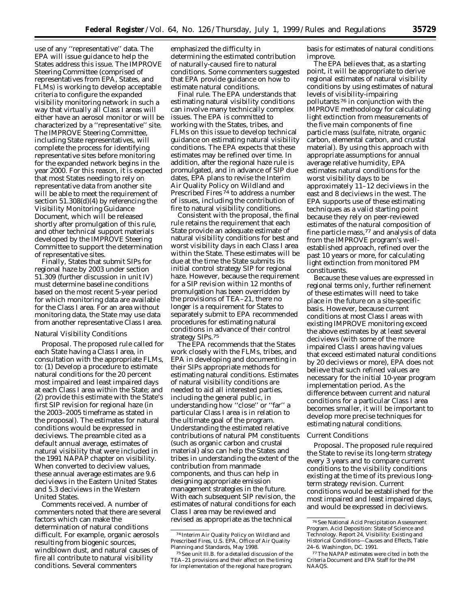use of any ''representative'' data. The EPA will issue guidance to help the States address this issue. The IMPROVE Steering Committee (comprised of representatives from EPA, States, and FLMs) is working to develop acceptable criteria to configure the expanded visibility monitoring network in such a way that virtually all Class I areas will either have an aerosol monitor or will be characterized by a ''representative'' site. The IMPROVE Steering Committee, including State representatives, will complete the process for identifying representative sites before monitoring for the expanded network begins in the year 2000. For this reason, it is expected that most States needing to rely on representative data from another site will be able to meet the requirement of section 51.308(d)(4) by referencing the Visibility Monitoring Guidance Document, which will be released shortly after promulgation of this rule, and other technical support materials developed by the IMPROVE Steering Committee to support the determination of representative sites.

Finally, States that submit SIPs for regional haze by 2003 under section 51.309 (further discussion in unit IV) must determine baseline conditions based on the most recent 5-year period for which monitoring data are available for the Class I area. For an area without monitoring data, the State may use data from another representative Class I area.

## Natural Visibility Conditions

*Proposal.* The proposed rule called for each State having a Class I area, in consultation with the appropriate FLMs, to: (1) Develop a procedure to estimate natural conditions for the 20 percent most impaired and least impaired days at each Class I area within the State; and (2) provide this estimate with the State's first SIP revision for regional haze (in the 2003–2005 timeframe as stated in the proposal). The estimates for natural conditions would be expressed in deciviews. The preamble cited as a default annual average, estimates of natural visibility that were included in the 1991 NAPAP chapter on visibility. When converted to deciview values, these annual average estimates are 9.6 deciviews in the Eastern United States and 5.3 deciviews in the Western United States.

*Comments received*. A number of commenters noted that there are several factors which can make the determination of natural conditions difficult. For example, organic aerosols resulting from biogenic sources, windblown dust, and natural causes of fire all contribute to natural visibility conditions. Several commenters

emphasized the difficulty in determining the estimated contribution of naturally-caused fire to natural conditions. Some commenters suggested that EPA provide guidance on how to estimate natural conditions.

*Final rule*. The EPA understands that estimating natural visibility conditions can involve many technically complex issues. The EPA is committed to working with the States, tribes, and FLMs on this issue to develop technical guidance on estimating natural visibility conditions. The EPA expects that these estimates may be refined over time. In addition, after the regional haze rule is promulgated, and in advance of SIP due dates, EPA plans to revise the Interim Air Quality Policy on Wildland and Prescribed Fires<sup>74</sup> to address a number of issues, including the contribution of fire to natural visibility conditions.

Consistent with the proposal, the final rule retains the requirement that each State provide an adequate estimate of natural visibility conditions for best and worst visibility days in each Class I area within the State. These estimates will be due at the time the State submits its initial control strategy SIP for regional haze. However, because the requirement for a SIP revision within 12 months of promulgation has been overridden by the provisions of TEA–21, there no longer is a requirement for States to separately submit to EPA recommended procedures for estimating natural conditions in advance of their control strategy SIPs.75

The EPA recommends that the States work closely with the FLMs, tribes, and EPA in developing and documenting in their SIPs appropriate methods for estimating natural conditions. Estimates of natural visibility conditions are needed to aid all interested parties, including the general public, in understanding how ''close'' or ''far'' a particular Class I area is in relation to the ultimate goal of the program. Understanding the estimated relative contributions of natural PM constituents (such as organic carbon and crustal material) also can help the States and tribes in understanding the extent of the contribution from manmade components, and thus can help in designing appropriate emission management strategies in the future. With each subsequent SIP revision, the estimates of natural conditions for each Class I area may be reviewed and revised as appropriate as the technical

basis for estimates of natural conditions improve.

The EPA believes that, as a starting point, it will be appropriate to derive regional estimates of natural visibility conditions by using estimates of natural levels of visibility-impairing pollutants 76 in conjunction with the IMPROVE methodology for calculating light extinction from measurements of the five main components of fine particle mass (sulfate, nitrate, organic carbon, elemental carbon, and crustal material). By using this approach with appropriate assumptions for annual average relative humidity, EPA estimates natural conditions for the worst visibility days to be approximately 11–12 deciviews in the east and 8 deciviews in the west. The EPA supports use of these estimating techniques as a valid starting point because they rely on peer-reviewed estimates of the natural composition of fine particle mass,77 and analysis of data from the IMPROVE program's wellestablished approach, refined over the past 10 years or more, for calculating light extinction from monitored PM constituents.

Because these values are expressed in regional terms only, further refinement of these estimates will need to take place in the future on a site-specific basis. However, because current conditions at most Class I areas with existing IMPROVE monitoring exceed the above estimates by at least several deciviews (with some of the more impaired Class I areas having values that exceed estimated natural conditions by 20 deciviews or more), EPA does not believe that such refined values are necessary for the initial 10-year program implementation period. As the difference between current and natural conditions for a particular Class I area becomes smaller, it will be important to develop more precise techniques for estimating natural conditions.

#### Current Conditions

*Proposal*. The proposed rule required the State to revise its long-term strategy every 3 years and to compare current conditions to the visibility conditions existing at the time of its previous longterm strategy revision. Current conditions would be established for the most impaired and least impaired days, and would be expressed in deciviews.

<sup>74</sup> Interim Air Quality Policy on Wildland and Prescribed Fires, U.S. EPA, Office of Air Quality Planning and Standards, May 1998.

<sup>75</sup>See unit III.B. for a detailed discussion of the TEA–21 provisions and their affect on the timing for implementation of the regional haze program.

<sup>76</sup>See National Acid Precipitation Assessment Program. Acid Deposition: State of Science and Technology. Report 24, Visibility: Existing and Historical Conditions—Causes and Effects, Table 24–6. Washington, DC. 1991.

<sup>77</sup>The NAPAP estimates were cited in both the Criteria Document and EPA Staff for the PM NAAQS.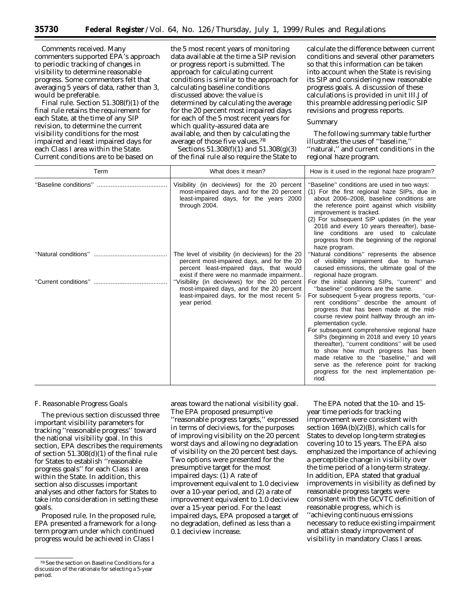*Comments received*. Many commenters supported EPA's approach to periodic tracking of changes in visibility to determine reasonable progress. Some commenters felt that averaging 5 years of data, rather than 3, would be preferable.

*Final rule*. Section 51.308(f)(1) of the final rule retains the requirement for each State, at the time of any SIP revision, to determine the current visibility conditions for the most impaired and least impaired days for each Class I area within the State. Current conditions are to be based on

the 5 most recent years of monitoring data available at the time a SIP revision or progress report is submitted. The approach for calculating current conditions is similar to the approach for calculating baseline conditions discussed above: the value is determined by calculating the average for the 20 percent most impaired days for each of the 5 most recent years for which quality-assured data are available, and then by calculating the average of those five values.78

Sections 51.308(f)(1) and 51.308(g)(3) of the final rule also require the State to

calculate the difference between current conditions and several other parameters so that this information can be taken into account when the State is revising its SIP and considering new reasonable progress goals. A discussion of these calculations is provided in unit III.J of this preamble addressing periodic SIP revisions and progress reports.

## Summary

The following summary table further illustrates the uses of ''baseline,'' ''natural,'' and current conditions in the regional haze program.

| Term | What does it mean?                                                                                                                                                                      | How is it used in the regional haze program?                                                                                                                                                                                                                                                                                                                                                                                                                                                                                                                                                                                       |  |
|------|-----------------------------------------------------------------------------------------------------------------------------------------------------------------------------------------|------------------------------------------------------------------------------------------------------------------------------------------------------------------------------------------------------------------------------------------------------------------------------------------------------------------------------------------------------------------------------------------------------------------------------------------------------------------------------------------------------------------------------------------------------------------------------------------------------------------------------------|--|
|      | Visibility (in deciviews) for the 20 percent<br>most-impaired days, and for the 20 percent<br>least-impaired days, for the years 2000<br>through 2004.                                  | "Baseline" conditions are used in two ways:<br>(1) For the first regional haze SIPs, due in<br>about 2006-2008, baseline conditions are<br>the reference point against which visibility<br>improvement is tracked.<br>(2) For subsequent SIP updates (in the year<br>2018 and every 10 years thereafter), base-<br>line conditions are used to calculate<br>progress from the beginning of the regional<br>haze program.                                                                                                                                                                                                           |  |
|      | The level of visibility (in deciviews) for the 20<br>percent most-impaired days, and for the 20<br>percent least-impaired days, that would<br>exist if there were no manmade impairment | "Natural conditions" represents the absence<br>of visibility impairment due to human-<br>caused emissions, the ultimate goal of the<br>regional haze program.                                                                                                                                                                                                                                                                                                                                                                                                                                                                      |  |
|      | "Visibility (in deciviews) for the 20 percent<br>most-impaired days, and for the 20 percent<br>least-impaired days, for the most recent 5-<br>year period.                              | For the initial planning SIPs, "current" and<br>"baseline" conditions are the same.<br>For subsequent 5-year progress reports, "cur-<br>rent conditions" describe the amount of<br>progress that has been made at the mid-<br>course review point halfway through an im-<br>plementation cycle.<br>For subsequent comprehensive regional haze<br>SIPs (beginning in 2018 and every 10 years<br>thereafter), "current conditions" will be used<br>to show how much progress has been<br>made relative to the "baseline," and will<br>serve as the reference point for tracking<br>progress for the next implementation pe-<br>riod. |  |

#### *F. Reasonable Progress Goals*

The previous section discussed three important visibility parameters for tracking ''reasonable progress'' toward the national visibility goal. In this section, EPA describes the requirements of section 51.308(d)(1) of the final rule for States to establish ''reasonable progress goals'' for each Class I area within the State. In addition, this section also discusses important analyses and other factors for States to take into consideration in setting these goals.

*Proposed rule.* In the proposed rule, EPA presented a framework for a longterm program under which continued progress would be achieved in Class I

areas toward the national visibility goal. The EPA proposed presumptive ''reasonable progress targets,'' expressed in terms of deciviews, for the purposes of improving visibility on the 20 percent worst days and allowing no degradation of visibility on the 20 percent best days. Two options were presented for the presumptive target for the most impaired days: (1) A rate of improvement equivalent to 1.0 deciview over a 10-year period, and (2) a rate of improvement equivalent to 1.0 deciview over a 15-year period. For the least impaired days, EPA proposed a target of no degradation, defined as less than a 0.1 deciview increase.

The EPA noted that the 10- and 15 year time periods for tracking improvement were consistent with section  $169A(b)(2)(B)$ , which calls for States to develop long-term strategies covering 10 to 15 years. The EPA also emphasized the importance of achieving a perceptible change in visibility over the time period of a long-term strategy. In addition, EPA stated that gradual improvements in visibility as defined by reasonable progress targets were consistent with the GCVTC definition of reasonable progress, which is ''achieving continuous emissions

necessary to reduce existing impairment and attain steady improvement of visibility in mandatory Class I areas.

<sup>78</sup>See the section on Baseline Conditions for a discussion of the rationale for selecting a 5-year period.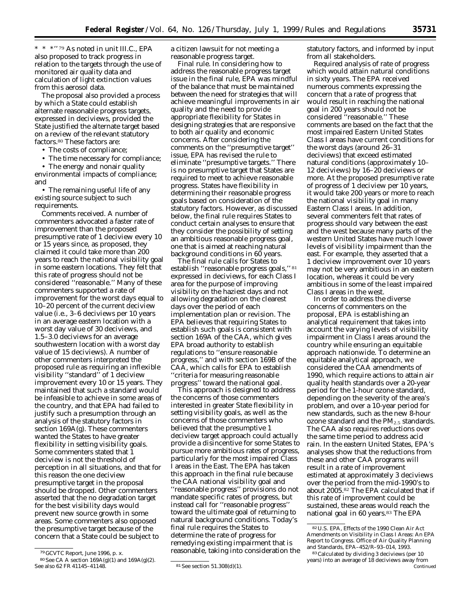\* \* \*'' 79 As noted in unit III.C., EPA also proposed to track progress in relation to the targets through the use of monitored air quality data and calculation of light extinction values from this aerosol data.

The proposal also provided a process by which a State could establish alternate reasonable progress targets, expressed in deciviews, provided the State justified the alternate target based on a review of the relevant statutory factors.80 These factors are:

- The costs of compliance;
- The time necessary for compliance;

• The energy and nonair quality environmental impacts of compliance; and

• The remaining useful life of any existing source subject to such requirements.

*Comments received.* A number of commenters advocated a faster rate of improvement than the proposed presumptive rate of 1 deciview every 10 or 15 years since, as proposed, they claimed it could take more than 200 years to reach the national visibility goal in some eastern locations. They felt that this rate of progress should not be considered ''reasonable.'' Many of these commenters supported a rate of improvement for the worst days equal to 10–20 percent of the current deciview value (i.e., 3–6 deciviews per 10 years in an average eastern location with a worst day value of 30 deciviews, and 1.5–3.0 deciviews for an average southwestern location with a worst day value of 15 deciviews). A number of other commenters interpreted the proposed rule as requiring an inflexible visibility ''standard'' of 1 deciview improvement every 10 or 15 years. They maintained that such a standard would be infeasible to achieve in some areas of the country, and that EPA had failed to justify such a presumption through an analysis of the statutory factors in section 169A(g). These commenters wanted the States to have greater flexibility in setting visibility goals. Some commenters stated that 1 deciview is not the threshold of perception in all situations, and that for this reason the one deciview presumptive target in the proposal should be dropped. Other commenters asserted that the no degradation target for the best visibility days would prevent new source growth in some areas. Some commenters also opposed the presumptive target because of the concern that a State could be subject to

a citizen lawsuit for not meeting a reasonable progress target.

*Final rule.* In considering how to address the reasonable progress target issue in the final rule, EPA was mindful of the balance that must be maintained between the need for strategies that will achieve meaningful improvements in air quality and the need to provide appropriate flexibility for States in designing strategies that are responsive to both air quality and economic concerns. After considering the comments on the ''presumptive target'' issue, EPA has revised the rule to eliminate ''presumptive targets.'' There is no presumptive target that States are required to meet to achieve reasonable progress. States have flexibility in determining their reasonable progress goals based on consideration of the statutory factors. However, as discussed below, the final rule requires States to conduct certain analyses to ensure that they consider the possibility of setting an ambitious reasonable progress goal, one that is aimed at reaching natural background conditions in 60 years.

The final rule calls for States to establish ''reasonable progress goals,'' 81 expressed in deciviews, for each Class I area for the purpose of improving visibility on the haziest days and not allowing degradation on the clearest days over the period of each implementation plan or revision. The EPA believes that requiring States to establish such goals is consistent with section 169A of the CAA, which gives EPA broad authority to establish regulations to ''ensure reasonable progress,'' and with section 169B of the CAA, which calls for EPA to establish ''criteria for measuring reasonable progress'' toward the national goal.

This approach is designed to address the concerns of those commenters interested in greater State flexibility in setting visibility goals, as well as the concerns of those commenters who believed that the presumptive 1 deciview target approach could actually provide a disincentive for some States to pursue more ambitious rates of progress, particularly for the most impaired Class I areas in the East. The EPA has taken this approach in the final rule because the CAA national visibility goal and ''reasonable progress'' provisions do not mandate specific rates of progress, but instead call for ''reasonable progress'' toward the ultimate goal of returning to natural background conditions. Today's final rule requires the States to determine the rate of progress for remedying existing impairment that is reasonable, taking into consideration the

statutory factors, and informed by input from all stakeholders.

*Required analysis of rate of progress which would attain natural conditions in sixty years.* The EPA received numerous comments expressing the concern that a rate of progress that would result in reaching the national goal in 200 years should not be considered ''reasonable.'' These comments are based on the fact that the most impaired Eastern United States Class I areas have current conditions for the worst days (around 26–31 deciviews) that exceed estimated natural conditions (approximately 10– 12 deciviews) by 16–20 deciviews or more. At the proposed presumptive rate of progress of 1 deciview per 10 years, it would take 200 years or more to reach the national visibility goal in many Eastern Class I areas. In addition, several commenters felt that rates of progress should vary between the east and the west because many parts of the western United States have much lower levels of visibility impairment than the east. For example, they asserted that a 1 deciview improvement over 10 years may not be very ambitious in an eastern location, whereas it could be very ambitious in some of the least impaired Class I areas in the west.

In order to address the diverse concerns of commenters on the proposal, EPA is establishing an analytical requirement that takes into account the varying levels of visibility impairment in Class I areas around the country while ensuring an equitable approach nationwide. To determine an equitable analytical approach, we considered the CAA amendments of 1990, which require actions to attain air quality health standards over a 20-year period for the 1-hour ozone standard, depending on the severity of the area's problem, and over a 10-year period for new standards, such as the new 8-hour ozone standard and the  $PM_{2.5}$  standards. The CAA also requires reductions over the same time period to address acid rain. In the eastern United States, EPA's analyses show that the reductions from these and other CAA programs will result in a rate of improvement estimated at approximately 3 deciviews over the period from the mid-1990's to about 2005.82 The EPA calculated that if this rate of improvement could be sustained, these areas would reach the national goal in 60 years.83 The EPA

<sup>79</sup> GCVTC Report, June 1996, p. x.

 $80$  See CA A section 169A(g)(1) and 169A(g)(2).<br>See also 62 FR 41145-41148.

 $81$  See section  $51.308(d)(1)$ .

<sup>82</sup>U.S. EPA, Effects of the 1990 Clean Air Act Amendments on Visibility in Class I Areas: An EPA Report to Congress. Office of Air Quality Planning and Standards, EPA–452/R–93–014, 1993.

<sup>83</sup>Calculated by dividing 3 deciviews (per 10 years) into an average of 18 deciviews away from Continued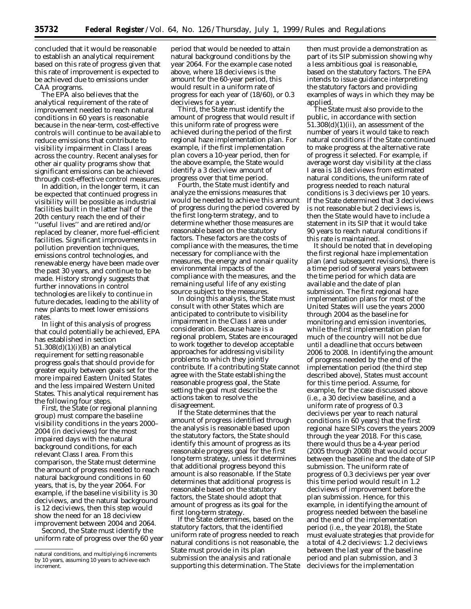concluded that it would be reasonable to establish an analytical requirement based on this rate of progress given that this rate of improvement is expected to be achieved due to emissions under CAA programs.

The EPA also believes that the analytical requirement of the rate of improvement needed to reach natural conditions in 60 years is reasonable because in the near-term, cost-effective controls will continue to be available to reduce emissions that contribute to visibility impairment in Class I areas across the country. Recent analyses for other air quality programs show that significant emissions can be achieved through cost-effective control measures.

In addition, in the longer term, it can be expected that continued progress in visibility will be possible as industrial facilities built in the latter half of the 20th century reach the end of their ''useful lives'' and are retired and/or replaced by cleaner, more fuel-efficient facilities. Significant improvements in pollution prevention techniques, emissions control technologies, and renewable energy have been made over the past 30 years, and continue to be made. History strongly suggests that further innovations in control technologies are likely to continue in future decades, leading to the ability of new plants to meet lower emissions rates.

In light of this analysis of progress that could potentially be achieved, EPA has established in section  $51.308(d)(1)(i)(B)$  an analytical requirement for setting reasonable progress goals that should provide for greater equity between goals set for the more impaired Eastern United States and the less impaired Western United States. This analytical requirement has the following four steps.

First, the State (or regional planning group) must compare the baseline visibility conditions in the years 2000– 2004 (in deciviews) for the most impaired days with the natural background conditions, for each relevant Class I area. From this comparison, the State must determine the amount of progress needed to reach natural background conditions in 60 years, that is, by the year 2064. For example, if the baseline visibility is 30 deciviews, and the natural background is 12 deciviews, then this step would show the need for an 18 deciview improvement between 2004 and 2064.

Second, the State must identify the uniform rate of progress over the 60 year

period that would be needed to attain natural background conditions by the year 2064. For the example case noted above, where 18 deciviews is the amount for the 60-year period, this would result in a uniform rate of progress for each year of (18/60), or 0.3 deciviews for a year.

Third, the State must identify the amount of progress that would result if this uniform rate of progress were achieved during the period of the first regional haze implementation plan. For example, if the first implementation plan covers a 10-year period, then for the above example, the State would identify a 3 deciview amount of progress over that time period.

Fourth, the State must identify and analyze the emissions measures that would be needed to achieve this amount of progress during the period covered by the first long-term strategy, and to determine whether those measures are reasonable based on the statutory factors. These factors are the costs of compliance with the measures, the time necessary for compliance with the measures, the energy and nonair quality environmental impacts of the compliance with the measures, and the remaining useful life of any existing source subject to the measures.

In doing this analysis, the State must consult with other States which are anticipated to contribute to visibility impairment in the Class I area under consideration. Because haze is a regional problem, States are encouraged to work together to develop acceptable approaches for addressing visibility problems to which they jointly contribute. If a contributing State cannot agree with the State establishing the reasonable progress goal, the State setting the goal must describe the actions taken to resolve the disagreement.

If the State determines that the amount of progress identified through the analysis is reasonable based upon the statutory factors, the State should identify this amount of progress as its reasonable progress goal for the first long-term strategy, unless it determines that additional progress beyond this amount is also reasonable. If the State determines that additional progress is reasonable based on the statutory factors, the State should adopt that amount of progress as its goal for the first long-term strategy.

If the State determines, based on the statutory factors, that the identified uniform rate of progress needed to reach natural conditions is not reasonable, the State must provide in its plan submission the analysis and rationale supporting this determination. The State

then must provide a demonstration as part of its SIP submission showing why a less ambitious goal is reasonable, based on the statutory factors. The EPA intends to issue guidance interpreting the statutory factors and providing examples of ways in which they may be applied.

The State must also provide to the public, in accordance with section  $51.308(d)(1)(ii)$ , an assessment of the number of years it would take to reach natural conditions if the State continued to make progress at the alternative rate of progress it selected. For example, if average worst day visibility at the class I area is 18 deciviews from estimated natural conditions, the uniform rate of progress needed to reach natural conditions is 3 deciviews per 10 years. If the State determined that 3 deciviews is not reasonable but 2 deciviews is, then the State would have to include a statement in its SIP that it would take 90 years to reach natural conditions if this rate is maintained.

It should be noted that in developing the first regional haze implementation plan (and subsequent revisions), there is a time period of several years between the time period for which data are available and the date of plan submission. The first regional haze implementation plans for most of the United States will use the years 2000 through 2004 as the baseline for monitoring and emission inventories, while the first implementation plan for much of the country will not be due until a deadline that occurs between 2006 to 2008. In identifying the amount of progress needed by the end of the implementation period (the third step described above), States must account for this time period. Assume, for example, for the case discussed above (i.e., a 30 deciview baseline, and a uniform rate of progress of 0.3 deciviews per year to reach natural conditions in 60 years) that the first regional haze SIPs covers the years 2009 through the year 2018. For this case, there would thus be a 4-year period (2005 through 2008) that would occur between the baseline and the date of SIP submission. The uniform rate of progress of 0.3 deciviews per year over this time period would result in 1.2 deciviews of improvement before the plan submission. Hence, for this example, in identifying the amount of progress needed between the baseline and the end of the implementation period (i.e., the year 2018), the State must evaluate strategies that provide for a total of 4.2 deciviews: 1.2 deciviews between the last year of the baseline period and plan submission, and 3 deciviews for the implementation

natural conditions, and multiplying 6 increments by 10 years, assuming 10 years to achieve each increment.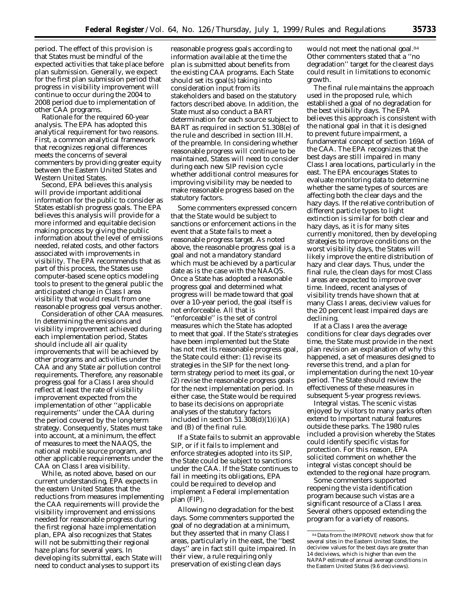period. The effect of this provision is that States must be mindful of the expected activities that take place before plan submission. Generally, we expect for the first plan submission period that progress in visibility improvement will continue to occur during the 2004 to 2008 period due to implementation of other CAA programs.

*Rationale for the required 60-year analysis.* The EPA has adopted this analytical requirement for two reasons. First, a common analytical framework that recognizes regional differences meets the concerns of several commenters by providing greater equity between the Eastern United States and Western United States.

Second, EPA believes this analysis will provide important additional information for the public to consider as States establish progress goals. The EPA believes this analysis will provide for a more informed and equitable decision making process by giving the public information about the level of emissions needed, related costs, and other factors associated with improvements in visibility. The EPA recommends that as part of this process, the States use computer-based scene optics modeling tools to present to the general public the anticipated change in Class I area visibility that would result from one reasonable progress goal versus another.

*Consideration of other CAA measures.* In determining the emissions and visibility improvement achieved during each implementation period, States should include all air quality improvements that will be achieved by other programs and activities under the CAA and any State air pollution control requirements. Therefore, any reasonable progress goal for a Class I area should reflect at least the rate of visibility improvement expected from the implementation of other ''applicable requirements'' under the CAA during the period covered by the long-term strategy. Consequently, States must take into account, at a minimum, the effect of measures to meet the NAAQS, the national mobile source program, and other applicable requirements under the CAA on Class I area visibility.

While, as noted above, based on our current understanding, EPA expects in the eastern United States that the reductions from measures implementing the CAA requirements will provide the visibility improvement and emissions needed for reasonable progress during the first regional haze implementation plan, EPA also recognizes that States will not be submitting their regional haze plans for several years. In developing its submittal, each State will need to conduct analyses to support its

reasonable progress goals according to information available at the time the plan is submitted about benefits from the existing CAA programs. Each State should set its goal(s) taking into consideration input from its stakeholders and based on the statutory factors described above. In addition, the State must also conduct a BART determination for each source subject to BART as required in section 51.308(e) of the rule and described in section III.H. of the preamble. In considering whether reasonable progress will continue to be maintained, States will need to consider during each new SIP revision cycle whether additional control measures for improving visibility may be needed to make reasonable progress based on the statutory factors.

Some commenters expressed concern that the State would be subject to sanctions or enforcement actions in the event that a State fails to meet a reasonable progress target. As noted above, the reasonable progress goal is a *goal* and not a mandatory standard which must be achieved by a particular date as is the case with the NAAQS. Once a State has adopted a reasonable progress goal and determined what progress will be made toward that goal over a 10-year period, the goal itself is not enforceable. All that is ''enforceable'' is the set of control measures which the State has adopted to meet that goal. If the State's strategies have been implemented but the State has not met its reasonable progress goal, the State could either: (1) revise its strategies in the SIP for the next longterm strategy period to meet its goal, or (2) revise the reasonable progress goals for the next implementation period. In either case, the State would be required to base its decisions on appropriate analyses of the statutory factors included in section  $51.308(d)(1)(i)(A)$ and (B) of the final rule.

If a State fails to submit an approvable SIP, or if it fails to implement and enforce strategies adopted into its SIP, the State could be subject to sanctions under the CAA. If the State continues to fail in meeting its obligations, EPA could be required to develop and implement a Federal implementation plan (FIP).

*Allowing no degradation for the best days.* Some commenters supported the goal of no degradation at a minimum, but they asserted that in many Class I areas, particularly in the east, the ''best days'' are in fact still quite impaired. In their view, a rule requiring only preservation of existing clean days

would not meet the national goal.84 Other commenters stated that a ''no degradation'' target for the clearest days could result in limitations to economic growth.

The final rule maintains the approach used in the proposed rule, which established a goal of no degradation for the best visibility days. The EPA believes this approach is consistent with the national goal in that it is designed to prevent future impairment, a fundamental concept of section 169A of the CAA. The EPA recognizes that the best days are still impaired in many Class I area locations, particularly in the east. The EPA encourages States to evaluate monitoring data to determine whether the same types of sources are affecting both the clear days and the hazy days. If the relative contribution of different particle types to light extinction is similar for both clear and hazy days, as it is for many sites currently monitored, then by developing strategies to improve conditions on the worst visibility days, the States will likely improve the entire distribution of hazy and clear days. Thus, under the final rule, the clean days for most Class I areas are expected to improve over time. Indeed, recent analyses of visibility trends have shown that at many Class I areas, deciview values for the 20 percent least impaired days are declining.

If at a Class I area the average conditions for clear days degrades over time, the State must provide in the next plan revision an explanation of why this happened, a set of measures designed to reverse this trend, and a plan for implementation during the next 10-year period. The State should review the effectiveness of these measures in subsequent 5-year progress reviews.

*Integral vistas.* The scenic vistas enjoyed by visitors to many parks often extend to important natural features outside these parks. The 1980 rules included a provision whereby the States could identify specific vistas for protection. For this reason, EPA solicited comment on whether the integral vistas concept should be extended to the regional haze program.

Some commenters supported reopening the vista identification program because such vistas are a significant resource of a Class I area. Several others opposed extending the program for a variety of reasons.

<sup>84</sup> Data from the IMPROVE network show that for several sites in the Eastern United States, the deciview values for the best days are greater than 14 deciviews, which is higher than even the NAPAP estimate of annual average conditions in the Eastern United States (9.6 deciviews).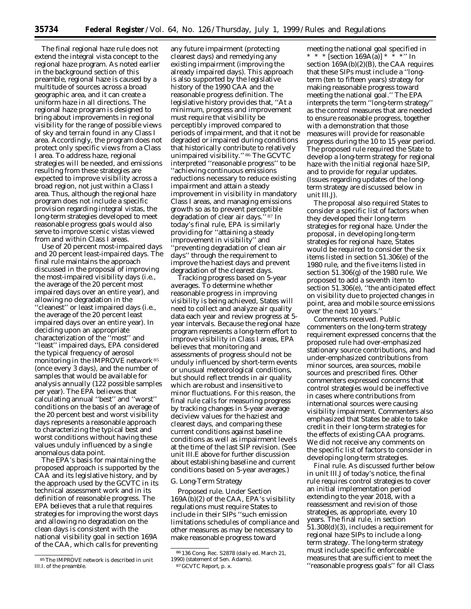The final regional haze rule does not extend the integral vista concept to the regional haze program. As noted earlier in the background section of this preamble, regional haze is caused by a multitude of sources across a broad geographic area, and it can create a uniform haze in all directions. The regional haze program is designed to bring about improvements in regional visibility for the range of possible views of sky and terrain found in any Class I area. Accordingly, the program does not protect only specific views from a Class I area. To address haze, regional strategies will be needed, and emissions resulting from these strategies are expected to improve visibility across a broad region, not just within a Class I area. Thus, although the regional haze program does not include a specific provision regarding integral vistas, the long-term strategies developed to meet reasonable progress goals would also serve to improve scenic vistas viewed from and within Class I areas.

*Use of 20 percent most-impaired days and 20 percent least-impaired days.* The final rule maintains the approach discussed in the proposal of improving the most-impaired visibility days (i.e., the average of the 20 percent most impaired days over an entire year), and allowing no degradation in the ''cleanest'' or least impaired days (i.e., the average of the 20 percent least impaired days over an entire year). In deciding upon an appropriate characterization of the ''most'' and ''least'' impaired days, EPA considered the typical frequency of aerosol monitoring in the IMPROVE network 85 (once every 3 days), and the number of samples that would be available for analysis annually (122 possible samples per year). The EPA believes that calculating annual ''best'' and ''worst'' conditions on the basis of an average of the 20 percent best and worst visibility days represents a reasonable approach to characterizing the typical best and worst conditions without having these values unduly influenced by a single anomalous data point.

The EPA's basis for maintaining the proposed approach is supported by the CAA and its legislative history, and by the approach used by the GCVTC in its technical assessment work and in its definition of reasonable progress. The EPA believes that a rule that requires strategies for improving the worst days and allowing no degradation on the clean days is consistent with the national visibility goal in section 169A of the CAA, which calls for preventing

any future impairment (protecting clearest days) and remedying any existing impairment (improving the already impaired days). This approach is also supported by the legislative history of the 1990 CAA and the reasonable progress definition. The legislative history provides that, ''At a minimum, progress and improvement must require that visibility be perceptibly improved compared to periods of impairment, and that it not be degraded or impaired during conditions that historically contribute to relatively unimpaired visibility.'' 86 The GCVTC interpreted ''reasonable progress'' to be ''achieving continuous emissions reductions necessary to reduce existing impairment and attain a steady improvement in visibility in mandatory Class I areas, and managing emissions growth so as to prevent perceptible degradation of clear air days.'' 87 In today's final rule, EPA is similarly providing for ''attaining a steady improvement in visibility'' and ''preventing degradation of clean air days'' through the requirement to improve the haziest days and prevent degradation of the clearest days.

*Tracking progress based on 5-year averages.* To determine whether reasonable progress in improving visibility is being achieved, States will need to collect and analyze air quality data each year and review progress at 5 year intervals. Because the regional haze program represents a long-term effort to improve visibility in Class I areas, EPA believes that monitoring and assessments of progress should not be unduly influenced by short-term events or unusual meteorological conditions, but should reflect trends in air quality which are robust and insensitive to minor fluctuations. For this reason, the final rule calls for measuring progress by tracking changes in 5-year average deciview values for the haziest and clearest days, and comparing these current conditions against baseline conditions as well as impairment levels at the time of the last SIP revision. (See unit III.E above for further discussion about establishing baseline and current conditions based on 5-year averages.)

## *G. Long-Term Strategy*

*Proposed rule.* Under Section 169A(b)(2) of the CAA, EPA's visibility regulations must require States to include in their SIPs ''such emission limitations schedules of compliance and other measures as may be necessary to make reasonable progress toward

87 GCVTC Report, p. x.

meeting the national goal specified in \* \* \* [section 169A(a)] \* \* \*'' In section 169A(b)(2)(B), the CAA requires that these SIPs must include a ''longterm (ten to fifteen years) strategy for making reasonable progress toward meeting the national goal.'' The EPA interprets the term ''long-term strategy'' as the control measures that are needed to ensure reasonable progress, together with a demonstration that those measures will provide for reasonable progress during the 10 to 15 year period. The proposed rule required the State to develop a long-term strategy for regional haze with the initial regional haze SIP, and to provide for regular updates. (Issues regarding updates of the longterm strategy are discussed below in unit III.J).

The proposal also required States to consider a specific list of factors when they developed their long-term strategies for regional haze. Under the proposal, in developing long-term strategies for regional haze, States would be required to consider the six items listed in section 51.306(e) of the 1980 rule, and the five items listed in section 51.306(g) of the 1980 rule. We proposed to add a seventh item to section 51.306(e), ''the anticipated effect on visibility due to projected changes in point, area and mobile source emissions over the next 10 years.''

*Comments received.* Public commenters on the long-term strategy requirement expressed concerns that the proposed rule had over-emphasized stationary source contributions, and had under-emphasized contributions from minor sources, area sources, mobile sources and prescribed fires. Other commenters expressed concerns that control strategies would be ineffective in cases where contributions from international sources were causing visibility impairment. Commenters also emphasized that States be able to take credit in their long-term strategies for the effects of existing CAA programs. We did not receive any comments on the specific list of factors to consider in developing long-term strategies.

*Final rule.* As discussed further below in unit III.J of today's notice, the final rule requires control strategies to cover an initial implementation period extending to the year 2018, with a reassessment and revision of those strategies, as appropriate, every 10 years. The final rule, in section 51.308(d)(3), includes a requirement for regional haze SIPs to include a longterm strategy. The long-term strategy must include specific enforceable measures that are sufficient to meet the ''reasonable progress goals'' for all Class

<sup>85</sup>The IMPROVE network is described in unit III.I. of the preamble.

<sup>86</sup> 136 Cong. Rec. S2878 (daily ed. March 21, 1990) (statement of Sen. Adams).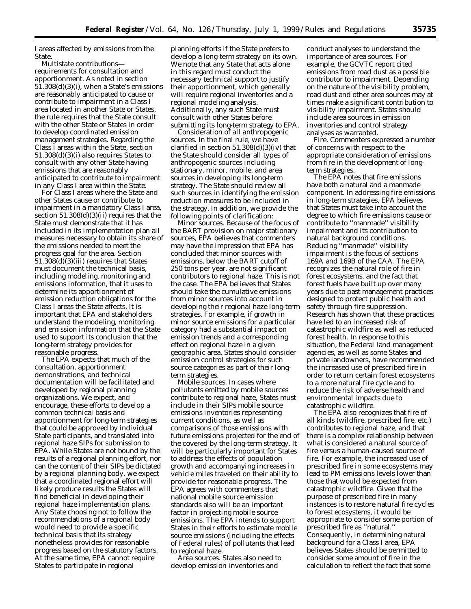I areas affected by emissions from the State.

*Multistate contributions requirements for consultation and apportionment.* As noted in section 51.308(d)(3)(i), when a State's emissions are reasonably anticipated to cause or contribute to impairment in a Class I area located in another State or States, the rule requires that the State consult with the other State or States in order to develop coordinated emission management strategies. Regarding the Class I areas within the State, section 51.308(d)(3)(i) also requires States to consult with any other State having emissions that are reasonably anticipated to contribute to impairment in any Class I area within the State.

For Class I areas where the State and other States cause or contribute to impairment in a mandatory Class I area, section 51.308(d)(3)(ii) requires that the State must demonstrate that it has included in its implementation plan all measures necessary to obtain its share of the emissions needed to meet the progress goal for the area. Section 51.308(d)(3)(iii) requires that States must document the technical basis, including modeling, monitoring and emissions information, that it uses to determine its apportionment of emission reduction obligations for the Class I areas the State affects. It is important that EPA and stakeholders understand the modeling, monitoring and emission information that the State used to support its conclusion that the long-term strategy provides for reasonable progress.

The EPA expects that much of the consultation, apportionment demonstrations, and technical documentation will be facilitated and developed by regional planning organizations. We expect, and encourage, these efforts to develop a common technical basis and apportionment for long-term strategies that could be approved by individual State participants, and translated into regional haze SIPs for submission to EPA. While States are not bound by the results of a regional planning effort, nor can the content of their SIPs be dictated by a regional planning body, we expect that a coordinated regional effort will likely produce results the States will find beneficial in developing their regional haze implementation plans. Any State choosing not to follow the recommendations of a regional body would need to provide a specific technical basis that its strategy nonetheless provides for reasonable progress based on the statutory factors. At the same time, EPA cannot require States to participate in regional

planning efforts if the State prefers to develop a long-term strategy on its own. We note that any State that acts alone in this regard must conduct the necessary technical support to justify their apportionment, which generally will require regional inventories and a regional modeling analysis. Additionally, any such State must consult with other States before submitting its long-term strategy to EPA.

*Consideration of all anthropogenic sources.* In the final rule, we have clarified in section  $51.308(d)(3)(iv)$  that the State should consider all types of anthropogenic sources including stationary, minor, mobile, and area sources in developing its long-term strategy. The State should review all such sources in identifying the emission reduction measures to be included in the strategy. In addition, we provide the following points of clarification:

*Minor sources.* Because of the focus of the BART provision on major stationary sources, EPA believes that commenters may have the impression that EPA has concluded that minor sources with emissions, below the BART cutoff of 250 tons per year, are not significant contributors to regional haze. This is not the case. The EPA believes that States should take the cumulative emissions from minor sources into account in developing their regional haze long-term strategies. For example, if growth in minor source emissions for a particular category had a substantial impact on emission trends and a corresponding effect on regional haze in a given geographic area, States should consider emission control strategies for such source categories as part of their longterm strategies.

*Mobile sources.* In cases where pollutants emitted by mobile sources contribute to regional haze, States must include in their SIPs mobile source emissions inventories representing current conditions, as well as comparisons of those emissions with future emissions projected for the end of the covered by the long-term strategy. It will be particularly important for States to address the effects of population growth and accompanying increases in vehicle miles traveled on their ability to provide for reasonable progress. The EPA agrees with commenters that national mobile source emission standards also will be an important factor in projecting mobile source emissions. The EPA intends to support States in their efforts to estimate mobile source emissions (including the effects of Federal rules) of pollutants that lead to regional haze.

*Area sources.* States also need to develop emission inventories and

conduct analyses to understand the importance of area sources. For example, the GCVTC report cited emissions from road dust as a possible contributor to impairment. Depending on the nature of the visibility problem, road dust and other area sources may at times make a significant contribution to visibility impairment. States should include area sources in emission inventories and control strategy analyses as warranted.

*Fire.* Commenters expressed a number of concerns with respect to the appropriate consideration of emissions from fire in the development of longterm strategies.

The EPA notes that fire emissions have both a natural and a manmade component. In addressing fire emissions in long-term strategies, EPA believes that States must take into account the degree to which fire emissions cause or contribute to ''manmade'' visibility impairment and its contribution to natural background conditions. Reducing ''manmade'' visibility impairment is the focus of sections 169A and 169B of the CAA. The EPA recognizes the natural role of fire in forest ecosystems, and the fact that forest fuels have built up over many years due to past management practices designed to protect public health and safety through fire suppression. Research has shown that these practices have led to an increased risk of catastrophic wildfire as well as reduced forest health. In response to this situation, the Federal land management agencies, as well as some States and private landowners, have recommended the increased use of prescribed fire in order to return certain forest ecosystems to a more natural fire cycle and to reduce the risk of adverse health and environmental impacts due to catastrophic wildfire.

The EPA also recognizes that fire of all kinds (wildfire, prescribed fire, etc.) contributes to regional haze, and that there is a complex relationship between what is considered a natural source of fire versus a human-caused source of fire. For example, the increased use of prescribed fire in some ecosystems may lead to PM emissions levels lower than those that would be expected from catastrophic wildfire. Given that the purpose of prescribed fire in many instances is to restore natural fire cycles to forest ecosystems, it would be appropriate to consider some portion of prescribed fire as ''natural.'' Consequently, in determining natural background for a Class I area, EPA believes States should be permitted to consider some amount of fire in the calculation to reflect the fact that some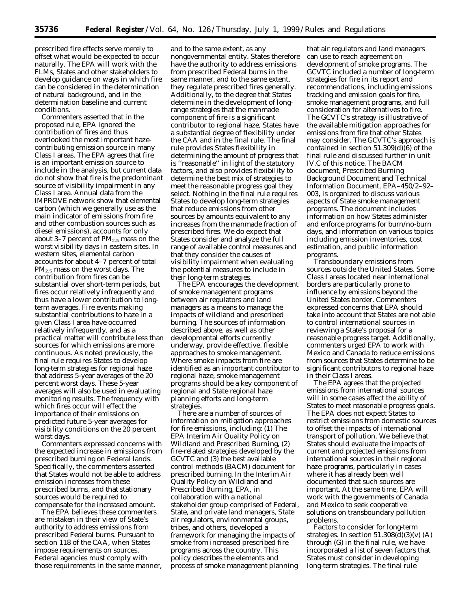prescribed fire effects serve merely to offset what would be expected to occur naturally. The EPA will work with the FLMs, States and other stakeholders to develop guidance on ways in which fire can be considered in the determination of natural background, and in the determination baseline and current conditions.

Commenters asserted that in the proposed rule, EPA ignored the contribution of fires and thus overlooked the most important hazecontributing emission source in many Class I areas. The EPA agrees that fire is an important emission source to include in the analysis, but current data do not show that fire is the predominant source of visibility impairment in any Class I area. Annual data from the IMPROVE network show that elemental carbon (which we generally use as the main indicator of emissions from fire and other combustion sources such as diesel emissions), accounts for only about 3–7 percent of  $PM_{2.5}$  mass on the worst visibility days in eastern sites. In western sites, elemental carbon accounts for about 4–7 percent of total  $PM<sub>2.5</sub>$  mass on the worst days. The contribution from fires can be substantial over short-term periods, but fires occur relatively infrequently and thus have a lower contribution to longterm averages. Fire events making substantial contributions to haze in a given Class I area have occurred relatively infrequently, and as a practical matter will contribute less than sources for which emissions are more continuous. As noted previously, the final rule requires States to develop long-term strategies for regional haze that address 5-year averages of the 20 percent worst days. These 5-year averages will also be used in evaluating monitoring results. The frequency with which fires occur will effect the importance of their emissions on predicted future 5-year averages for visibility conditions on the 20 percent worst days.

Commenters expressed concerns with the expected increase in emissions from prescribed burning on Federal lands. Specifically, the commenters asserted that States would not be able to address emission increases from these prescribed burns, and that stationary sources would be required to compensate for the increased amount.

The EPA believes these commenters are mistaken in their view of State's authority to address emissions from prescribed Federal burns. Pursuant to section 118 of the CAA, when States impose requirements on sources, Federal agencies must comply with those requirements in the same manner,

and to the same extent, as any nongovernmental entity. States therefore have the authority to address emissions from prescribed Federal burns in the same manner, and to the same extent, they regulate prescribed fires generally. Additionally, to the degree that States determine in the development of longrange strategies that the manmade component of fire is a significant contributor to regional haze, States have a substantial degree of flexibility under the CAA and in the final rule. The final rule provides States flexibility in determining the amount of progress that is ''reasonable'' in light of the statutory factors, and also provides flexibility to determine the best mix of strategies to meet the reasonable progress goal they select. Nothing in the final rule requires States to develop long-term strategies that reduce emissions from other sources by amounts equivalent to any increases from the manmade fraction of prescribed fires. We do expect that States consider and analyze the full range of available control measures and that they consider the causes of visibility impairment when evaluating the potential measures to include in their long-term strategies.

The EPA encourages the development of smoke management programs between air regulators and land managers as a means to manage the impacts of wildland and prescribed burning. The sources of information described above, as well as other developmental efforts currently underway, provide effective, flexible approaches to smoke management. Where smoke impacts from fire are identified as an important contributor to regional haze, smoke management programs should be a key component of regional and State regional haze planning efforts and long-term strategies.

There are a number of sources of information on mitigation approaches for fire emissions, including: (1) The EPA Interim Air Quality Policy on Wildland and Prescribed Burning, (2) fire-related strategies developed by the GCVTC and (3) the best available control methods (BACM) document for prescribed burning. In the Interim Air Quality Policy on Wildland and Prescribed Burning, EPA, in collaboration with a national stakeholder group comprised of Federal, State, and private land managers, State air regulators, environmental groups, tribes, and others, developed a framework for managing the impacts of smoke from increased prescribed fire programs across the country. This policy describes the elements and process of smoke management planning

that air regulators and land managers can use to reach agreement on development of smoke programs. The GCVTC included a number of long-term strategies for fire in its report and recommendations, including emissions tracking and emission goals for fire, smoke management programs, and full consideration for alternatives to fire. The GCVTC's strategy is illustrative of the available mitigation approaches for emissions from fire that other States may consider. The GCVTC's approach is contained in section  $51.309(d)(6)$  of the final rule and discussed further in unit IV.C of this notice. The BACM document, Prescribed Burning Background Document and Technical Information Document, EPA–450/2–92– 003, is organized to discuss various aspects of State smoke management programs. The document includes information on how States administer and enforce programs for burn/no-burn days, and information on various topics including emission inventories, cost estimation, and public information programs.

*Transboundary emissions from sources outside the United States.* Some Class I areas located near international borders are particularly prone to influence by emissions beyond the United States border. Commenters expressed concerns that EPA should take into account that States are not able to control international sources in reviewing a State's proposal for a reasonable progress target. Additionally, commenters urged EPA to work with Mexico and Canada to reduce emissions from sources that States determine to be significant contributors to regional haze in their Class I areas.

The EPA agrees that the projected emissions from international sources will in some cases affect the ability of States to meet reasonable progress goals. The EPA does not expect States to restrict emissions from domestic sources to offset the impacts of international transport of pollution. We believe that States should evaluate the impacts of current and projected emissions from international sources in their regional haze programs, particularly in cases where it has already been well documented that such sources are important. At the same time, EPA will work with the governments of Canada and Mexico to seek cooperative solutions on transboundary pollution problems.

*Factors to consider for long-term strategies.* In section 51.308(d)(3)(v) (A) through (G) in the final rule, we have incorporated a list of seven factors that States must consider in developing long-term strategies. The final rule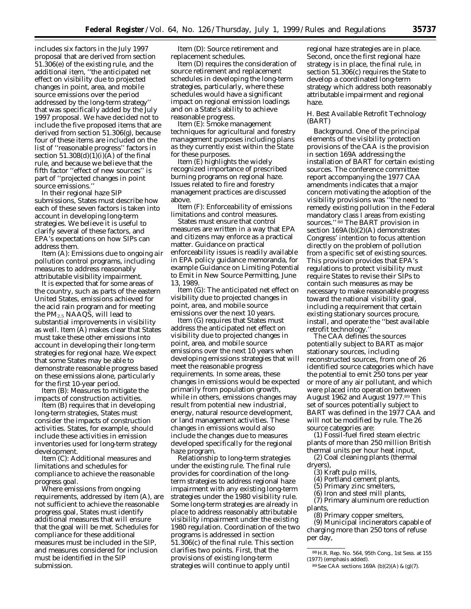includes six factors in the July 1997 proposal that are derived from section 51.306(e) of the existing rule, and the additional item, ''the anticipated net effect on visibility due to projected changes in point, area, and mobile source emissions over the period addressed by the long-term strategy'' that was specifically added by the July 1997 proposal. We have decided not to include the five proposed items that are derived from section 51.306(g), because four of these items are included on the list of ''reasonable progress'' factors in section  $51.308(d)(1)(i)(A)$  of the final rule, and because we believe that the fifth factor ''effect of new sources'' is part of ''projected changes in point source emissions.

In their regional haze SIP submissions, States must describe how each of these seven factors is taken into account in developing long-term strategies. We believe it is useful to clarify several of these factors, and EPA's expectations on how SIPs can address them.

*Item (A): Emissions due to ongoing air pollution control programs, including measures to address reasonably attributable visibility impairment.*

It is expected that for some areas of the country, such as parts of the eastern United States, emissions achieved for the acid rain program and for meeting the  $PM<sub>2.5</sub> NAAGS$ , will lead to substantial improvements in visibility as well. Item (A) makes clear that States must take these other emissions into account in developing their long-term strategies for regional haze. We expect that some States may be able to demonstrate reasonable progress based on these emissions alone, particularly for the first 10-year period.

*Item (B): Measures to mitigate the impacts of construction activities.*

Item (B) requires that in developing long-term strategies, States must consider the impacts of construction activities. States, for example, should include these activities in emission inventories used for long-term strategy development.

*Item (C): Additional measures and limitations and schedules for compliance to achieve the reasonable progress goal.*

Where emissions from ongoing requirements, addressed by item (A), are not sufficient to achieve the reasonable progress goal, States must identify additional measures that will ensure that the goal will be met. Schedules for compliance for these additional measures must be included in the SIP, and measures considered for inclusion must be identified in the SIP submission.

*Item (D): Source retirement and replacement schedules.*

Item (D) requires the consideration of source retirement and replacement schedules in developing the long-term strategies, particularly, where these schedules would have a significant impact on regional emission loadings and on a State's ability to achieve reasonable progress.

*Item (E): Smoke management techniques for agricultural and forestry management purposes including plans as they currently exist within the State for these purposes.*

Item (E) highlights the widely recognized importance of prescribed burning programs on regional haze. Issues related to fire and forestry management practices are discussed above.

*Item (F): Enforceability of emissions limitations and control measures.*

States must ensure that control measures are written in a way that EPA and citizens may enforce as a practical matter. Guidance on practical enforceability issues is readily available in EPA policy guidance memoranda, for example Guidance on Limiting Potential to Emit in New Source Permitting, June 13, 1989.

*Item (G): The anticipated net effect on visibility due to projected changes in point, area, and mobile source emissions over the next 10 years.*

Item (G) requires that States must address the anticipated net effect on visibility due to projected changes in point, area, and mobile source emissions over the next 10 years when developing emissions strategies that will meet the reasonable progress requirements. In some areas, these changes in emissions would be expected primarily from population growth, while in others, emissions changes may result from potential new industrial, energy, natural resource development, or land management activities. These changes in emissions would also include the changes due to measures developed specifically for the regional haze program.

*Relationship to long-term strategies under the existing rule.* The final rule provides for coordination of the longterm strategies to address regional haze impairment with any existing long-term strategies under the 1980 visibility rule. Some long-term strategies are already in place to address reasonably attributable visibility impairment under the existing 1980 regulation. Coordination of the two programs is addressed in section 51.306(c) of the final rule. This section clarifies two points. First, that the provisions of existing long-term strategies will continue to apply until

regional haze strategies are in place. Second, once the first regional haze strategy is in place, the final rule, in section 51.306(c) requires the State to develop a coordinated long-term strategy which address both reasonably attributable impairment and regional haze.

## *H. Best Available Retrofit Technology (BART)*

*Background.* One of the principal elements of the visibility protection provisions of the CAA is the provision in section 169A addressing the installation of BART for certain existing sources. The conference committee report accompanying the 1977 CAA amendments indicates that a major concern motivating the adoption of the visibility provisions was ''the need to remedy existing pollution in the Federal mandatory class I areas from existing sources.'' 88 The BART provision in section 169A(b)(2)(A) demonstrates Congress' intention to focus attention directly on the problem of pollution from a specific set of existing sources. This provision provides that EPA's regulations to protect visibility must require States to revise their SIPs to contain such measures as may be necessary to make reasonable progress toward the national visibility goal, including a requirement that certain existing stationary sources procure, install, and operate the ''best available retrofit technology.''

The CAA defines the sources potentially subject to BART as major stationary sources, including reconstructed sources, from one of 26 identified source categories which have the potential to emit 250 tons per year or more of any air pollutant, and which were placed into operation between August 1962 and August 1977.89 This set of sources potentially subject to BART was defined in the 1977 CAA and will not be modified by rule. The 26 source categories are:

(1) Fossil-fuel fired steam electric plants of more than 250 million British thermal units per hour heat input,

(2) Coal cleaning plants (thermal dryers),

- (3) Kraft pulp mills,
	- (4) Portland cement plants,
	- (5) Primary zinc smelters,
	- (6) Iron and steel mill plants,

(7) Primary aluminum ore reduction plants,

(8) Primary copper smelters,

(9) Municipal incinerators capable of charging more than 250 tons of refuse per day,

88H.R. Rep. No. 564, 95th Cong., 1st Sess. at 155 (1977) (emphasis added).

<sup>89</sup>See CAA sections 169A (b)(2)(A) & (g)(7).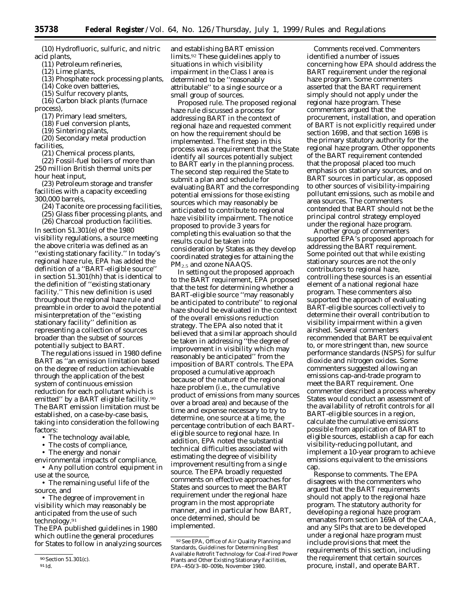**35738 Federal Register** / Vol. 64, No. 126 /Thursday, July 1, 1999 /Rules and Regulations

(10) Hydrofluoric, sulfuric, and nitric acid plants,

(11) Petroleum refineries,

(12) Lime plants,

(13) Phosphate rock processing plants,

(14) Coke oven batteries,

(15) Sulfur recovery plants,

(16) Carbon black plants (furnace process),

(17) Primary lead smelters,

(18) Fuel conversion plants,

(19) Sintering plants,

(20) Secondary metal production facilities,

(21) Chemical process plants,

(22) Fossil-fuel boilers of more than 250 million British thermal units per hour heat input,

(23) Petroleum storage and transfer facilities with a capacity exceeding 300,000 barrels,

(24) Taconite ore processing facilities,

(25) Glass fiber processing plants, and

(26) Charcoal production facilities.

In section 51.301(e) of the 1980 visibility regulations, a source meeting the above criteria was defined as an ''existing stationary facility.'' In today's regional haze rule, EPA has added the definition of a ''BART-eligible source'' in section 51.301(hh) that is identical to the definition of ''existing stationary facility.'' This new definition is used throughout the regional haze rule and preamble in order to avoid the potential misinterpretation of the ''existing stationary facility'' definition as representing a collection of sources broader than the subset of sources potentially subject to BART.

The regulations issued in 1980 define BART as ''an emission limitation based on the degree of reduction achievable through the application of the best system of continuous emission reduction for each pollutant which is emitted" by a BART eligible facility.<sup>90</sup> The BART emission limitation must be established, on a case-by-case basis, taking into consideration the following factors:

• The technology available,

• The costs of compliance,

• The energy and nonair

environmental impacts of compliance, • Any pollution control equipment in

use at the source,

• The remaining useful life of the source, and

• The degree of improvement in visibility which may reasonably be anticipated from the use of such technology.91

The EPA published guidelines in 1980 which outline the general procedures for States to follow in analyzing sources

and establishing BART emission limits.92 These guidelines apply to situations in which visibility impairment in the Class I area is determined to be ''reasonably attributable'' to a single source or a small group of sources.

*Proposed rule.* The proposed regional haze rule discussed a process for addressing BART in the context of regional haze and requested comment on how the requirement should be implemented. The first step in this process was a requirement that the State identify all sources potentially subject to BART early in the planning process. The second step required the State to submit a plan and schedule for evaluating BART and the corresponding potential emissions for those existing sources which may reasonably be anticipated to contribute to regional haze visibility impairment. The notice proposed to provide 3 years for completing this evaluation so that the results could be taken into consideration by States as they develop coordinated strategies for attaining the PM<sub>2.5</sub> and ozone NAAQS.

In setting out the proposed approach to the BART requirement, EPA proposed that the test for determining whether a BART-eligible source ''may reasonably be anticipated to contribute'' to regional haze should be evaluated in the context of the overall emissions reduction strategy. The EPA also noted that it believed that a similar approach should be taken in addressing ''the degree of improvement in visibility which may reasonably be anticipated'' from the imposition of BART controls. The EPA proposed a cumulative approach because of the nature of the regional haze problem (i.e., the cumulative product of emissions from many sources over a broad area) and because of the time and expense necessary to try to determine, one source at a time, the percentage contribution of each BARTeligible source to regional haze. In addition, EPA noted the substantial technical difficulties associated with estimating the degree of visibility improvement resulting from a single source. The EPA broadly requested comments on effective approaches for States and sources to meet the BART requirement under the regional haze program in the most appropriate manner, and in particular how BART, once determined, should be implemented.

*Comments received.* Commenters identified a number of issues concerning how EPA should address the BART requirement under the regional haze program. Some commenters asserted that the BART requirement simply should not apply under the regional haze program. These commenters argued that the procurement, installation, and operation of BART is not explicitly required under section 169B, and that section 169B is the primary statutory authority for the regional haze program. Other opponents of the BART requirement contended that the proposal placed too much emphasis on stationary sources, and on BART sources in particular, as opposed to other sources of visibility-impairing pollutant emissions, such as mobile and area sources. The commenters contended that BART should not be the principal control strategy employed under the regional haze program.

Another group of commenters supported EPA's proposed approach for addressing the BART requirement. Some pointed out that while existing stationary sources are not the only contributors to regional haze, controlling these sources is an essential element of a national regional haze program. These commenters also supported the approach of evaluating BART-eligible sources collectively to determine their overall contribution to visibility impairment within a given airshed. Several commenters recommended that BART be equivalent to, or more stringent than, new source performance standards (NSPS) for sulfur dioxide and nitrogen oxides. Some commenters suggested allowing an emissions cap-and-trade program to meet the BART requirement. One commenter described a process whereby States would conduct an assessment of the availability of retrofit controls for all BART-eligible sources in a region, calculate the cumulative emissions possible from application of BART to eligible sources, establish a cap for each visibility-reducing pollutant, and implement a 10-year program to achieve emissions equivalent to the emissions cap.

*Response to comments.* The EPA disagrees with the commenters who argued that the BART requirements should not apply to the regional haze program. The statutory authority for developing a regional haze program emanates from section 169A of the CAA, and any SIPs that are to be developed under a regional haze program must include provisions that meet the requirements of this section, including the requirement that certain sources procure, install, and operate BART.

<sup>90</sup>Section 51.301(c).

<sup>91</sup> *Id.*

<sup>92</sup> See EPA, Office of Air Quality Planning and Standards, Guidelines for Determining Best Available Retrofit Technology for Coal-Fired Power Plants and Other Existing Stationary Facilities, EPA–450/3–80–009b, November 1980.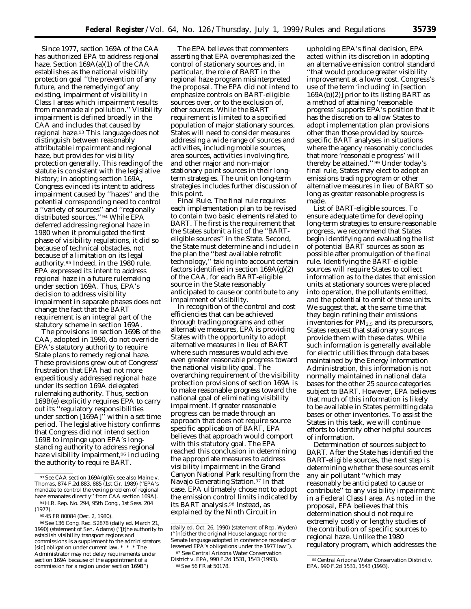Since 1977, section 169A of the CAA has authorized EPA to address regional haze. Section 169A(a)(1) of the CAA establishes as the national visibility protection goal ''the prevention of any future, and the remedying of any existing, impairment of visibility in Class I areas which impairment results from manmade air pollution.'' Visibility impairment is defined broadly in the CAA and includes that caused by regional haze.93 This language does not distinguish between reasonably attributable impairment and regional haze, but provides for visibility protection generally. This reading of the statute is consistent with the legislative history; in adopting section 169A, Congress evinced its intent to address impairment caused by ''hazes'' and the potential corresponding need to control a ''variety of sources'' and ''regionally distributed sources.'' 94 While EPA deferred addressing regional haze in 1980 when it promulgated the first phase of visibility regulations, it did so because of technical obstacles, not because of a limitation on its legal authority.95 Indeed, in the 1980 rule, EPA expressed its intent to address regional haze in a future rulemaking under section 169A. Thus, EPA's decision to address visibility impairment in separate phases does not change the fact that the BART requirement is an integral part of the statutory scheme in section 169A.

The provisions in section 169B of the CAA, adopted in 1990, do not override EPA's statutory authority to require State plans to remedy regional haze. These provisions grew out of Congress' frustration that EPA had not more expeditiously addressed regional haze under its section 169A delegated rulemaking authority. Thus, section 169B(e) explicitly requires EPA to carry out its ''regulatory responsibilities under section [169A]'' within a set time period. The legislative history confirms that Congress did not intend section 169B to impinge upon EPA's longstanding authority to address regional haze visibility impairment,<sup>96</sup> including the authority to require BART.

The EPA believes that commenters asserting that EPA overemphasized the control of stationary sources and, in particular, the role of BART in the regional haze program misinterpreted the proposal. The EPA did not intend to emphasize controls on BART-eligible sources over, or to the exclusion of, other sources. While the BART requirement is limited to a specified population of major stationary sources, States will need to consider measures addressing a wide range of sources and activities, including mobile sources, area sources, activities involving fire, and other major and non-major stationary point sources in their longterm strategies. The unit on long-term strategies includes further discussion of this point.

*Final Rule.* The final rule requires each implementation plan to be revised to contain two basic elements related to BART. The first is the requirement that the States submit a list of the ''BARTeligible sources'' in the State. Second, the State must determine and include in the plan the ''best available retrofit technology,'' taking into account certain factors identified in section  $169A(g)(2)$ of the CAA, for each BART-eligible source in the State reasonably anticipated to cause or contribute to any impairment of visibility.

In recognition of the control and cost efficiencies that can be achieved through trading programs and other alternative measures, EPA is providing States with the opportunity to adopt alternative measures in lieu of BART where such measures would achieve even greater reasonable progress toward the national visibility goal. The overarching requirement of the visibility protection provisions of section 169A is to make reasonable progress toward the national goal of eliminating visibility impairment. If greater reasonable progress can be made through an approach that does not require source specific application of BART, EPA believes that approach would comport with this statutory goal. The EPA reached this conclusion in determining the appropriate measures to address visibility impairment in the Grand Canyon National Park resulting from the Navajo Generating Station.97 In that case, EPA ultimately chose not to adopt the emission control limits indicated by its BART analysis.98 Instead, as explained by the Ninth Circuit in

upholding EPA's final decision, EPA acted within its discretion in adopting an alternative emission control standard ''that would produce greater visibility improvement at a lower cost. Congress's use of the term 'including' in [section 169A(b)(2)] prior to its listing BART as a method of attaining 'reasonable progress' supports EPA's position that it has the discretion to allow States to adopt implementation plan provisions other than those provided by sourcespecific BART analyses in situations where the agency reasonably concludes that more 'reasonable progress' will thereby be attained." 99 Under today's final rule, States may elect to adopt an emissions trading program or other alternative measures in lieu of BART so long as greater reasonable progress is made.

*List of BART-eligible sources.* To ensure adequate time for developing long-term strategies to ensure reasonable progress, we recommend that States begin identifying and evaluating the list of potential BART sources as soon as possible after promulgation of the final rule. Identifying the BART-eligible sources will require States to collect information as to the dates that emission units at stationary sources were placed into operation, the pollutants emitted, and the potential to emit of these units. We suggest that, at the same time that they begin refining their emissions inventories for  $PM<sub>2.5</sub>$  and its precursors, States request that stationary sources provide them with these dates. While such information is generally available for electric utilities through data bases maintained by the Energy Information Administration, this information is not normally maintained in national data bases for the other 25 source categories subject to BART. However, EPA believes that much of this information is likely to be available in States permitting data bases or other inventories. To assist the States in this task, we will continue efforts to identify other helpful sources of information.

*Determination of sources subject to BART.* After the State has identified the BART-eligible sources, the next step is determining whether these sources emit any air pollutant ''which may reasonably be anticipated to cause or contribute'' to any visibility impairment in a Federal Class I area. As noted in the proposal, EPA believes that this determination should not require extremely costly or lengthy studies of the contribution of specific sources to regional haze. Unlike the 1980 regulatory program, which addresses the

<sup>93</sup>*See* CAA section 169A(g)(6); see *also Maine* v. *Thomas,* 874 F.2d.883, 885 (1st Cir. 1989) (''EPA's mandate to control the vexing problem of regional haze emanates directly'' from CAA section 169A). 94H.R. Rep. No. 294, 95th Cong., 1st Sess. 204

<sup>(1977).</sup> 95 45 FR 80084 (Dec. 2, 1980).

<sup>96</sup>*See* 136 Cong. Rec. S2878 (daily ed. March 21, 1990) (statement of Sen. Adams) (''[t]he authority to establish visibility transport regions and commissions is a supplement to the administrators [sic] obligation under current law. \* \* \* The Administrator may not delay requirements under section 169A because of the appointment of a commission for a region under section 169B'')

<sup>(</sup>daily ed. Oct. 26, 1990) (statement of Rep. Wyden) (''[n]either the original House language nor the Senate language adopted in conference repealed or lessened EPA's obligations under the 1977 law''). 97 See *Central Arizona Water Conservation*

*District* v. *EPA,* 990 F.2d 1531, 1543 (1993). 98See 56 FR at 50178.

<sup>99</sup>Central Arizona Water Conservation District v. *EPA,* 990 F.2d 1531, 1543 (1993).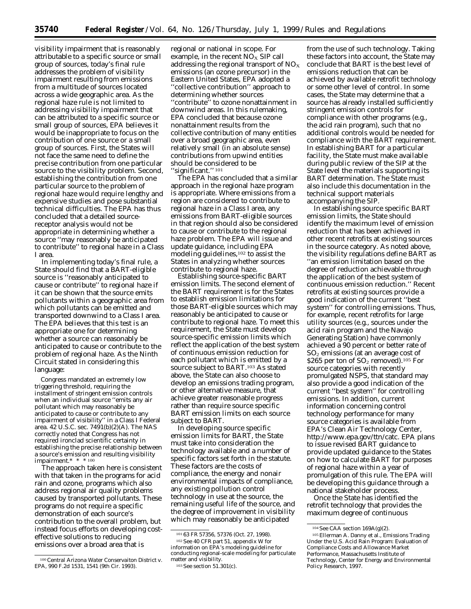visibility impairment that is reasonably attributable to a specific source or small group of sources, today's final rule addresses the problem of visibility impairment resulting from emissions from a multitude of sources located across a wide geographic area. As the regional haze rule is not limited to addressing visibility impairment that can be attributed to a specific source or small group of sources, EPA believes it would be inappropriate to focus on the contribution of one source or a small group of sources. First, the States will not face the same need to define the precise contribution from one particular source to the visibility problem. Second, establishing the contribution from one particular source to the problem of regional haze would require lengthy and expensive studies and pose substantial technical difficulties. The EPA has thus concluded that a detailed sourcereceptor analysis would not be appropriate in determining whether a source ''may reasonably be anticipated to contribute'' to regional haze in a Class I area.

In implementing today's final rule, a State should find that a BART-eligible source is ''reasonably anticipated to cause or contribute'' to regional haze if it can be shown that the source emits pollutants within a geographic area from which pollutants can be emitted and transported downwind to a Class I area. The EPA believes that this test is an appropriate one for determining whether a source can reasonably be anticipated to cause or contribute to the problem of regional haze. As the Ninth Circuit stated in considering this language:

Congress mandated an extremely low triggering threshold, requiring the installment of stringent emission controls when an individual source ''emits any air pollutant which may reasonably be anticipated to cause or contribute to any impairment of visibility'' in a Class I Federal area. 42 U.S.C. sec. 7491(b)(2)(A). The NAS correctly noted that Congress has not required ironclad scientific certainty in establishing the precise relationship between a source's emission and resulting visibility impairment.\* \* \* 100

The approach taken here is consistent with that taken in the programs for acid rain and ozone, programs which also address regional air quality problems caused by transported pollutants. These programs do not require a specific demonstration of each source's contribution to the overall problem, but instead focus efforts on developing costeffective solutions to reducing emissions over a broad area that is

100*Central Arizona Water Conservaiton District* v. *EPA,* 990 F.2d 1531, 1541 (9th Cir. 1993).

regional or national in scope. For example, in the recent  $NO<sub>x</sub>$  SIP call addressing the regional transport of  $NO<sub>X</sub>$ emissions (an ozone precursor) in the Eastern United States, EPA adopted a ''collective contribution'' approach to determining whether sources ''contribute'' to ozone nonattainment in downwind areas. In this rulemaking, EPA concluded that because ozone nonattainment results from the collective contribution of many entities over a broad geographic area, even relatively small (in an absolute sense) contributions from upwind entities should be considered to be ''significant.'' 101

The EPA has concluded that a similar approach in the regional haze program is appropriate. Where emissions from a region are considered to contribute to regional haze in a Class I area, any emissions from BART-eligible sources in that region should also be considered to cause or contribute to the regional haze problem. The EPA will issue and update guidance, including EPA modeling guidelines,<sup>102</sup> to assist the States in analyzing whether sources contribute to regional haze.

*Establishing source-specific BART emission limits.* The second element of the BART requirement is for the States to establish emission limitations for those BART-eligible sources which may reasonably be anticipated to cause or contribute to regional haze. To meet this requirement, the State must develop source-specific emission limits which reflect the application of the best system of continuous emission reduction for each pollutant which is emitted by a source subject to BART.103 As stated above, the State can also choose to develop an emissions trading program, or other alternative measure, that achieve greater reasonable progress rather than require source specific BART emission limits on each source subject to BART.

In developing source specific emission limits for BART, the State must take into consideration the technology available and a number of specific factors set forth in the statute. These factors are the costs of compliance, the energy and nonair environmental impacts of compliance, any existing pollution control technology in use at the source, the remaining useful life of the source, and the degree of improvement in visibility which may reasonably be anticipated

103See section 51.301(c).

from the use of such technology. Taking these factors into account, the State may conclude that BART is the best level of emissions reduction that can be achieved by available retrofit technology or some other level of control. In some cases, the State may determine that a source has already installed sufficiently stringent emission controls for compliance with other programs (e.g., the acid rain program), such that no additional controls would be needed for compliance with the BART requirement. In establishing BART for a particular facility, the State must make available during public review of the SIP at the State level the materials supporting its BART determination. The State must also include this documentation in the technical support materials accompanying the SIP.

In establishing source specific BART emission limits, the State should identify the maximum level of emission reduction that has been achieved in other recent retrofits at existing sources in the source category. As noted above, the visibility regulations define BART as ''an emission limitation based on the degree of reduction achievable through the application of the best system of continuous emission reduction.'' Recent retrofits at existing sources provide a good indication of the current ''best system'' for controlling emissions. Thus, for example, recent retrofits for large utility sources (e.g., sources under the acid rain program and the Navajo Generating Station) have commonly achieved a 90 percent or better rate of SO2 emissions (at an average cost of \$265 per ton of  $SO_2$  removed).<sup>105</sup> For source categories with recently promulgated NSPS, that standard may also provide a good indication of the current ''best system'' for controlling emissions. In addition, current information concerning control technology performance for many source categories is available from EPA's Clean Air Technology Center, http://www.epa.gov/ttn/catc. EPA plans to issue revised BART guidance to provide updated guidance to the States on how to calculate BART for purposes of regional haze within a year of promulgation of this rule. The EPA will be developing this guidance through a national stakeholder process.

Once the State has identified the retrofit technology that provides the maximum degree of continuous

<sup>101</sup> 63 FR 57356, 57376 (Oct. 27, 1998).

<sup>102</sup>See 40 CFR part 51, appendix W for information on EPA's modeling guideline for conducting regional-scale modeling for particulate matter and visibility.

<sup>104</sup>See CAA section 169A(g)(2).

<sup>105</sup>Ellerman A. Danny et al., Emissions Trading Under the U.S. Acid Rain Program: Evaluation of Compliance Costs and Allowance Market Performance, Massachusetts Institute of Technology, Center for Energy and Environmental Policy Research, 1997.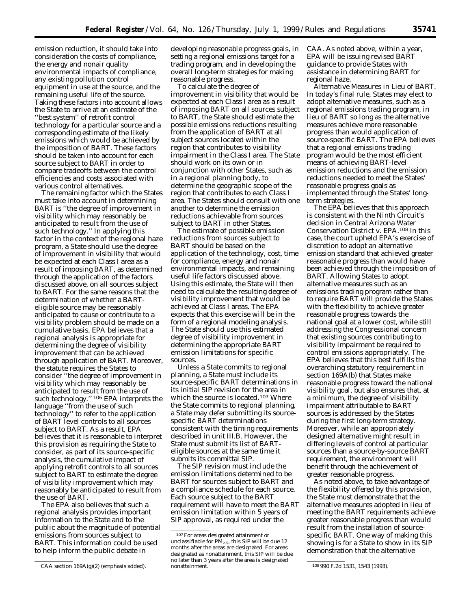emission reduction, it should take into consideration the costs of compliance, the energy and nonair quality environmental impacts of compliance, any existing pollution control equipment in use at the source, and the remaining useful life of the source. Taking these factors into account allows the State to arrive at an estimate of the ''best system'' of retrofit control technology for a particular source and a corresponding estimate of the likely emissions which would be achieved by the imposition of BART. These factors should be taken into account for each source subject to BART in order to compare tradeoffs between the control efficiencies and costs associated with various control alternatives.

The remaining factor which the States must take into account in determining BART is ''the degree of improvement in visibility which may reasonably be anticipated to result from the use of such technology.'' In applying this factor in the context of the regional haze program, a State should use the degree of improvement in visibility that would be expected at each Class I area as a result of imposing BART, as determined through the application of the factors discussed above, on all sources subject to BART. For the same reasons that the determination of whether a BARTeligible source may be reasonably anticipated to cause or contribute to a visibility problem should be made on a cumulative basis, EPA believes that a regional analysis is appropriate for determining the degree of visibility improvement that can be achieved through application of BART. Moreover, the statute requires the States to consider ''the degree of improvement in visibility which may reasonably be anticipated to result *from the use of such technology*.'' 106 EPA interprets the language ''from the use of such technology'' to refer to the application of BART level controls to all sources subject to BART. As a result, EPA believes that it is reasonable to interpret this provision as requiring the State to consider, as part of its source-specific analysis, the cumulative impact of applying retrofit controls to all sources subject to BART to estimate the degree of visibility improvement which may reasonably be anticipated to result from the use of BART.

The EPA also believes that such a regional analysis provides important information to the State and to the public about the magnitude of potential emissions from sources subject to BART. This information could be used to help inform the public debate in

developing reasonable progress goals, in setting a regional emissions target for a trading program, and in developing the overall long-term strategies for making reasonable progress.

To calculate the degree of improvement in visibility that would be expected at each Class I area as a result of imposing BART on all sources subject to BART, the State should estimate the possible emissions reductions resulting from the application of BART at all subject sources located within the region that contributes to visibility impairment in the Class I area. The State should work on its own or in conjunction with other States, such as in a regional planning body, to determine the geographic scope of the region that contributes to each Class I area. The States should consult with one another to determine the emission reductions achievable from sources subject to BART in other States.

The estimate of possible emission reductions from sources subject to BART should be based on the application of the technology, cost, time for compliance, energy and nonair environmental impacts, and remaining useful life factors discussed above. Using this estimate, the State will then need to calculate the resulting degree of visibility improvement that would be achieved at Class I areas. The EPA expects that this exercise will be in the form of a regional modeling analysis. The State should use this estimated degree of visibility improvement in determining the appropriate BART emission limitations for specific sources.

Unless a State commits to regional planning, a State must include its source-specific BART determinations in its initial SIP revision for the area in which the source is located.107 Where the State commits to regional planning, a State may defer submitting its sourcespecific BART determinations consistent with the timing requirements described in unit III.B. However, the State must submit its list of BARTeligible sources at the same time it submits its committal SIP.

The SIP revision must include the emission limitations determined to be BART for sources subject to BART and a compliance schedule for each source. Each source subject to the BART requirement will have to meet the BART emission limitation within 5 years of SIP approval, as required under the

CAA. As noted above, within a year, EPA will be issuing revised BART guidance to provide States with assistance in determining BART for regional haze.

*Alternative Measures in Lieu of BART*. In today's final rule, States may elect to adopt alternative measures, such as a regional emissions trading program, in lieu of BART so long as the alternative measures achieve more reasonable progress than would application of source-specific BART. The EPA believes that a regional emissions trading program would be the most efficient means of achieving BART-level emission reductions and the emission reductions needed to meet the States' reasonable progress goals as implemented through the States' longterm strategies.

The EPA believes that this approach is consistent with the Ninth Circuit's decision in *Central Arizona Water Conservation District* v. *EPA*.108 In this case, the court upheld EPA's exercise of discretion to adopt an alternative emission standard that achieved greater reasonable progress than would have been achieved through the imposition of BART. Allowing States to adopt alternative measures such as an emissions trading program rather than to require BART will provide the States with the flexibility to achieve greater reasonable progress towards the national goal at a lower cost, while still addressing the Congressional concern that existing sources contributing to visibility impairment be required to control emissions appropriately. The EPA believes that this best fulfills the overarching statutory requirement in section 169A(b) that States make reasonable progress toward the national visibility goal, but also ensures that, at a minimum, the degree of visibility impairment attributable to BART sources is addressed by the States during the first long-term strategy. Moreover, while an appropriately designed alternative might result in differing levels of control at particular sources than a source-by-source BART requirement, the environment will benefit through the achievement of greater reasonable progress.

As noted above, to take advantage of the flexibility offered by this provision, the State must demonstrate that the alternative measures adopted in lieu of meeting the BART requirements achieve greater reasonable progress than would result from the installation of sourcespecific BART. One way of making this showing is for a State to show in its SIP demonstration that the alternative

CAA section 169A(g)(2) (emphasis added).

<sup>107</sup>For areas designated attainment or unclassifiable for  $\overline{PM}_{2.5}$ , this SIP will be due 12 months after the areas are designated. For areas designated as nonattainment, this SIP will be due no later than 3 years after the area is designated

<sup>108 990</sup> F.2d 1531, 1543 (1993).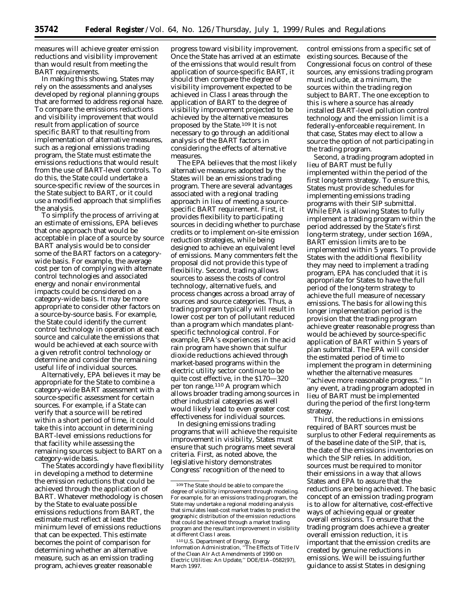measures will achieve greater emission reductions and visibility improvement than would result from meeting the BART requirements.

In making this showing, States may rely on the assessments and analyses developed by regional planning groups that are formed to address regional haze. To compare the emissions reductions and visibility improvement that would result from application of source specific BART to that resulting from implementation of alternative measures, such as a regional emissions trading program, the State must estimate the emissions reductions that would result from the use of BART-level controls. To do this, the State could undertake a source-specific review of the sources in the State subject to BART, or it could use a modified approach that simplifies the analysis.

To simplify the process of arriving at an estimate of emissions, EPA believes that one approach that would be acceptable in place of a source by source BART analysis would be to consider some of the BART factors on a categorywide basis. For example, the average cost per ton of complying with alternate control technologies and associated energy and nonair environmental impacts could be considered on a category-wide basis. It may be more appropriate to consider other factors on a source-by-source basis. For example, the State could identify the current control technology in operation at each source and calculate the emissions that would be achieved at each source with a given retrofit control technology or determine and consider the remaining useful life of individual sources.

Alternatively, EPA believes it may be appropriate for the State to combine a category-wide BART assessment with a source-specific assessment for certain sources. For example, if a State can verify that a source will be retired within a short period of time, it could take this into account in determining BART-level emissions reductions for that facility while assessing the remaining sources subject to BART on a category-wide basis.

The States accordingly have flexibility in developing a method to determine the emission reductions that could be achieved through the application of BART. Whatever methodology is chosen by the State to evaluate possible emissions reductions from BART, the estimate must reflect at least the minimum level of emissions reductions that can be expected. This estimate becomes the point of comparison for determining whether an alternative measure, such as an emission trading program, achieves greater reasonable

progress toward visibility improvement. Once the State has arrived at an estimate of the emissions that would result from application of source-specific BART, it should then compare the degree of visibility improvement expected to be achieved in Class I areas through the application of BART to the degree of visibility improvement projected to be achieved by the alternative measures proposed by the State.109 It is not necessary to go through an additional analysis of the BART factors in considering the effects of alternative measures.

The EPA believes that the most likely alternative measures adopted by the States will be an emissions trading program. There are several advantages associated with a regional trading approach in lieu of meeting a sourcespecific BART requirement. First, it provides flexibility to participating sources in deciding whether to purchase credits or to implement on-site emission reduction strategies, while being designed to achieve an equivalent level of emissions. Many commenters felt the proposal did not provide this type of flexibility. Second, trading allows sources to assess the costs of control technology, alternative fuels, and process changes across a broad array of sources and source categories. Thus, a trading program typically will result in lower cost per ton of pollutant reduced than a program which mandates plantspecific technological control. For example, EPA's experiences in the acid rain program have shown that sulfur dioxide reductions achieved through market-based programs within the electric utility sector continue to be quite cost effective, in the \$170—320 per ton range.<sup>110</sup> A program which allows broader trading among sources in other industrial categories as well would likely lead to even greater cost effectiveness for individual sources.

In designing emissions trading programs that will achieve the requisite improvement in visibility, States must ensure that such programs meet several criteria. First, as noted above, the legislative history demonstrates Congress' recognition of the need to

control emissions from a specific set of existing sources. Because of the Congressional focus on control of these sources, any emissions trading program must include, at a minimum, the sources within the trading region subject to BART. The one exception to this is where a source has already installed BART-level pollution control technology and the emission limit is a federally-enforceable requirement. In that case, States may elect to allow a source the option of not participating in the trading program.

Second, a trading program adopted in lieu of BART must be fully implemented within the period of the first long-term strategy. To ensure this, States must provide schedules for implementing emissions trading programs with their SIP submittal. While EPA is allowing States to fully implement a trading program within the period addressed by the State's first long-term strategy, under section 169A, BART emission limits are to be implemented within 5 years. To provide States with the additional flexibility they may need to implement a trading program, EPA has concluded that it is appropriate for States to have the full period of the long-term strategy to achieve the full measure of necessary emissions. The basis for allowing this longer implementation period is the provision that the trading program achieve greater reasonable progress than would be achieved by source-specific application of BART within 5 years of plan submittal. The EPA will consider the estimated period of time to implement the program in determining whether the alternative measures ''achieve more reasonable progress.'' In any event, a trading program adopted in lieu of BART must be implemented during the period of the first long-term strategy.

Third, the reductions in emissions required of BART sources must be surplus to other Federal requirements as of the baseline date of the SIP, that is, the date of the emissions inventories on which the SIP relies. In addition, sources must be required to monitor their emissions in a way that allows States and EPA to assure that the reductions are being achieved. The basic concept of an emission trading program is to allow for alternative, cost-effective ways of achieving equal or greater overall emissions. To ensure that the trading program does achieve a greater overall emission reduction, it is important that the emission credits are created by genuine reductions in emissions. We will be issuing further guidance to assist States in designing

<sup>109</sup>The State should be able to compare the degree of visibility improvement through modeling. For example, for an emissions trading program, the State may undertake a regional modeling analysis that simulates least-cost market trades to predict the geographic distribution of the emission reductions that could be achieved through a market trading program and the resultant improvement in visibility at different Class I areas.

<sup>110</sup>U.S. Department of Energy, Energy Information Administration, ''The Effects of Title IV of the Clean AIr Act Amendments of 1990 on Electric Utilities: An Update,'' DOE/EIA–0582(97), March 1997.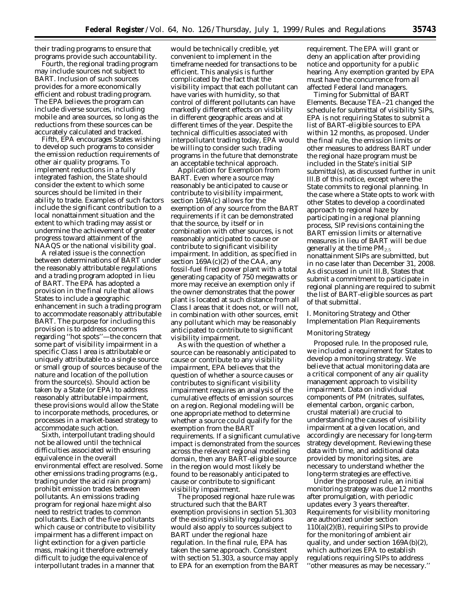their trading programs to ensure that programs provide such accountability.

Fourth, the regional trading program may include sources not subject to BART. Inclusion of such sources provides for a more economically efficient and robust trading program. The EPA believes the program can include diverse sources, including mobile and area sources, so long as the reductions from these sources can be accurately calculated and tracked.

Fifth, EPA encourages States wishing to develop such programs to consider the emission reduction requirements of other air quality programs. To implement reductions in a fully integrated fashion, the State should consider the extent to which some sources should be limited in their ability to trade. Examples of such factors include the significant contribution to a local nonattainment situation and the extent to which trading may assist or undermine the achievement of greater progress toward attainment of the NAAQS or the national visibility goal.

A related issue is the connection between determinations of BART under the reasonably attributable regulations and a trading program adopted in lieu of BART. The EPA has adopted a provision in the final rule that allows States to include a geographic enhancement in such a trading program to accommodate reasonably attributable BART. The purpose for including this provision is to address concerns regarding ''hot spots''—the concern that some part of visibility impairment in a specific Class I area is attributable or uniquely attributable to a single source or small group of sources because of the nature and location of the pollution from the source(s). Should action be taken by a State (or EPA) to address reasonably attributable impairment, these provisions would allow the State to incorporate methods, procedures, or processes in a market-based strategy to accommodate such action.

Sixth, interpollutant trading should not be allowed until the technical difficulties associated with ensuring equivalence in the overall environmental effect are resolved. Some other emissions trading programs (e.g., trading under the acid rain program) prohibit emission trades between pollutants. An emissions trading program for regional haze might also need to restrict trades to common pollutants. Each of the five pollutants which cause or contribute to visibility impairment has a different impact on light extinction for a given particle mass, making it therefore extremely difficult to judge the equivalence of interpollutant trades in a manner that

would be technically credible, yet convenient to implement in the timeframe needed for transactions to be efficient. This analysis is further complicated by the fact that the visibility impact that each pollutant can have varies with humidity, so that control of different pollutants can have markedly different effects on visibility in different geographic areas and at different times of the year. Despite the technical difficulties associated with interpollutant trading today, EPA would be willing to consider such trading programs in the future that demonstrate an acceptable technical approach.

*Application for Exemption from BART*. Even where a source may reasonably be anticipated to cause or contribute to visibility impairment, section 169A(c) allows for the exemption of any source from the BART requirements if it can be demonstrated that the source, by itself or in combination with other sources, is not reasonably anticipated to cause or contribute to significant visibility impairment. In addition, as specified in section  $169A(c)(2)$  of the CAA, any fossil-fuel fired power plant with a total generating capacity of 750 megawatts or more may receive an exemption only if the owner demonstrates that the power plant is located at such distance from all Class I areas that it does not, or will not, in combination with other sources, emit any pollutant which may be reasonably anticipated to contribute to significant visibility impairment.

As with the question of whether a source can be reasonably anticipated to cause or contribute to any visibility impairment, EPA believes that the question of whether a source causes or contributes to significant visibility impairment requires an analysis of the cumulative effects of emission sources on a region. Regional modeling will be one appropriate method to determine whether a source could qualify for the exemption from the BART requirements. If a significant cumulative impact is demonstrated from the sources across the relevant regional modeling domain, then any BART-eligible source in the region would most likely be found to be reasonably anticipated to cause or contribute to significant visibility impairment.

The proposed regional haze rule was structured such that the BART exemption provisions in section 51.303 of the existing visibility regulations would also apply to sources subject to BART under the regional haze regulation. In the final rule, EPA has taken the same approach. Consistent with section 51.303, a source may apply to EPA for an exemption from the BART requirement. The EPA will grant or deny an application after providing notice and opportunity for a public hearing. Any exemption granted by EPA must have the concurrence from all affected Federal land managers.

*Timing for Submittal of BART Elements*. Because TEA–21 changed the schedule for submittal of visibility SIPs, EPA is not requiring States to submit a list of BART-eligible sources to EPA within 12 months, as proposed. Under the final rule, the emission limits or other measures to address BART under the regional haze program must be included in the State's initial SIP submittal(s), as discussed further in unit III.B of this notice, except where the State commits to regional planning. In the case where a State opts to work with other States to develop a coordinated approach to regional haze by participating in a regional planning process, SIP revisions containing the BART emission limits or alternative measures in lieu of BART will be due generally at the time  $PM_{2.5}$ nonattainment SIPs are submitted, but in no case later than December 31, 2008. As discussed in unit III.B, States that submit a commitment to participate in regional planning are required to submit the list of BART-eligible sources as part of that submittal.

## *I. Monitoring Strategy and Other Implementation Plan Requirements*

## Monitoring Strategy

*Proposed rule.* In the proposed rule, we included a requirement for States to develop a monitoring strategy. We believe that actual monitoring data are a critical component of any air quality management approach to visibility impairment. Data on individual components of PM (nitrates, sulfates, elemental carbon, organic carbon, crustal material) are crucial to understanding the causes of visibility impairment at a given location, and accordingly are necessary for long-term strategy development. Reviewing these data with time, and additional data provided by monitoring sites, are necessary to understand whether the long-term strategies are effective.

Under the proposed rule, an initial monitoring strategy was due 12 months after promulgation, with periodic updates every 3 years thereafter. Requirements for visibility monitoring are authorized under section 110(a)(2)(B), requiring SIPs to provide for the monitoring of ambient air quality, and under section 169A(b)(2), which authorizes EPA to establish regulations requiring SIPs to address ''other measures as may be necessary.''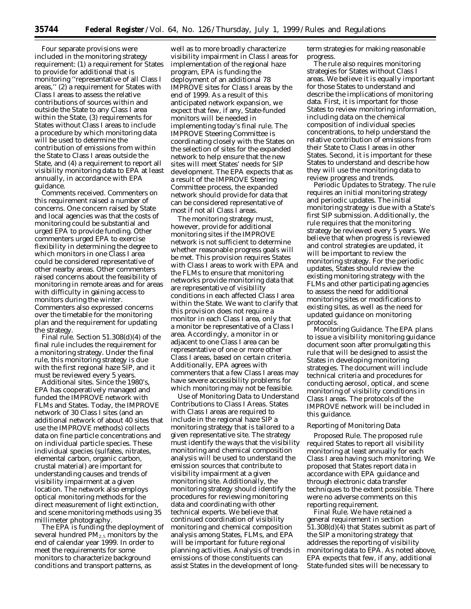Four separate provisions were included in the monitoring strategy requirement: (1) a requirement for States to provide for additional that is monitoring ''representative of all Class I areas,'' (2) a requirement for States with Class I areas to assess the relative contributions of sources within and outside the State to any Class I area within the State, (3) requirements for States without Class I areas to include a procedure by which monitoring data will be used to determine the contribution of emissions from within the State to Class I areas outside the State, and (4) a requirement to report all visibility monitoring data to EPA at least annually, in accordance with EPA guidance.

*Comments received.* Commenters on this requirement raised a number of concerns. One concern raised by State and local agencies was that the costs of monitoring could be substantial and urged EPA to provide funding. Other commenters urged EPA to exercise flexibility in determining the degree to which monitors in one Class I area could be considered representative of other nearby areas. Other commenters raised concerns about the feasibility of monitoring in remote areas and for areas with difficulty in gaining access to monitors during the winter. Commenters also expressed concerns over the timetable for the monitoring plan and the requirement for updating the strategy.

*Final rule.* Section 51.308(d)(4) of the final rule includes the requirement for a monitoring strategy. Under the final rule, this monitoring strategy is due with the first regional haze SIP, and it must be reviewed every 5 years.

*Additional sites.* Since the 1980's, EPA has cooperatively managed and funded the IMPROVE network with FLMs and States. Today, the IMPROVE network of 30 Class I sites (and an additional network of about 40 sites that use the IMPROVE methods) collects data on fine particle concentrations and on individual particle species. These individual species (sulfates, nitrates, elemental carbon, organic carbon, crustal material) are important for understanding causes and trends of visibility impairment at a given location. The network also employs optical monitoring methods for the direct measurement of light extinction, and scene monitoring methods using 35 millimeter photography.

The EPA is funding the deployment of several hundred  $PM_{2.5}$  monitors by the end of calendar year 1999. In order to meet the requirements for some monitors to characterize background conditions and transport patterns, as

well as to more broadly characterize visibility impairment in Class I areas for implementation of the regional haze program, EPA is funding the deployment of an additional 78 IMPROVE sites for Class I areas by the end of 1999. As a result of this anticipated network expansion, we expect that few, if any, State-funded monitors will be needed in implementing today's final rule. The IMPROVE Steering Committee is coordinating closely with the States on the selection of sites for the expanded network to help ensure that the new sites will meet States' needs for SIP development. The EPA expects that as a result of the IMPROVE Steering Committee process, the expanded network should provide for data that can be considered representative of most if not all Class I areas.

The monitoring strategy must, however, provide for additional monitoring sites if the IMPROVE network is not sufficient to determine whether reasonable progress goals will be met. This provision requires States with Class I areas to work with EPA and the FLMs to ensure that monitoring networks provide monitoring data that are representative of visibility conditions in each affected Class I area within the State. We want to clarify that this provision does not require a monitor in each Class I area, only that a monitor be representative of a Class I area. Accordingly, a monitor in or adjacent to one Class I area can be representative of one or more other Class I areas, based on certain criteria. Additionally, EPA agrees with commenters that a few Class I areas may have severe accessibility problems for which monitoring may not be feasible.

*Use of Monitoring Data to Understand Contributions to Class I Areas.* States with Class I areas are required to include in the regional haze SIP a monitoring strategy that is tailored to a given representative site. The strategy must identify the ways that the visibility monitoring and chemical composition analysis will be used to understand the emission sources that contribute to visibility impairment at a given monitoring site. Additionally, the monitoring strategy should identify the procedures for reviewing monitoring data and coordinating with other technical experts. We believe that continued coordination of visibility monitoring and chemical composition analysis among States, FLMs, and EPA will be important for future regional planning activities. Analysis of trends in emissions of those constituents can assist States in the development of long-

term strategies for making reasonable progress.

The rule also requires monitoring strategies for States without Class I areas. We believe it is equally important for those States to understand and describe the implications of monitoring data. First, it is important for those States to review monitoring information, including data on the chemical composition of individual species concentrations, to help understand the relative contribution of emissions from their State to Class I areas in other States. Second, it is important for these States to understand and describe how they will use the monitoring data to review progress and trends.

*Periodic Updates to Strategy.* The rule requires an initial monitoring strategy and periodic updates. The initial monitoring strategy is due with a State's first SIP submission. Additionally, the rule requires that the monitoring strategy be reviewed every 5 years. We believe that when progress is reviewed and control strategies are updated, it will be important to review the monitoring strategy. For the periodic updates, States should review the existing monitoring strategy with the FLMs and other participating agencies to assess the need for additional monitoring sites or modifications to existing sites, as well as the need for updated guidance on monitoring protocols.

*Monitoring Guidance.* The EPA plans to issue a visibility monitoring guidance document soon after promulgating this rule that will be designed to assist the States in developing monitoring strategies. The document will include technical criteria and procedures for conducting aerosol, optical, and scene monitoring of visibility conditions in Class I areas. The protocols of the IMPROVE network will be included in this guidance.

#### Reporting of Monitoring Data

*Proposed Rule.* The proposed rule required States to report all visibility monitoring at least annually for each Class I area having such monitoring. We proposed that States report data in accordance with EPA guidance and through electronic data transfer techniques to the extent possible. There were no adverse comments on this reporting requirement.

*Final Rule.* We have retained a general requirement in section 51.308(d)(4) that States submit as part of the SIP a monitoring strategy that addresses the reporting of visibility monitoring data to EPA. As noted above, EPA expects that few, if any, additional State-funded sites will be necessary to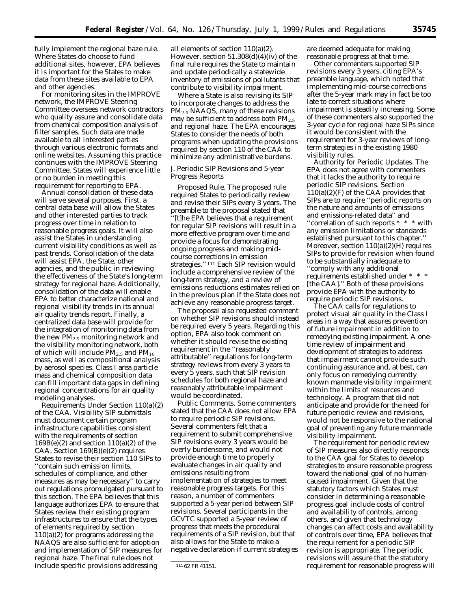fully implement the regional haze rule. Where States do choose to fund additional sites, however, EPA believes it is important for the States to make data from these sites available to EPA and other agencies.

For monitoring sites in the IMPROVE network, the IMPROVE Steering Committee oversees network contractors who quality assure and consolidate data from chemical composition analysis of filter samples. Such data are made available to all interested parties through various electronic formats and online websites. Assuming this practice continues with the IMPROVE Steering Committee, States will experience little or no burden in meeting this requirement for reporting to EPA.

Annual consolidation of these data will serve several purposes. First, a central data base will allow the States and other interested parties to track progress over time in relation to reasonable progress goals. It will also assist the States in understanding current visibility conditions as well as past trends. Consolidation of the data will assist EPA, the State, other agencies, and the public in reviewing the effectiveness of the State's long-term strategy for regional haze. Additionally, consolidation of the data will enable EPA to better characterize national and regional visibility trends in its annual air quality trends report. Finally, a centralized data base will provide for the integration of monitoring data from the new  $PM_{2.5}$  monitoring network and the visibility monitoring network, both of which will include  $PM_{2.5}$  and  $PM_{10}$ mass, as well as compositional analysis by aerosol species. Class I area particle mass and chemical composition data can fill important data gaps in defining regional concentrations for air quality modeling analyses.

*Requirements Under Section 110(a)(2) of the CAA.* Visibility SIP submittals must document certain program infrastructure capabilities consistent with the requirements of section  $169B(e)(2)$  and section  $110(a)(2)$  of the CAA. Section 169(B)(e)(2) requires States to revise their section 110 SIPs to ''contain such emission limits, schedules of compliance, and other measures as may be necessary'' to carry out regulations promulgated pursuant to this section. The EPA believes that this language authorizes EPA to ensure that States review their existing program infrastructures to ensure that the types of elements required by section 110(a)(2) for programs addressing the NAAQS are also sufficient for adoption and implementation of SIP measures for regional haze. The final rule does not include specific provisions addressing

all elements of section 110(a)(2). However, section 51.308(d)(4)(iv) of the final rule requires the State to maintain and update periodically a statewide inventory of emissions of pollutants that contribute to visibility impairment.

Where a State is also revising its SIP to incorporate changes to address the PM<sub>2.5</sub> NAAQS, many of these revisions may be sufficient to address both  $PM_{2.5}$ and regional haze. The EPA encourages States to consider the needs of both programs when updating the provisions required by section 110 of the CAA to minimize any administrative burdens.

## *J. Periodic SIP Revisions and 5-year Progress Reports*

*Proposed Rule.* The proposed rule required States to periodically review and revise their SIPs every 3 years. The preamble to the proposal stated that ''[t]he EPA believes that a requirement for regular SIP revisions will result in a more effective program over time and provide a focus for demonstrating ongoing progress and making midcourse corrections in emission strategies.'' 111 Each SIP revision would include a comprehensive review of the long-term strategy, and a review of emissions reductions estimates relied on in the previous plan if the State does not achieve any reasonable progress target.

The proposal also requested comment on whether SIP revisions should instead be required every 5 years. Regarding this option, EPA also took comment on whether it should revise the existing requirement in the ''reasonably attributable'' regulations for long-term strategy reviews from every 3 years to every 5 years, such that SIP revision schedules for both regional haze and reasonably attributable impairment would be coordinated.

*Public Comments.* Some commenters stated that the CAA does not allow EPA to require periodic SIP revisions. Several commenters felt that a requirement to submit comprehensive SIP revisions every 3 years would be overly burdensome, and would not provide enough time to properly evaluate changes in air quality and emissions resulting from implementation of strategies to meet reasonable progress targets. For this reason, a number of commenters supported a 5-year period between SIP revisions. Several participants in the GCVTC supported a 5-year review of progress that meets the procedural requirements of a SIP revision, but that also allows for the State to make a negative declaration if current strategies are deemed adequate for making reasonable progress at that time.

Other commenters supported SIP revisions every 3 years, citing EPA's preamble language, which noted that implementing mid-course corrections after the 5-year mark may in fact be too late to correct situations where impairment is steadily increasing. Some of these commenters also supported the 3-year cycle for regional haze SIPs since it would be consistent with the requirement for 3-year reviews of longterm strategies in the existing 1980 visibility rules.

*Authority for Periodic Updates.* The EPA does not agree with commenters that it lacks the authority to require periodic SIP revisions. Section 110(a)(2)(F) of the CAA provides that SIPs are to require ''periodic reports on the nature and amounts of emissions and emissions-related data'' and ''correlation of such reports \* \* \* with any emission limitations or standards established pursuant to this chapter.'' Moreover, section  $110(a)(2)(H)$  requires SIPs to provide for revision when found to be substantially inadequate to ''comply with any additional requirements established under \* \* \* [the CAA].'' Both of these provisions provide EPA with the authority to require periodic SIP revisions.

The CAA calls for regulations to protect visual air quality in the Class I areas in a way that assures prevention of future impairment in addition to remedying existing impairment. A onetime review of impairment and development of strategies to address that impairment cannot provide such continuing assurance and, at best, can only focus on remedying currently known manmade visibility impairment within the limits of resources and technology. A program that did not anticipate and provide for the need for future periodic review and revisions, would not be responsive to the national goal of preventing any future manmade visibility impairment.

The requirement for periodic review of SIP measures also directly responds to the CAA goal for States to develop strategies to ensure reasonable progress toward the national goal of no humancaused impairment. Given that the statutory factors which States must consider in determining a reasonable progress goal include costs of control and availability of controls, among others, and given that technology changes can affect costs and availability of controls over time, EPA believes that the requirement for a periodic SIP revision is appropriate. The periodic revisions will assure that the statutory requirement for reasonable progress will

<sup>111</sup> 62 FR 41151.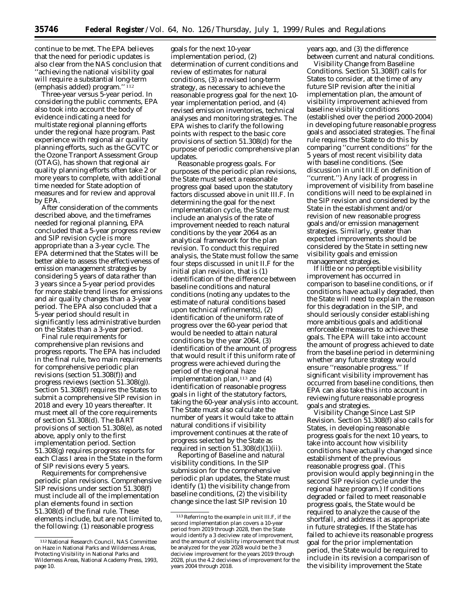continue to be met. The EPA believes that the need for periodic updates is also clear from the NAS conclusion that ''achieving the national visibility goal will require a substantial *long-term* (emphasis added) program.'' 112

*Three-year versus 5-year period.* In considering the public comments, EPA also took into account the body of evidence indicating a need for multistate regional planning efforts under the regional haze program. Past experience with regional air quality planning efforts, such as the GCVTC or the Ozone Tranport Assessment Group (OTAG), has shown that regional air quality planning efforts often take 2 or more years to complete, with additional time needed for State adoption of measures and for review and approval by EPA.

After consideration of the comments described above, and the timeframes needed for regional planning, EPA concluded that a 5-year progress review and SIP revision cycle is more appropriate than a 3-year cycle. The EPA determined that the States will be better able to assess the effectiveness of emission management strategies by considering 5 years of data rather than 3 years since a 5-year period provides for more stable trend lines for emissions and air quality changes than a 3-year period. The EPA also concluded that a 5-year period should result in significantly less administrative burden on the States than a 3-year period.

*Final rule requirements for comprehensive plan revisions and progress reports.* The EPA has included in the final rule, two main requirements for comprehensive periodic plan revisions (section 51.308(f)) and progress reviews (section 51.308(g)). Section 51.308(f) requires the States to submit a comprehensive SIP revision in 2018 and every 10 years thereafter. It must meet all of the core requirements of section 51.308(d). The BART provisions of section 51.308(e), as noted above, apply only to the first implementation period. Section 51.308(g) requires progress reports for each Class I area in the State in the form of SIP revisions every 5 years.

*Requirements for comprehensive periodic plan revisions.* Comprehensive SIP revisions under section 51.308(f) must include all of the implementation plan elements found in section 51.308(d) of the final rule. These elements include, but are not limited to, the following: (1) reasonable progress

goals for the next 10-year implementation period, (2) determination of current conditions and review of estimates for natural conditions, (3) a revised long-term strategy, as necessary to achieve the reasonable progress goal for the next 10 year implementation period, and (4) revised emission inventories, technical analyses and monitoring strategies. The EPA wishes to clarify the following points with respect to the basic core provisions of section 51.308(d) for the purpose of periodic comprehensive plan updates.

*Reasonable progress goals.* For purposes of the periodic plan revisions, the State must select a reasonable progress goal based upon the statutory factors discussed above in unit III.F. In determining the goal for the next implementation cycle, the State must include an analysis of the rate of improvement needed to reach natural conditions by the year 2064 as an analytical framework for the plan revision. To conduct this required analysis, the State must follow the same four steps discussed in unit II.F for the initial plan revision, that is (1) identification of the difference between baseline conditions and natural conditions (noting any updates to the estimate of natural conditions based upon technical refinements), (2) identification of the uniform rate of progress over the 60-year period that would be needed to attain natural conditions by the year 2064, (3) identification of the amount of progress that would result if this uniform rate of progress were achieved during the period of the regional haze implementation plan, $113$  and (4) identification of reasonable progress goals in light of the statutory factors, taking the 60-year analysis into account. The State must also calculate the number of years it would take to attain natural conditions if visibility improvement continues at the rate of progress selected by the State as required in section  $51.308(d)(1)(ii)$ .

*Reporting of Baseline and natural visibility conditions.* In the SIP submission for the comprehensive periodic plan updates, the State must identify (1) the visibility change from baseline conditions, (2) the visibility change since the last SIP revision 10

years ago, and (3) the difference between current and natural conditions.

*Visibility Change from Baseline Conditions.* Section 51.308(f) calls for States to consider, at the time of any future SIP revision after the initial implementation plan, the amount of visibility improvement achieved from baseline visibility conditions (established over the period 2000-2004) in developing future reasonable progress goals and associated strategies. The final rule requires the State to do this by comparing ''current conditions'' for the 5 years of most recent visibility data with baseline conditions. (See discussion in unit III.E on definition of ''current.'') Any lack of progress in improvement of visibility from baseline conditions will need to be explained in the SIP revision and considered by the State in the establishment and/or revision of new reasonable progress goals and/or emission management strategies. Similarly, greater than expected improvements should be considered by the State in setting new visibility goals and emission management strategies.

If little or no perceptible visibility improvement has occurred in comparison to baseline conditions, or if conditions have actually degraded, then the State will need to explain the reason for this degradation in the SIP, and should seriously consider establishing more ambitious goals and additional enforceable measures to achieve these goals. The EPA will take into account the amount of progress achieved to date from the baseline period in determining whether any future strategy would ensure ''reasonable progress.'' If significant visibility improvement has occurred from baseline conditions, then EPA can also take this into account in reviewing future reasonable progress goals and strategies.

*Visibility Change Since Last SIP Revision.* Section 51.308(f) also calls for States, in developing reasonable progress goals for the next 10 years, to take into account how visibility conditions have actually changed since establishment of the previous reasonable progress goal. (This provision would apply beginning in the second SIP revision cycle under the regional haze program.) If conditions degraded or failed to meet reasonable progress goals, the State would be required to analyze the cause of the shortfall, and address it as appropriate in future strategies. If the State has failed to achieve its reasonable progress goal for the prior implementation period, the State would be required to include in its revision a comparison of the visibility improvement the State

<sup>112</sup>National Research Council, NAS Committee on Haze in National Parks and Wilderness Areas, Protecting Visibility in National Parks and Wilderness Areas, National Academy Press, 1993, page 10.

<sup>113</sup>Referring to the example in unit III.F, if the second implementation plan covers a 10-year period from 2019 through 2028, then the State would identify a 3 deciview rate of improvement, and the amount of visibility improvement that must be analyzed for the year 2028 would be the 3 deciview improvement for the years 2019 through 2028, plus the 4.2 deciviews of improvement for the years 2004 through 2018.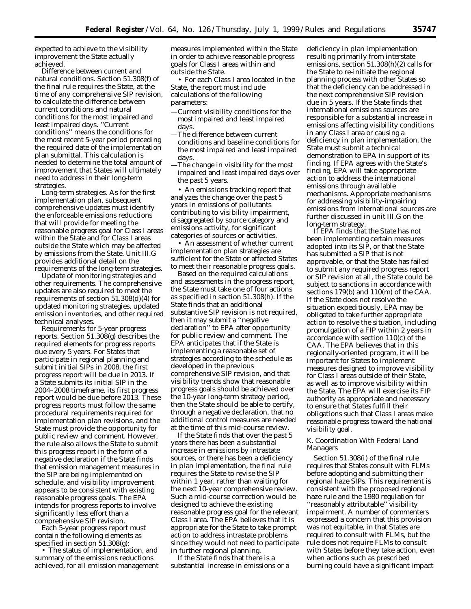expected to achieve to the visibility improvement the State actually achieved.

*Difference between current and natural conditions*. Section 51.308(f) of the final rule requires the State, at the time of any comprehensive SIP revision, to calculate the difference between current conditions and natural conditions for the most impaired and least impaired days. ''Current conditions'' means the conditions for the most recent 5-year period preceding the required date of the implementation plan submittal. This calculation is needed to determine the total amount of improvement that States will ultimately need to address in their long-term strategies.

*Long-term strategies*. As for the first implementation plan, subsequent comprehensive updates must identify the enforceable emissions reductions that will provide for meeting the reasonable progress goal for Class I areas within the State and for Class I areas outside the State which may be affected by emissions from the State. Unit III.G provides additional detail on the requirements of the long-term strategies.

*Update of monitoring strategies and other requirements*. The comprehensive updates are also required to meet the requirements of section 51.308(d)(4) for updated monitoring strategies, updated emission inventories, and other required technical analyses.

*Requirements for 5-year progress reports*. Section 51.308(g) describes the required elements for progress reports due every 5 years. For States that participate in regional planning and submit initial SIPs in 2008, the first progress report will be due in 2013. If a State submits its initial SIP in the 2004–2008 timeframe, its first progress report would be due before 2013. These progress reports must follow the same procedural requirements required for implementation plan revisions, and the State must provide the opportunity for public review and comment. However, the rule also allows the State to submit this progress report in the form of a negative declaration if the State finds that emission management measures in the SIP are being implemented on schedule, and visibility improvement appears to be consistent with existing reasonable progress goals. The EPA intends for progress reports to involve significantly less effort than a comprehensive SIP revision.

Each 5-year progress report must contain the following elements as specified in section 51.308(g):

• The status of implementation, and summary of the emissions reductions achieved, for all emission management measures implemented within the State in order to achieve reasonable progress goals for Class I areas within and outside the State.

• For each Class I area located in the State, the report must include calculations of the following parameters:

- —Current visibility conditions for the most impaired and least impaired days.
- —The difference between current conditions and baseline conditions for the most impaired and least impaired days.
- —The change in visibility for the most impaired and least impaired days over the past 5 years.

• An emissions tracking report that analyzes the change over the past 5 years in emissions of pollutants contributing to visibility impairment, disaggregated by source category and emissions activity, for significant categories of sources or activities.

• An assessment of whether current implementation plan strategies are sufficient for the State or affected States to meet their reasonable progress goals.

Based on the required calculations and assessments in the progress report, the State must take one of four actions as specified in section 51.308(h). If the State finds that an additional substantive SIP revision is not required, then it may submit a ''negative declaration'' to EPA after opportunity for public review and comment. The EPA anticipates that if the State is implementing a reasonable set of strategies according to the schedule as developed in the previous comprehensive SIP revision, and that visibility trends show that reasonable progress goals should be achieved over the 10-year long-term strategy period, then the State should be able to certify, through a negative declaration, that no additional control measures are needed at the time of this mid-course review.

If the State finds that over the past 5 years there has been a substantial increase in emissions by intrastate sources, or there has been a deficiency in plan implementation, the final rule requires the State to revise the SIP within 1 year, rather than waiting for the next 10-year comprehensive review. Such a mid-course correction would be designed to achieve the existing reasonable progress goal for the relevant Class I area. The EPA believes that it is appropriate for the State to take prompt action to address intrastate problems since they would not need to participate in further regional planning.

If the State finds that there is a substantial increase in emissions or a

deficiency in plan implementation resulting primarily from interstate emissions, section 51.308(h)(2) calls for the State to re-initiate the regional planning process with other States so that the deficiency can be addressed in the next comprehensive SIP revision due in 5 years. If the State finds that international emissions sources are responsible for a substantial increase in emissions affecting visibility conditions in any Class I area or causing a deficiency in plan implementation, the State must submit a technical demonstration to EPA in support of its finding. If EPA agrees with the State's finding, EPA will take appropriate action to address the international emissions through available mechanisms. Appropriate mechanisms for addressing visibility-impairing emissions from international sources are further discussed in unit III.G on the long-term strategy.

If EPA finds that the State has not been implementing certain measures adopted into its SIP, or that the State has submitted a SIP that is not approvable, or that the State has failed to submit any required progress report or SIP revision at all, the State could be subject to sanctions in accordance with sections 179(b) and 110(m) of the CAA. If the State does not resolve the situation expeditiously, EPA may be obligated to take further appropriate action to resolve the situation, including promulgation of a FIP within 2 years in accordance with section 110(c) of the CAA. The EPA believes that in this regionally-oriented program, it will be important for States to implement measures designed to improve visibility for Class I areas outside of their State, as well as to improve visibility within the State. The EPA will exercise its FIP authority as appropriate and necessary to ensure that States fulfill their obligations such that Class I areas make reasonable progress toward the national visibility goal.

## *K. Coordination With Federal Land Managers*

Section 51.308(i) of the final rule requires that States consult with FLMs before adopting and submitting their regional haze SIPs. This requirement is consistent with the proposed regional haze rule and the 1980 regulation for ''reasonably attributable'' visibility impairment. A number of commenters expressed a concern that this provision was not equitable, in that States are required to consult with FLMs, but the rule does not require FLMs to consult with States before they take action, even when actions such as prescribed burning could have a significant impact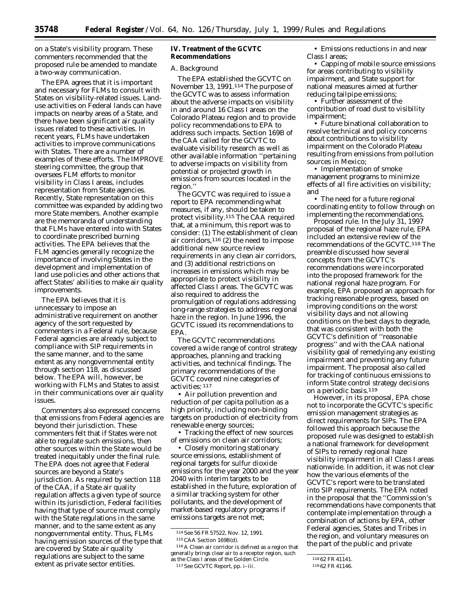on a State's visibility program. These commenters recommended that the proposed rule be amended to mandate a two-way communication.

The EPA agrees that it is important and necessary for FLMs to consult with States on visibility-related issues. Landuse activities on Federal lands can have impacts on nearby areas of a State, and there have been significant air quality issues related to these activities. In recent years, FLMs have undertaken activities to improve communications with States. There are a number of examples of these efforts. The IMPROVE steering committee, the group that oversees FLM efforts to monitor visibility in Class I areas, includes representation from State agencies. Recently, State representation on this committee was expanded by adding two more State members. Another example are the memoranda of understanding that FLMs have entered into with States to coordinate prescribed burning activities. The EPA believes that the FLM agencies generally recognize the importance of involving States in the development and implementation of land use policies and other actions that affect States' abilities to make air quality improvements.

The EPA believes that it is unnecessary to impose an administrative requirement on another agency of the sort requested by commenters in a Federal rule, because Federal agencies are already subject to compliance with SIP requirements in the same manner, and to the same extent as any nongovernmental entity through section 118, as discussed below. The EPA will, however, be working with FLMs and States to assist in their communications over air quality issues.

Commenters also expressed concerns that emissions from Federal agencies are beyond their jurisdiction. These commenters felt that if States were not able to regulate such emissions, then other sources within the State would be treated inequitably under the final rule. The EPA does not agree that Federal sources are beyond a State's jurisdiction. As required by section 118 of the CAA, if a State air quality regulation affects a given type of source within its jurisdiction, Federal facilities having that type of source must comply with the State regulations in the same manner, and to the same extent as any nongovernmental entity. Thus, FLMs having emission sources of the type that are covered by State air quality regulations are subject to the same extent as private sector entities.

#### **IV. Treatment of the GCVTC Recommendations**

#### *A. Background*

The EPA established the GCVTC on November 13, 1991.114 The purpose of the GCVTC was to assess information about the adverse impacts on visibility in and around 16 Class I areas on the Colorado Plateau region and to provide policy recommendations to EPA to address such impacts. Section 169B of the CAA called for the GCVTC to evaluate visibility research as well as other available information ''pertaining to adverse impacts on visibility from potential or projected growth in emissions from sources located in the region.''

The GCVTC was required to issue a report to EPA recommending what measures, if any, should be taken to protect visibility.115 The CAA required that, at a minimum, this report was to consider: (1) The establishment of clean air corridors,<sup>116</sup> (2) the need to impose additional new source review requirements in any clean air corridors, and (3) additional restrictions on increases in emissions which may be appropriate to protect visibility in affected Class I areas. The GCVTC was also required to address the promulgation of regulations addressing long-range strategies to address regional haze in the region. In June 1996, the GCVTC issued its recommendations to EPA.

The GCVTC recommendations covered a wide range of control strategy approaches, planning and tracking activities, and technical findings. The primary recommendations of the GCVTC covered nine categories of activities: 117

• Air pollution prevention and reduction of per capita pollution as a high priority, including non-binding targets on production of electricity from renewable energy sources;

• Tracking the effect of new sources of emissions on clean air corridors;

• Closely monitoring stationary source emissions, establishment of regional targets for sulfur dioxide emissions for the year 2000 and the year 2040 with interim targets to be established in the future, exploration of a similar tracking system for other pollutants, and the development of market-based regulatory programs if emissions targets are not met;

114See 56 FR 57522, Nov. 12, 1991. 115CAA Section 169B(d).

 $^{116}\mathrm{A}$  Clean air corridor is defined as a region that generally brings clear air to a receptor region, such as the Class I areas of the Golden Circle. 117See GCVTC Report, pp. i–iii.

• Emissions reductions in and near Class I areas;

• Capping of mobile source emissions for areas contributing to visibility impairment, and State support for national measures aimed at further reducing tailpipe emissions;

• Further assessment of the contribution of road dust to visibility impairment;

• Future binational collaboration to resolve technical and policy concerns about contributions to visibility impairment on the Colorado Plateau resulting from emissions from pollution sources in Mexico;

• Implementation of smoke management programs to minimize effects of all fire activities on visibility; and

• The need for a future regional coordinating entity to follow through on implementing the recommendations.

*Proposed rule*. In the July 31, 1997 proposal of the regional haze rule, EPA included an extensive review of the recommendations of the GCVTC.118 The preamble discussed how several concepts from the GCVTC's recommendations were incorporated into the proposed framework for the national regional haze program. For example, EPA proposed an approach for tracking reasonable progress, based on improving conditions on the worst visibility days and not allowing conditions on the best days to degrade, that was consistent with both the GCVTC's definition of ''reasonable progress'' and with the CAA national visibility goal of remedying any existing impairment and preventing any future impairment. The proposal also called for tracking of continuous emissions to inform State control strategy decisions on a periodic basis.119

However, in its proposal, EPA chose not to incorporate the GCVTC's specific emission management strategies as direct requirements for SIPs. The EPA followed this approach because the proposed rule was designed to establish a national framework for development of SIPs to remedy regional haze visibility impairment in all Class I areas nationwide. In addition, it was not clear how the various elements of the GCVTC's report were to be translated into SIP requirements. The EPA noted in the proposal that the ''Commission's recommendations have components that contemplate implementation through a combination of actions by EPA, other Federal agencies, States and Tribes in the region, and voluntary measures on the part of the public and private

<sup>118</sup> 62 FR 41141.

<sup>119</sup> 62 FR 41146.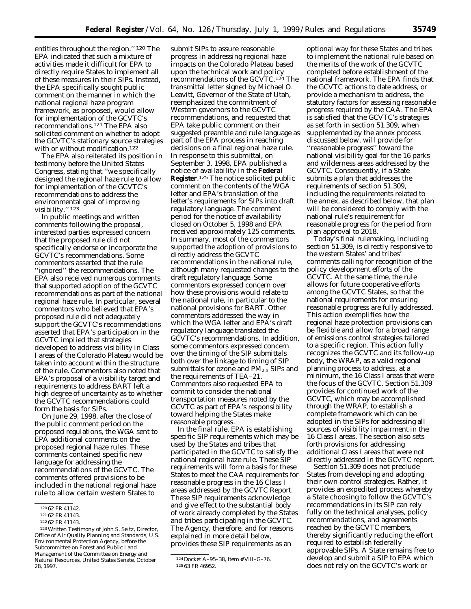entities throughout the region.'' 120 The EPA indicated that such a mixture of activities made it difficult for EPA to directly require States to implement all of these measures in their SIPs. Instead, the EPA specifically sought public comment on the manner in which the national regional haze program framework, as proposed, would allow for implementation of the GCVTC's recommendations.121 The EPA also solicited comment on whether to adopt the GCVTC's stationary source strategies with or without modification.122

The EPA also reiterated its position in testimony before the United States Congress, stating that ''we specifically designed the regional haze rule to allow for implementation of the GCVTC's recommendations to address the environmental goal of improving visibility.'' 123

In public meetings and written comments following the proposal, interested parties expressed concern that the proposed rule did not specifically endorse or incorporate the GCVTC's recommendations. Some commentors asserted that the rule ''ignored'' the recommendations. The EPA also received numerous comments that supported adoption of the GCVTC recommendations as part of the national regional haze rule. In particular, several commentors who believed that EPA's proposed rule did not adequately support the GCVTC's recommendations asserted that EPA's participation in the GCVTC implied that strategies developed to address visibility in Class I areas of the Colorado Plateau would be taken into account within the structure of the rule. Commentors also noted that EPA's proposal of a visibility target and requirements to address BART left a high degree of uncertainty as to whether the GCVTC recommendations could form the basis for SIPs.

On June 29, 1998, after the close of the public comment period on the proposed regulations, the WGA sent to EPA additional comments on the proposed regional haze rules. These comments contained specific new language for addressing the recommendations of the GCVTC. The comments offered provisions to be included in the national regional haze rule to allow certain western States to

submit SIPs to assure reasonable progress in addressing regional haze impacts on the Colorado Plateau based upon the technical work and policy recommendations of the GCVTC.124 The transmittal letter signed by Michael O. Leavitt, Governor of the State of Utah, reemphasized the commitment of Western governors to the GCVTC recommendations, and requested that EPA take public comment on their suggested preamble and rule language as part of the EPA process in reaching decisions on a final regional haze rule. In response to this submittal, on September 3, 1998, EPA published a notice of availability in the **Federal Register**.125 The notice solicited public comment on the contents of the WGA letter and EPA's translation of the letter's requirements for SIPs into draft regulatory language. The comment period for the notice of availability closed on October 5, 1998 and EPA received approximately 125 comments. In summary, most of the commentors supported the adoption of provisions to directly address the GCVTC recommendations in the national rule, although many requested changes to the draft regulatory language. Some commentors expressed concern over how these provisions would relate to the national rule, in particular to the national provisions for BART. Other commentors addressed the way in which the WGA letter and EPA's draft regulatory language translated the GCVTC's recommendations. In addition, some commentors expressed concern over the timing of the SIP submittals both over the linkage to timing of SIP submittals for ozone and  $PM_{2.5}$  SIPs and the requirements of TEA–21. Commentors also requested EPA to commit to consider the national transportation measures noted by the GCVTC as part of EPA's responsibility toward helping the States make reasonable progress.

In the final rule, EPA is establishing specific SIP requirements which may be used by the States and tribes that participated in the GCVTC to satisfy the national regional haze rule. These SIP requirements will form a basis for these States to meet the CAA requirements for reasonable progress in the 16 Class I areas addressed by the GCVTC Report. These SIP requirements acknowledge and give effect to the substantial body of work already completed by the States and tribes participating in the GCVTC. The Agency, therefore, and for reasons explained in more detail below, provides these SIP requirements as an

optional way for these States and tribes to implement the national rule based on the merits of the work of the GCVTC completed before establishment of the national framework. The EPA finds that the GCVTC actions to date address, or provide a mechanism to address, the statutory factors for assessing reasonable progress required by the CAA. The EPA is satisfied that the GCVTC's strategies as set forth in section 51.309, when supplemented by the annex process discussed below, will provide for ''reasonable progress'' toward the national visibility goal for the 16 parks and wilderness areas addressed by the GCVTC. Consequently, if a State submits a plan that addresses the requirements of section 51.309, including the requirements related to the annex, as described below, that plan will be considered to comply with the national rule's requirement for reasonable progress for the period from plan approval to 2018.

Today's final rulemaking, including section 51.309, is directly responsive to the western States' and tribes' comments calling for recognition of the policy development efforts of the GCVTC. At the same time, the rule allows for future cooperative efforts among the GCVTC States, so that the national requirements for ensuring reasonable progress are fully addressed. This action exemplifies how the regional haze protection provisions can be flexible and allow for a broad range of emissions control strategies tailored to a specific region. This action fully recognizes the GCVTC and its follow-up body, the WRAP, as a valid regional planning process to address, at a minimum, the 16 Class I areas that were the focus of the GCVTC. Section 51.309 provides for continued work of the GCVTC, which may be accomplished through the WRAP, to establish a complete framework which can be adopted in the SIPs for addressing all sources of visibility impairment in the 16 Class I areas. The section also sets forth provisions for addressing additional Class I areas that were not directly addressed in the GCVTC report.

Section 51.309 does not preclude States from developing and adopting their own control strategies. Rather, it provides an expedited process whereby a State choosing to follow the GCVTC's recommendations in its SIP can rely fully on the technical analyses, policy recommendations, and agreements reached by the GCVTC members, thereby significantly reducing the effort required to establish federally approvable SIPs. A State remains free to develop and submit a SIP to EPA which does not rely on the GCVTC's work or

<sup>120</sup> 62 FR 41142.

<sup>121</sup> 62 FR 41143.

<sup>122</sup> 62 FR 41143.

<sup>123</sup>Written Testimony of John S. Seitz, Director, Office of AIr Quality Planning and Standards, U.S. Environmental Protection Agency, before the Subcommittee on Forest and Public Land Management of the Committee on Energy and Natural Resources, United States Senate, October 28, 1997.

<sup>124</sup> Docket A–95–38, Item # VIII–G–76. 125 63 FR 46952.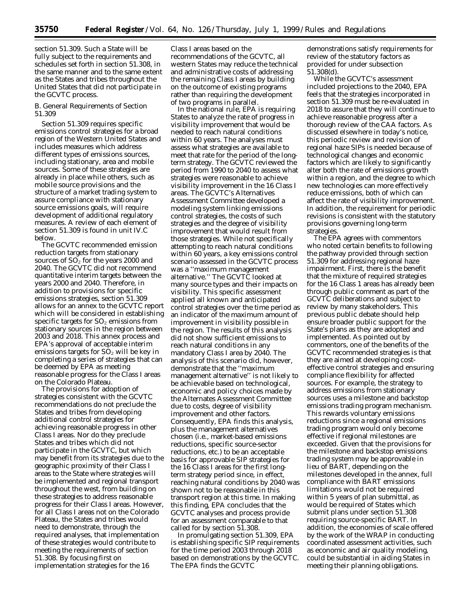section 51.309. Such a State will be fully subject to the requirements and schedules set forth in section 51.308, in the same manner and to the same extent as the States and tribes throughout the United States that did not participate in the GCVTC process.

## *B. General Requirements of Section 51.309*

Section 51.309 requires specific emissions control strategies for a broad region of the Western United States and includes measures which address different types of emissions sources, including stationary, area and mobile sources. Some of these strategies are already in place while others, such as mobile source provisions and the structure of a market trading system to assure compliance with stationary source emissions goals, will require development of additional regulatory measures. A review of each element of section 51.309 is found in unit IV.C below.

The GCVTC recommended emission reduction targets from stationary sources of  $SO<sub>2</sub>$  for the years 2000 and 2040. The GCVTC did not recommend quantitative interim targets between the years 2000 and 2040. Therefore, in addition to provisions for specific emissions strategies, section 51.309 allows for an annex to the GCVTC report which will be considered in establishing specific targets for  $SO<sub>2</sub>$  emissions from stationary sources in the region between 2003 and 2018. This annex process and EPA's approval of acceptable interim emissions targets for  $SO<sub>2</sub>$  will be key in completing a series of strategies that can be deemed by EPA as meeting reasonable progress for the Class I areas on the Colorado Plateau.

The provisions for adoption of strategies consistent with the GCVTC recommendations do not preclude the States and tribes from developing additional control strategies for achieving reasonable progress in other Class I areas. Nor do they preclude States and tribes which did not participate in the GCVTC, but which may benefit from its strategies due to the geographic proximity of their Class I areas to the State where strategies will be implemented and regional transport throughout the west, from building on these strategies to address reasonable progress for their Class I areas. However, for all Class I areas not on the Colorado Plateau, the States and tribes would need to demonstrate, through the required analyses, that implementation of these strategies would contribute to meeting the requirements of section 51.308. By focusing first on implementation strategies for the 16

Class I areas based on the recommendations of the GCVTC, all western States may reduce the technical and administrative costs of addressing the remaining Class I areas by building on the outcome of existing programs rather than requiring the development of two programs in parallel.

In the national rule, EPA is requiring States to analyze the rate of progress in visibility improvement that would be needed to reach natural conditions within 60 years. The analyses must assess what strategies are available to meet that rate for the period of the longterm strategy. The GCVTC reviewed the period from 1990 to 2040 to assess what strategies were reasonable to achieve visibility improvement in the 16 Class I areas. The GCVTC's Alternatives Assessment Committee developed a modeling system linking emissions control strategies, the costs of such strategies and the degree of visibility improvement that would result from those strategies. While not specifically attempting to reach natural conditions within 60 years, a key emissions control scenario assessed in the GCVTC process was a ''maximum management alternative.'' The GCVTC looked at many source types and their impacts on visibility. This specific assessment applied all known and anticipated control strategies over the time period as an indicator of the maximum amount of improvement in visibility possible in the region. The results of this analysis did not show sufficient emissions to reach natural conditions in any mandatory Class I area by 2040. The analysis of this scenario did, however, demonstrate that the ''maximum management alternative'' is not likely to be achievable based on technological, economic and policy choices made by the Alternates Assessment Committee due to costs, degree of visibility improvement and other factors. Consequently, EPA finds this analysis, plus the management alternatives chosen (i.e., market-based emissions reductions, specific source-sector reductions, etc.) to be an acceptable basis for approvable SIP strategies for the 16 Class I areas for the first longterm strategy period since, in effect, reaching natural conditions by 2040 was shown not to be reasonable in this transport region at this time. In making this finding, EPA concludes that the GCVTC analyses and process provide for an assessment comparable to that called for by section 51.308.

In promulgating section 51.309, EPA is establishing specific SIP requirements for the time period 2003 through 2018 based on demonstrations by the GCVTC. The EPA finds the GCVTC

demonstrations satisfy requirements for review of the statutory factors as provided for under subsection 51.308(d).

While the GCVTC's assessment included projections to the 2040, EPA feels that the strategies incorporated in section 51.309 must be re-evaluated in 2018 to assure that they will continue to achieve reasonable progress after a thorough review of the CAA factors. As discussed elsewhere in today's notice, this periodic review and revision of regional haze SIPs is needed because of technological changes and economic factors which are likely to significantly alter both the rate of emissions growth within a region, and the degree to which new technologies can more effectively reduce emissions, both of which can affect the rate of visibility improvement. In addition, the requirement for periodic revisions is consistent with the statutory provisions governing long-term strategies.

The EPA agrees with commentors who noted certain benefits to following the pathway provided through section 51.309 for addressing regional haze impairment. First, there is the benefit that the mixture of required strategies for the 16 Class 1 areas has already been through public comment as part of the GCVTC deliberations and subject to review by many stakeholders. This previous public debate should help ensure broader public support for the State's plans as they are adopted and implemented. As pointed out by commentors, one of the benefits of the GCVTC recommended strategies is that they are aimed at developing costeffective control strategies and ensuring compliance flexibility for affected sources. For example, the strategy to address emissions from stationary sources uses a milestone and backstop emissions trading program mechanism. This rewards voluntary emissions reductions since a regional emissions trading program would only become effective if regional milestones are exceeded. Given that the provisions for the milestone and backstop emissions trading system may be approvable in lieu of BART, depending on the milestones developed in the annex, full compliance with BART emissions limitations would not be required within 5 years of plan submittal, as would be required of States which submit plans under section 51.308 requiring source-specific BART. In addition, the economies of scale offered by the work of the WRAP in conducting coordinated assessment activities, such as economic and air quality modeling, could be substantial in aiding States in meeting their planning obligations.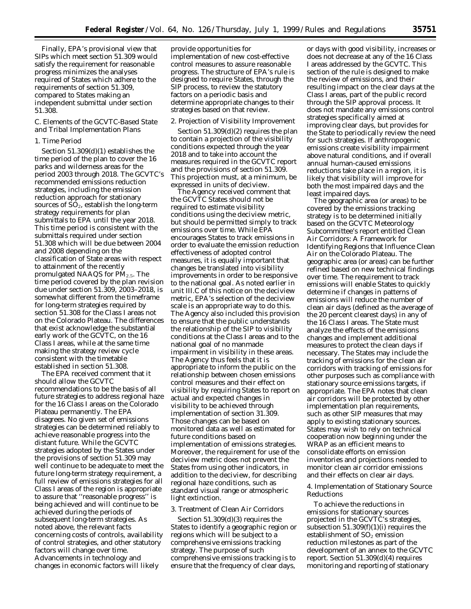Finally, EPA's provisional view that SIPs which meet section 51.309 would satisfy the requirement for reasonable progress minimizes the analyses required of States which adhere to the requirements of section 51.309, compared to States making an independent submittal under section 51.308.

## *C. Elements of the GCVTC-Based State and Tribal Implementation Plans*

#### 1. Time Period

Section 51.309(d)(1) establishes the time period of the plan to cover the 16 parks and wilderness areas for the period 2003 through 2018. The GCVTC's recommended emissions reduction strategies, including the emission reduction approach for stationary sources of  $SO<sub>2</sub>$ , establish the long-term strategy requirements for plan submittals to EPA until the year 2018. This time period is consistent with the submittals required under section 51.308 which will be due between 2004 and 2008 depending on the classification of State areas with respect to attainment of the recently promulgated NAAQS for  $PM_{2.5}$ . The time period covered by the plan revision due under section 51.309, 2003–2018, is somewhat different from the timeframe for long-term strategies required by section 51.308 for the Class I areas not on the Colorado Plateau. The differences that exist acknowledge the substantial early work of the GCVTC, on the 16 Class I areas, while at the same time making the strategy review cycle consistent with the timetable established in section 51.308.

The EPA received comment that it should allow the GCVTC recommendations to be the basis of all future strategies to address regional haze for the 16 Class I areas on the Colorado Plateau permanently. The EPA disagrees. No given set of emissions strategies can be determined reliably to achieve reasonable progress into the distant future. While the GCVTC strategies adopted by the States under the provisions of section 51.309 may well continue to be adequate to meet the future long-term strategy requirement, a full review of emissions strategies for all Class I areas of the region is appropriate to assure that ''reasonable progress'' is being achieved and will continue to be achieved during the periods of subsequent long-term strategies. As noted above, the relevant facts concerning costs of controls, availability of control strategies, and other statutory factors will change over time. Advancements in technology and changes in economic factors will likely

provide opportunities for implementation of new cost-effective control measures to assure reasonable progress. The structure of EPA's rule is designed to require States, through the SIP process, to review the statutory factors on a periodic basis and determine appropriate changes to their strategies based on that review.

#### 2. Projection of Visibility Improvement

Section 51.309(d)(2) requires the plan to contain a projection of the visibility conditions expected through the year 2018 and to take into account the measures required in the GCVTC report and the provisions of section 51.309. This projection must, at a minimum, be expressed in units of deciview.

The Agency received comment that the GCVTC States should not be required to estimate visibility conditions using the deciview metric, but should be permitted simply to track emissions over time. While EPA encourages States to track emissions in order to evaluate the emission reduction effectiveness of adopted control measures, it is equally important that changes be translated into visibility improvements in order to be responsive to the national goal. As noted earlier in unit III.C of this notice on the deciview metric, EPA's selection of the deciview scale is an appropriate way to do this. The Agency also included this provision to ensure that the public understands the relationship of the SIP to visibility conditions at the Class I areas and to the national goal of no manmade impairment in visibility in these areas. The Agency thus feels that it is appropriate to inform the public on the relationship between chosen emissions control measures and their effect on visibility by requiring States to report on actual and expected changes in visibility to be achieved through implementation of section 31.309. Those changes can be based on monitored data as well as estimated for future conditions based on implementation of emissions strategies. Moreover, the requirement for use of the deciview metric does not prevent the States from using other indicators, in addition to the deciview, for describing regional haze conditions, such as standard visual range or atmospheric light extinction.

## 3. Treatment of Clean Air Corridors

Section 51.309(d)(3) requires the States to identify a geographic region or regions which will be subject to a comprehensive emissions tracking strategy. The purpose of such comprehensive emissions tracking is to ensure that the frequency of clear days,

or days with good visibility, increases or does not decrease at any of the 16 Class I areas addressed by the GCVTC. This section of the rule is designed to make the review of emissions, and their resulting impact on the clear days at the Class I areas, part of the public record through the SIP approval process. It does not mandate any emissions control strategies specifically aimed at improving clear days, but provides for the State to periodically review the need for such strategies. If anthropogenic emissions create visibility impairment above natural conditions, and if overall annual human-caused emissions reductions take place in a region, it is likely that visibility will improve for both the most impaired days and the least impaired days.

The geographic area (or areas) to be covered by the emissions tracking strategy is to be determined initially based on the GCVTC Meteorology Subcommittee's report entitled Clean Air Corridors: A Framework for Identifying Regions that Influence Clean Air on the Colorado Plateau. The geographic area (or areas) can be further refined based on new technical findings over time. The requirement to track emissions will enable States to quickly determine if changes in patterns of emissions will reduce the number of clean air days (defined as the average of the 20 percent clearest days) in any of the 16 Class I areas. The State must analyze the effects of the emissions changes and implement additional measures to protect the clean days if necessary. The States may include the tracking of emissions for the clean air corridors with tracking of emissions for other purposes such as compliance with stationary source emissions targets, if appropriate. The EPA notes that clean air corridors will be protected by other implementation plan requirements, such as other SIP measures that may apply to existing stationary sources. States may wish to rely on technical cooperation now beginning under the WRAP as an efficient means to consolidate efforts on emission inventories and projections needed to monitor clean air corridor emissions and their effects on clear air days.

4. Implementation of Stationary Source Reductions

To achieve the reductions in emissions for stationary sources projected in the GCVTC's strategies, subsection  $51.309(f)(1)(i)$  requires the establishment of  $SO<sub>2</sub>$  emission reduction milestones as part of the development of an annex to the GCVTC report. Section 51.309(d)(4) requires monitoring and reporting of stationary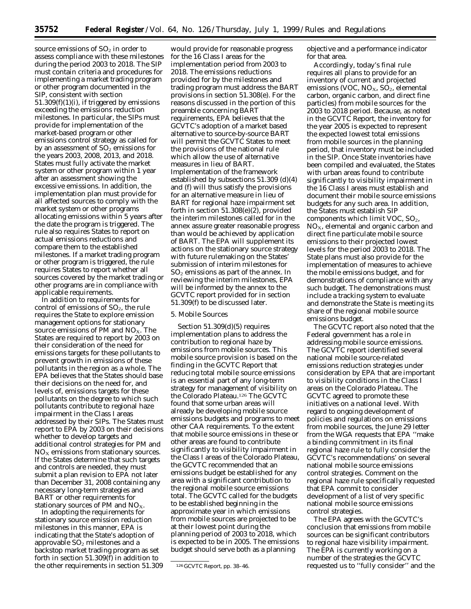source emissions of  $SO<sub>2</sub>$  in order to assess compliance with these milestones during the period 2003 to 2018. The SIP must contain criteria and procedures for implementing a market trading program or other program documented in the SIP, consistent with section 51.309(f)(1)(i), if triggered by emissions exceeding the emissions reduction milestones. In particular, the SIPs must provide for implementation of the market-based program or other emissions control strategy as called for by an assessment of  $SO<sub>2</sub>$  emissions for the years 2003, 2008, 2013, and 2018. States must fully activate the market system or other program within 1 year after an assessment showing the excessive emissions. In addition, the implementation plan must provide for all affected sources to comply with the market system or other programs allocating emissions within 5 years after the date the program is triggered. The rule also requires States to report on actual emissions reductions and compare them to the established milestones. If a market trading program or other program is triggered, the rule requires States to report whether all sources covered by the market trading or other programs are in compliance with applicable requirements.

In addition to requirements for control of emissions of SO<sub>2</sub>, the rule requires the State to explore emission management options for stationary source emissions of PM and NO<sub>X</sub>. The States are required to report by 2003 on their consideration of the need for emissions targets for these pollutants to prevent growth in emissions of these pollutants in the region as a whole. The EPA believes that the States should base their decisions on the need for, and levels of, emissions targets for these pollutants on the degree to which such pollutants contribute to regional haze impairment in the Class I areas addressed by their SIPs. The States must report to EPA by 2003 on their decisions whether to develop targets and additional control strategies for PM and  $NO<sub>X</sub>$  emissions from stationary sources. If the States determine that such targets and controls are needed, they must submit a plan revision to EPA not later than December 31, 2008 containing any necessary long-term strategies and BART or other requirements for stationary sources of PM and  $NO<sub>X</sub>$ .

In adopting the requirements for stationary source emission reduction milestones in this manner, EPA is indicating that the State's adoption of approvable  $SO<sub>2</sub>$  milestones and a backstop market trading program as set forth in section 51.309(f) in addition to the other requirements in section 51.309

would provide for reasonable progress for the 16 Class I areas for the implementation period from 2003 to 2018. The emissions reductions provided for by the milestones and trading program must address the BART provisions in section 51.308(e). For the reasons discussed in the portion of this preamble concerning BART requirements, EPA believes that the GCVTC's adoption of a market based alternative to source-by-source BART will permit the GCVTC States to meet the provisions of the national rule which allow the use of alternative measures in lieu of BART. Implementation of the framework established by subsections 51.309 (d)(4) and (f) will thus satisfy the provisions for an alternative measure in lieu of BART for regional haze impairment set forth in section 51.308(e)(2), provided the interim milestones called for in the annex assure greater reasonable progress than would be achieved by application of BART. The EPA will supplement its actions on the stationary source strategy with future rulemaking on the States' submission of interim milestones for  $SO<sub>2</sub>$  emissions as part of the annex. In reviewing the interim milestones, EPA will be informed by the annex to the GCVTC report provided for in section 51.309(f) to be discussed later.

#### 5. Mobile Sources

Section 51.309(d)(5) requires implementation plans to address the contribution to regional haze by emissions from mobile sources. This mobile source provision is based on the finding in the GCVTC Report that reducing total mobile source emissions is an essential part of any long-term strategy for management of visibility on the Colorado Plateau.126 The GCVTC found that some urban areas will already be developing mobile source emissions budgets and programs to meet other CAA requirements. To the extent that mobile source emissions in these or other areas are found to contribute significantly to visibility impairment in the Class I areas of the Colorado Plateau, the GCVTC recommended that an emissions budget be established for any area with a significant contribution to the regional mobile source emissions total. The GCVTC called for the budgets to be established beginning in the approximate year in which emissions from mobile sources are projected to be at their lowest point during the planning period of 2003 to 2018, which is expected to be in 2005. The emissions budget should serve both as a planning

objective and a performance indicator for that area.

Accordingly, today's final rule requires all plans to provide for an inventory of current and projected emissions (VOC,  $NO<sub>X</sub>$ ,  $SO<sub>2</sub>$ , elemental carbon, organic carbon, and direct fine particles) from mobile sources for the 2003 to 2018 period. Because, as noted in the GCVTC Report, the inventory for the year 2005 is expected to represent the expected lowest total emissions from mobile sources in the planning period, that inventory must be included in the SIP. Once State inventories have been compiled and evaluated, the States with urban areas found to contribute significantly to visibility impairment in the 16 Class I areas must establish and document their mobile source emissions budgets for any such area. In addition, the States must establish SIP components which limit VOC,  $SO<sub>2</sub>$ ,  $NO<sub>X</sub>$ , elemental and organic carbon and direct fine particulate mobile source emissions to their projected lowest levels for the period 2003 to 2018. The State plans must also provide for the implementation of measures to achieve the mobile emissions budget, and for demonstrations of compliance with any such budget. The demonstrations must include a tracking system to evaluate and demonstrate the State is meeting its share of the regional mobile source emissions budget.

The GCVTC report also noted that the Federal government has a role in addressing mobile source emissions. The GCVTC report identified several national mobile source-related emissions reduction strategies under consideration by EPA that are important to visibility conditions in the Class I areas on the Colorado Plateau. The GCVTC agreed to promote these initiatives on a national level. With regard to ongoing development of policies and regulations on emissions from mobile sources, the June 29 letter from the WGA requests that EPA ''make a binding commitment in its final regional haze rule to fully consider the GCVTC's recommendations' on several national mobile source emissions control strategies. Comment on the regional haze rule specifically requested that EPA commit to consider development of a list of very specific national mobile source emissions control strategies.

The EPA agrees with the GCVTC's conclusion that emissions from mobile sources can be significant contributors to regional haze visibility impairment. The EPA is currently working on a number of the strategies the GCVTC requested us to ''fully consider'' and the

<sup>126</sup> GCVTC Report, pp. 38–46.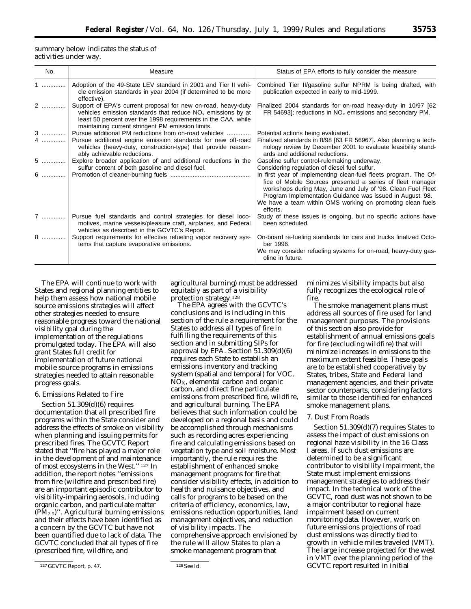summary below indicates the status of activities under way.

| No. | Measure                                                                                                                                                                                                                                              | Status of EPA efforts to fully consider the measure                                                                                                                                                                                                                                                                                   |
|-----|------------------------------------------------------------------------------------------------------------------------------------------------------------------------------------------------------------------------------------------------------|---------------------------------------------------------------------------------------------------------------------------------------------------------------------------------------------------------------------------------------------------------------------------------------------------------------------------------------|
| 1   | Adoption of the 49-State LEV standard in 2001 and Tier II vehi-<br>cle emission standards in year 2004 (if determined to be more<br>effective).                                                                                                      | Combined Tier II/gasoline sulfur NPRM is being drafted, with<br>publication expected in early to mid-1999.                                                                                                                                                                                                                            |
| 2   | Support of EPA's current proposal for new on-road, heavy-duty<br>vehicles emission standards that reduce $NOx$ emissions by at<br>least 50 percent over the 1998 requirements in the CAA, while<br>maintaining current stringent PM emission limits. | Finalized 2004 standards for on-road heavy-duty in 10/97 [62]<br>FR 54693]; reductions in $NOx$ emissions and secondary PM.                                                                                                                                                                                                           |
|     | 3  Pursue additional PM reductions from on-road vehicles                                                                                                                                                                                             | Potential actions being evaluated.                                                                                                                                                                                                                                                                                                    |
| 4   | Pursue additional engine emission standards for new off-road<br>vehicles (heavy-duty, construction-type) that provide reason-<br>ably achievable reductions.                                                                                         | Finalized standards in 8/98 [63 FR 56967]. Also planning a tech-<br>nology review by December 2001 to evaluate feasibility stand-<br>ards and additional reductions.                                                                                                                                                                  |
|     | 5    Explore broader application of and additional reductions in the<br>sulfur content of both gasoline and diesel fuel.                                                                                                                             | Gasoline sulfur control-rulemaking underway.<br>Considering regulation of diesel fuel sulfur.                                                                                                                                                                                                                                         |
|     |                                                                                                                                                                                                                                                      | In first year of implementing clean-fuel fleets program. The Of-<br>fice of Mobile Sources presented a series of fleet manager<br>workshops during May, June and July of '98. Clean Fuel Fleet<br>Program Implementation Guidance was issued in August '98.<br>We have a team within OMS working on promoting clean fuels<br>efforts. |
|     | 7  Pursue fuel standards and control strategies for diesel loco-<br>motives, marine vessels/pleasure craft, airplanes, and Federal<br>vehicles as described in the GCVTC's Report.                                                                   | Study of these issues is ongoing, but no specific actions have<br>been scheduled.                                                                                                                                                                                                                                                     |
| 8   | Support requirements for effective refueling vapor recovery sys-<br>tems that capture evaporative emissions.                                                                                                                                         | On-board re-fueling standards for cars and trucks finalized Octo-<br>ber 1996.                                                                                                                                                                                                                                                        |
|     |                                                                                                                                                                                                                                                      | We may consider refueling systems for on-road, heavy-duty gas-<br>oline in future.                                                                                                                                                                                                                                                    |

The EPA will continue to work with States and regional planning entities to help them assess how national mobile source emissions strategies will affect other strategies needed to ensure reasonable progress toward the national visibility goal during the implementation of the regulations promulgated today. The EPA will also grant States full credit for implementation of future national mobile source programs in emissions strategies needed to attain reasonable progress goals.

## 6. Emissions Related to Fire

Section 51.309(d)(6) requires documentation that all prescribed fire programs within the State consider and address the effects of smoke on visibility when planning and issuing permits for prescribed fires. The GCVTC Report stated that ''fire has played a major role in the development of and maintenance of most ecosystems in the West.'' 127 In addition, the report notes ''emissions from fire (wildfire and prescribed fire) are an important episodic contributor to visibility-impairing aerosols, including organic carbon, and particulate matter  $(PM_{2.5})$ ". Agricultural burning emissions and their effects have been identified as a concern by the GCVTC but have not been quantified due to lack of data. The GCVTC concluded that all types of fire (prescribed fire, wildfire, and

agricultural burning) must be addressed equitably as part of a visibility protection strategy.128

The EPA agrees with the GCVTC's conclusions and is including in this section of the rule a requirement for the States to address all types of fire in fulfilling the requirements of this section and in submitting SIPs for approval by EPA. Section 51.309(d)(6) requires each State to establish an emissions inventory and tracking system (spatial and temporal) for VOC,  $NO<sub>x</sub>$ , elemental carbon and organic carbon, and direct fine particulate emissions from prescribed fire, wildfire, and agricultural burning. The EPA believes that such information could be developed on a regional basis and could be accomplished through mechanisms such as recording acres experiencing fire and calculating emissions based on vegetation type and soil moisture. Most importantly, the rule requires the establishment of enhanced smoke management programs for fire that consider visibility effects, in addition to health and nuisance objectives, and calls for programs to be based on the criteria of efficiency, economics, law, emissions reduction opportunities, land management objectives, and reduction of visibility impacts. The comprehensive approach envisioned by the rule will allow States to plan a smoke management program that

minimizes visibility impacts but also fully recognizes the ecological role of fire.

The smoke management plans must address all sources of fire used for land management purposes. The provisions of this section also provide for establishment of annual emissions goals for fire (excluding wildfire) that will minimize increases in emissions to the maximum extent feasible. These goals are to be established cooperatively by States, tribes, State and Federal land management agencies, and their private sector counterparts, considering factors similar to those identified for enhanced smoke management plans.

## 7. Dust From Roads

Section 51.309(d)(7) requires States to assess the impact of dust emissions on regional haze visibility in the 16 Class I areas. If such dust emissions are determined to be a significant contributor to visibility impairment, the State must implement emissions management strategies to address their impact. In the technical work of the GCVTC, road dust was not shown to be a major contributor to regional haze impairment based on current monitoring data. However, work on future emissions projections of road dust emissions was directly tied to growth in vehicle miles traveled (VMT). The large increase projected for the west in VMT over the planning period of the GCVTC report resulted in initial

<sup>127</sup> GCVTC Report, p. 47. 128See Id.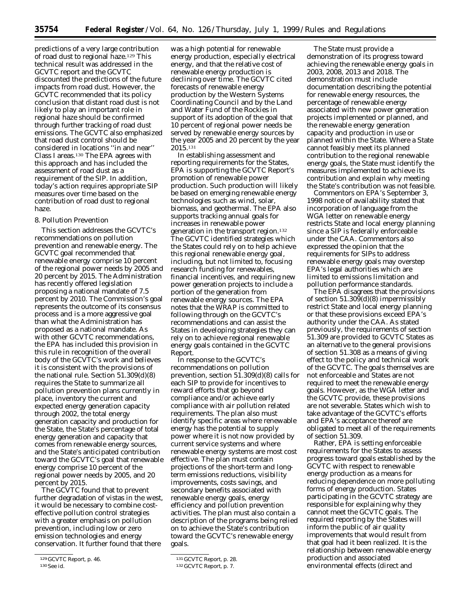predictions of a very large contribution of road dust to regional haze.129 This technical result was addressed in the GCVTC report and the GCVTC discounted the predictions of the future impacts from road dust. However, the GCVTC recommended that its policy conclusion that distant road dust is not likely to play an important role in regional haze should be confirmed through further tracking of road dust emissions. The GCVTC also emphasized that road dust control should be considered in locations ''in and near'' Class I areas.130 The EPA agrees with this approach and has included the assessment of road dust as a requirement of the SIP. In addition, today's action requires appropriate SIP measures over time based on the contribution of road dust to regional haze.

#### 8. Pollution Prevention

This section addresses the GCVTC's recommendations on pollution prevention and renewable energy. The GCVTC goal recommended that renewable energy comprise 10 percent of the regional power needs by 2005 and 20 percent by 2015. The Administration has recently offered legislation proposing a national mandate of 7.5 percent by 2010. The Commission's goal represents the outcome of its consensus process and is a more aggressive goal than what the Administration has proposed as a national mandate. As with other GCVTC recommendations, the EPA has included this provision in this rule in recognition of the overall body of the GCVTC's work and believes it is consistent with the provisions of the national rule. Section 51.309(d)(8) requires the State to summarize all pollution prevention plans currently in place, inventory the current and expected energy generation capacity through 2002, the total energy generation capacity and production for the State, the State's percentage of total energy generation and capacity that comes from renewable energy sources, and the State's anticipated contribution toward the GCVTC's goal that renewable energy comprise 10 percent of the regional power needs by 2005, and 20 percent by 2015.

The GCVTC found that to prevent further degradation of vistas in the west, it would be necessary to combine costeffective pollution control strategies with a greater emphasis on pollution prevention, including low or zero emission technologies and energy conservation. It further found that there

was a high potential for renewable energy production, especially electrical energy, and that the relative cost of renewable energy production is declining over time. The GCVTC cited forecasts of renewable energy production by the Western Systems Coordinating Council and by the Land and Water Fund of the Rockies in support of its adoption of the goal that 10 percent of regional power needs be served by renewable energy sources by the year 2005 and 20 percent by the year 2015.131

In establishing assessment and reporting requirements for the States, EPA is supporting the GCVTC Report's promotion of renewable power production. Such production will likely be based on emerging renewable energy technologies such as wind, solar, biomass, and geothermal. The EPA also supports tracking annual goals for increases in renewable power generation in the transport region.132 The GCVTC identified strategies which the States could rely on to help achieve this regional renewable energy goal, including, but not limited to, focusing research funding for renewables, financial incentives, and requiring new power generation projects to include a portion of the generation from renewable energy sources. The EPA notes that the WRAP is committed to following through on the GCVTC's recommendations and can assist the States in developing strategies they can rely on to achieve regional renewable energy goals contained in the GCVTC Report.

In response to the GCVTC's recommendations on pollution prevention, section 51.309(d)(8) calls for each SIP to provide for incentives to reward efforts that go beyond compliance and/or achieve early compliance with air pollution related requirements. The plan also must identify specific areas where renewable energy has the potential to supply power where it is not now provided by current service systems and where renewable energy systems are most cost effective. The plan must contain projections of the short-term and longterm emissions reductions, visibility improvements, costs savings, and secondary benefits associated with renewable energy goals, energy efficiency and pollution prevention activities. The plan must also contain a description of the programs being relied on to achieve the State's contribution toward the GCVTC's renewable energy goals.

The State must provide a demonstration of its progress toward achieving the renewable energy goals in 2003, 2008, 2013 and 2018. The demonstration must include documentation describing the potential for renewable energy resources, the percentage of renewable energy associated with new power generation projects implemented or planned, and the renewable energy generation capacity and production in use or planned within the State. Where a State cannot feasibly meet its planned contribution to the regional renewable energy goals, the State must identify the measures implemented to achieve its contribution and explain why meeting the State's contribution was not feasible.

Commentors on EPA's September 3, 1998 notice of availability stated that incorporation of language from the WGA letter on renewable energy restricts State and local energy planning since a SIP is federally enforceable under the CAA. Commentors also expressed the opinion that the requirements for SIPs to address renewable energy goals may overstep EPA's legal authorities which are limited to emissions limitation and pollution performance standards.

The EPA disagrees that the provisions of section 51.309(d)(8) impermissibly restrict State and local energy planning or that these provisions exceed EPA's authority under the CAA. As stated previously, the requirements of section 51.309 are provided to GCVTC States as an alternative to the general provisions of section 51.308 as a means of giving effect to the policy and technical work of the GCVTC. The goals themselves are not enforceable and States are not required to meet the renewable energy goals. However, as the WGA letter and the GCVTC provide, these provisions are not severable. States which wish to take advantage of the GCVTC's efforts and EPA's acceptance thereof are obligated to meet all of the requirements of section 51.309.

Rather, EPA is setting enforceable requirements for the States to assess progress toward goals established by the GCVTC with respect to renewable energy production as a means for reducing dependence on more polluting forms of energy production. States participating in the GCVTC strategy are responsible for explaining why they cannot meet the GCVTC goals. The required reporting by the States will inform the public of air quality improvements that would result from that goal had it been realized. It is the relationship between renewable energy production and associated environmental effects (direct and

<sup>129</sup> GCVTC Report, p. 46. 130See id.

<sup>131</sup> GCVTC Report, p. 28.

<sup>132</sup> GCVTC Report, p. 7.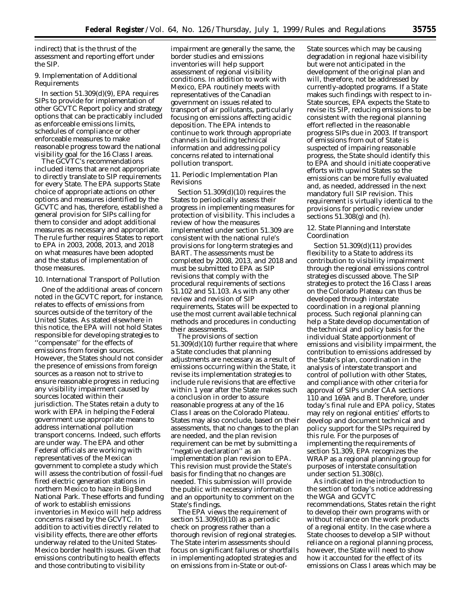indirect) that is the thrust of the assessment and reporting effort under the SIP.

## 9. Implementation of Additional Requirements

In section 51.309(d)(9), EPA requires SIPs to provide for implementation of other GCVTC Report policy and strategy options that can be practicably included as enforceable emissions limits, schedules of compliance or other enforceable measures to make reasonable progress toward the national visibility goal for the 16 Class I areas.

The GCVTC's recommendations included items that are not appropriate to directly translate to SIP requirements for every State. The EPA supports State choice of appropriate actions on other options and measures identified by the GCVTC and has, therefore, established a general provision for SIPs calling for them to consider and adopt additional measures as necessary and appropriate. The rule further requires States to report to EPA in 2003, 2008, 2013, and 2018 on what measures have been adopted and the status of implementation of those measures.

#### 10. International Transport of Pollution

One of the additional areas of concern noted in the GCVTC report, for instance, relates to effects of emissions from sources outside of the territory of the United States. As stated elsewhere in this notice, the EPA will not hold States responsible for developing strategies to ''compensate'' for the effects of emissions from foreign sources. However, the States should not consider the presence of emissions from foreign sources as a reason not to strive to ensure reasonable progress in reducing any visibility impairment caused by sources located within their jurisdiction. The States retain a duty to work with EPA in helping the Federal government use appropriate means to address international pollution transport concerns. Indeed, such efforts are under way. The EPA and other Federal officials are working with representatives of the Mexican government to complete a study which will assess the contribution of fossil-fuel fired electric generation stations in northern Mexico to haze in Big Bend National Park. These efforts and funding of work to establish emissions inventories in Mexico will help address concerns raised by the GCVTC. In addition to activities directly related to visibility effects, there are other efforts underway related to the United States-Mexico border health issues. Given that emissions contributing to health effects and those contributing to visibility

impairment are generally the same, the border studies and emissions inventories will help support assessment of regional visibility conditions. In addition to work with Mexico, EPA routinely meets with representatives of the Canadian government on issues related to transport of air pollutants, particularly focusing on emissions affecting acidic deposition. The EPA intends to continue to work through appropriate channels in building technical information and addressing policy concerns related to international pollution transport.

11. Periodic Implementation Plan Revisions

Section 51.309(d)(10) requires the States to periodically assess their progress in implementing measures for protection of visibility. This includes a review of how the measures implemented under section 51.309 are consistent with the national rule's provisions for long-term strategies and BART. The assessments must be completed by 2008, 2013, and 2018 and must be submitted to EPA as SIP revisions that comply with the procedural requirements of sections 51.102 and 51.103. As with any other review and revision of SIP requirements, States will be expected to use the most current available technical methods and procedures in conducting their assessments.

The provisions of section 51.309(d)(10) further require that where a State concludes that planning adjustments are necessary as a result of emissions occurring within the State, it revise its implementation strategies to include rule revisions that are effective within 1 year after the State makes such a conclusion in order to assure reasonable progress at any of the 16 Class I areas on the Colorado Plateau. States may also conclude, based on their assessments, that no changes to the plan are needed, and the plan revision requirement can be met by submitting a ''negative declaration'' as an implementation plan revision to EPA. This revision must provide the State's basis for finding that no changes are needed. This submission will provide the public with necessary information and an opportunity to comment on the State's findings.

The EPA views the requirement of section  $51.309(d)(10)$  as a periodic check on progress rather than a thorough revision of regional strategies. The State interim assessments should focus on significant failures or shortfalls in implementing adopted strategies and on emissions from in-State or out-ofState sources which may be causing degradation in regional haze visibility but were not anticipated in the development of the original plan and will, therefore, not be addressed by currently-adopted programs. If a State makes such findings with respect to in-State sources, EPA expects the State to revise its SIP, reducing emissions to be consistent with the regional planning effort reflected in the reasonable progress SIPs due in 2003. If transport of emissions from out of State is suspected of impairing reasonable progress, the State should identify this to EPA and should initiate cooperative efforts with upwind States so the emissions can be more fully evaluated and, as needed, addressed in the next mandatory full SIP revision. This requirement is virtually identical to the provisions for periodic review under sections 51.308(g) and (h).

#### 12. State Planning and Interstate Coordination

Section 51.309(d)(11) provides flexibility to a State to address its contribution to visibility impairment through the regional emissions control strategies discussed above. The SIP strategies to protect the 16 Class I areas on the Colorado Plateau can thus be developed through interstate coordination in a regional planning process. Such regional planning can help a State develop documentation of the technical and policy basis for the individual State apportionment of emissions and visibility impairment, the contribution to emissions addressed by the State's plan, coordination in the analysis of interstate transport and control of pollution with other States, and compliance with other criteria for approval of SIPs under CAA sections 110 and 169A and B. Therefore, under today's final rule and EPA policy, States may rely on regional entities' efforts to develop and document technical and policy support for the SIPs required by this rule. For the purposes of implementing the requirements of section 51.309, EPA recognizes the WRAP as a regional planning group for purposes of interstate consultation under section 51.308(c).

As indicated in the introduction to the section of today's notice addressing the WGA and GCVTC recommendations, States retain the right to develop their own programs with or without reliance on the work products of a regional entity. In the case where a State chooses to develop a SIP without reliance on a regional planning process, however, the State will need to show how it accounted for the effect of its emissions on Class I areas which may be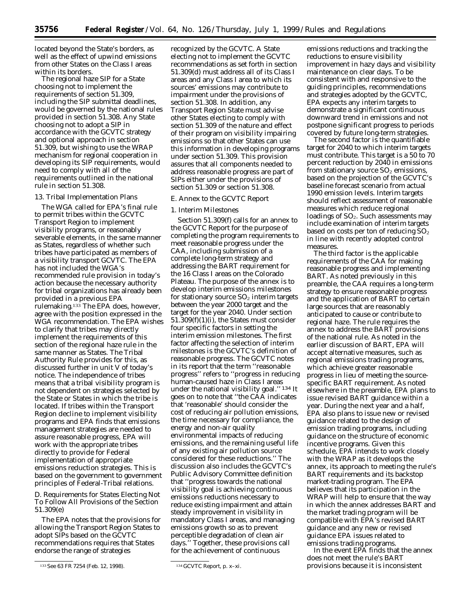located beyond the State's borders, as well as the effect of upwind emissions from other States on the Class I areas within its borders.

The regional haze SIP for a State choosing not to implement the requirements of section 51.309, including the SIP submittal deadlines, would be governed by the national rules provided in section 51.308. Any State choosing not to adopt a SIP in accordance with the GCVTC strategy and optional approach in section 51.309, but wishing to use the WRAP mechanism for regional cooperation in developing its SIP requirements, would need to comply with all of the requirements outlined in the national rule in section 51.308.

#### 13. Tribal Implementation Plans

The WGA called for EPA's final rule to permit tribes within the GCVTC Transport Region to implement visibility programs, or reasonably severable elements, in the same manner as States, regardless of whether such tribes have participated as members of a visibility transport GCVTC. The EPA has not included the WGA's recommended rule provision in today's action because the necessary authority for tribal organizations has already been provided in a previous EPA rulemaking.133 The EPA does, however, agree with the position expressed in the WGA recommendation. The EPA wishes to clarify that tribes may directly implement the requirements of this section of the regional haze rule in the same manner as States. The Tribal Authority Rule provides for this, as discussed further in unit V of today's notice. The independence of tribes means that a tribal visibility program is not dependent on strategies selected by the State or States in which the tribe is located. If tribes within the Transport Region decline to implement visibility programs and EPA finds that emissions management strategies are needed to assure reasonable progress, EPA will work with the appropriate tribes directly to provide for Federal implementation of appropriate emissions reduction strategies. This is based on the government to government principles of Federal-Tribal relations.

## *D. Requirements for States Electing Not To Follow All Provisions of the Section 51.309(e)*

The EPA notes that the provisions for allowing the Transport Region States to adopt SIPs based on the GCVTC recommendations requires that States endorse the range of strategies

recognized by the GCVTC. A State electing not to implement the GCVTC recommendations as set forth in section 51.309(d) must address all of its Class I areas and any Class I area to which its sources' emissions may contribute to impairment under the provisions of section 51.308. In addition, any Transport Region State must advise other States electing to comply with section 51.309 of the nature and effect of their program on visibility impairing emissions so that other States can use this information in developing programs under section 51.309. This provision assures that all components needed to address reasonable progress are part of SIPs either under the provisions of section 51.309 or section 51.308.

### *E. Annex to the GCVTC Report*

#### 1. Interim Milestones

Section 51.309(f) calls for an annex to the GCVTC Report for the purpose of completing the program requirements to meet reasonable progress under the CAA, including submission of a complete long-term strategy and addressing the BART requirement for the 16 Class I areas on the Colorado Plateau. The purpose of the annex is to develop interim emissions milestones for stationary source  $SO<sub>2</sub>$  interim targets between the year 2000 target and the target for the year 2040. Under section 51.309(f)(1)(i), the States must consider four specific factors in setting the interim emission milestones. The first factor affecting the selection of interim milestones is the GCVTC's definition of reasonable progress. The GCVTC notes in its report that the term ''reasonable progress'' refers to ''progress in reducing human-caused haze in Class I areas under the national visibility goal.'' 134 It goes on to note that ''the CAA indicates that 'reasonable' should consider the cost of reducing air pollution emissions, the time necessary for compliance, the energy and non-air quality environmental impacts of reducing emissions, and the remaining useful life of any existing air pollution source considered for these reductions.'' The discussion also includes the GCVTC's Public Advisory Committee definition that ''progress towards the national visibility goal is achieving continuous emissions reductions necessary to reduce existing impairment and attain steady improvement in visibility in mandatory Class I areas, and managing emissions growth so as to prevent perceptible degradation of clean air days.'' Together, these provisions call for the achievement of continuous

emissions reductions and tracking the reductions to ensure visibility improvement in hazy days and visibility maintenance on clear days. To be consistent with and responsive to the guiding principles, recommendations and strategies adopted by the GCVTC, EPA expects any interim targets to demonstrate a significant continuous downward trend in emissions and not postpone significant progress to periods covered by future long-term strategies.

The second factor is the quantifiable target for 2040 to which interim targets must contribute. This target is a 50 to 70 percent reduction by 2040 in emissions from stationary source  $SO<sub>2</sub>$  emissions, based on the projection of the GCVTC's baseline forecast scenario from actual 1990 emission levels. Interim targets should reflect assessment of reasonable measures which reduce regional loadings of  $SO<sub>2</sub>$ . Such assessments may include examination of interim targets based on costs per ton of reducing  $SO<sub>2</sub>$ in line with recently adopted control measures.

The third factor is the applicable requirements of the CAA for making reasonable progress and implementing BART. As noted previously in this preamble, the CAA requires a long-term strategy to ensure reasonable progress and the application of BART to certain large sources that are reasonably anticipated to cause or contribute to regional haze. The rule requires the annex to address the BART provisions of the national rule. As noted in the earlier discussion of BART, EPA will accept alternative measures, such as regional emissions trading programs, which achieve greater reasonable progress in lieu of meeting the sourcespecific BART requirement. As noted elsewhere in the preamble, EPA plans to issue revised BART guidance within a year. During the next year and a half, EPA also plans to issue new or revised guidance related to the design of emission trading programs, including guidance on the structure of economic incentive programs. Given this schedule, EPA intends to work closely with the WRAP as it develops the annex, its approach to meeting the rule's BART requirements and its backstop market-trading program. The EPA believes that its participation in the WRAP will help to ensure that the way in which the annex addresses BART and the market trading program will be compatible with EPA's revised BART guidance and any new or revised guidance EPA issues related to emissions trading programs.

In the event EPA finds that the annex does not meet the rule's BART provisions because it is inconsistent

<sup>133</sup>*See* 63 FR 7254 (Feb. 12, 1998). 134 GCVTC Report, p. x–xi.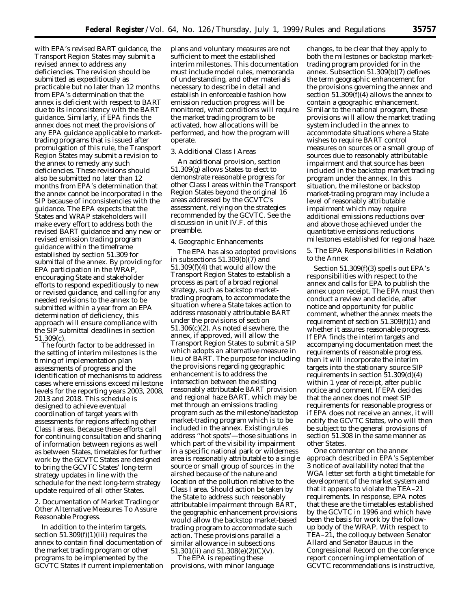with EPA's revised BART guidance, the Transport Region States may submit a revised annex to address any deficiencies. The revision should be submitted as expeditiously as practicable but no later than 12 months from EPA's determination that the annex is deficient with respect to BART due to its inconsistency with the BART guidance. Similarly, if EPA finds the annex does not meet the provisions of any EPA guidance applicable to markettrading programs that is issued after promulgation of this rule, the Transport Region States may submit a revision to the annex to remedy any such deficiencies. These revisions should also be submitted no later than 12 months from EPA's determination that the annex cannot be incorporated in the SIP because of inconsistencies with the guidance. The EPA expects that the States and WRAP stakeholders will make every effort to address both the revised BART guidance and any new or revised emission trading program guidance within the timeframe established by section 51.309 for submittal of the annex. By providing for EPA participation in the WRAP, encouraging State and stakeholder efforts to respond expeditiously to new or revised guidance, and calling for any needed revisions to the annex to be submitted within a year from an EPA determination of deficiency, this approach will ensure compliance with the SIP submittal deadlines in section 51.309(c).

The fourth factor to be addressed in the setting of interim milestones is the timing of implementation plan assessments of progress and the identification of mechanisms to address cases where emissions exceed milestone levels for the reporting years 2003, 2008, 2013 and 2018. This schedule is designed to achieve eventual coordination of target years with assessments for regions affecting other Class I areas. Because these efforts call for continuing consultation and sharing of information between regions as well as between States, timetables for further work by the GCVTC States are designed to bring the GCVTC States' long-term strategy updates in line with the schedule for the next long-term strategy update required of all other States.

2. Documentation of Market Trading or Other Alternative Measures To Assure Reasonable Progress.

In addition to the interim targets, section  $51.309(f)(1)(iii)$  requires the annex to contain final documentation of the market trading program or other programs to be implemented by the GCVTC States if current implementation plans and voluntary measures are not sufficient to meet the established interim milestones. This documentation must include model rules, memoranda of understanding, and other materials necessary to describe in detail and establish in enforceable fashion how emission reduction progress will be monitored, what conditions will require the market trading program to be activated, how allocations will be performed, and how the program will operate.

## 3. Additional Class I Areas

An additional provision, section 51.309(g) allows States to elect to demonstrate reasonable progress for other Class I areas within the Transport Region States beyond the original 16 areas addressed by the GCVTC's assessment, relying on the strategies recommended by the GCVTC. See the discussion in unit IV.F. of this preamble.

#### 4. Geographic Enhancements

The EPA has also adopted provisions in subsections 51.309(b)(7) and 51.309(f)(4) that would allow the Transport Region States to establish a process as part of a broad regional strategy, such as backstop markettrading program, to accommodate the situation where a State takes action to address reasonably attributable BART under the provisions of section 51.306(c)(2). As noted elsewhere, the annex, if approved, will allow the Transport Region States to submit a SIP which adopts an alternative measure in lieu of BART. The purpose for including the provisions regarding geographic enhancement is to address the intersection between the existing reasonably attributable BART provision and regional haze BART, which may be met through an emissions trading program such as the milestone/backstop market-trading program which is to be included in the annex. Existing rules address ''hot spots'—those situations in which part of the visibility impairment in a specific national park or wilderness area is reasonably attributable to a single source or small group of sources in the airshed because of the nature and location of the pollution relative to the Class I area. Should action be taken by the State to address such reasonably attributable impairment through BART, the geographic enhancement provisions would allow the backstop market-based trading program to accommodate such action. These provisions parallel a similar allowance in subsections 51.301(ii) and 51.308(e)(2)(C)(v).

The EPA is repeating these provisions, with minor language

changes, to be clear that they apply to both the milestones or backstop markettrading program provided for in the annex. Subsection 51.309(b)(7) defines the term geographic enhancement for the provisions governing the annex and section  $51.309(f)(4)$  allows the annex to contain a geographic enhancement. Similar to the national program, these provisions will allow the market trading system included in the annex to accommodate situations where a State wishes to require BART control measures on sources or a small group of sources due to reasonably attributable impairment and that source has been included in the backstop market trading program under the annex. In this situation, the milestone or backstop market-trading program may include a level of reasonably attributable impairment which may require additional emissions reductions over and above those achieved under the quantitative emissions reductions milestones established for regional haze.

5. The EPA Responsibilities in Relation to the Annex

Section 51.309(f)(3) spells out EPA's responsibilities with respect to the annex and calls for EPA to publish the annex upon receipt. The EPA must then conduct a review and decide, after notice and opportunity for public comment, whether the annex meets the requirement of section  $51.309(f)(1)$  and whether it assures reasonable progress. If EPA finds the interim targets and accompanying documentation meet the requirements of reasonable progress, then it will incorporate the interim targets into the stationary source SIP requirements in section 51.309(d)(4) within 1 year of receipt, after public notice and comment. If EPA decides that the annex does not meet SIP requirements for reasonable progress or if EPA does not receive an annex, it will notify the GCVTC States, who will then be subject to the general provisions of section 51.308 in the same manner as other States.

One commentor on the annex approach described in EPA's September 3 notice of availability noted that the WGA letter set forth a tight timetable for development of the market system and that it appears to violate the TEA–21 requirements. In response, EPA notes that these are the timetables established by the GCVTC in 1996 and which have been the basis for work by the followup body of the WRAP. With respect to TEA–21, the colloquy between Senator Allard and Senator Baucus in the Congressional Record on the conference report concerning implementation of GCVTC recommendations is instructive,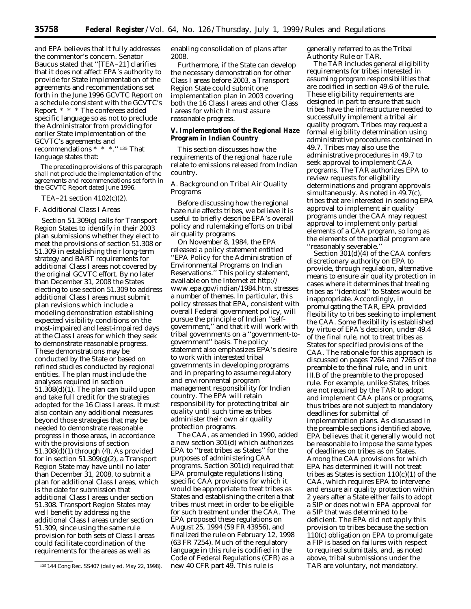and EPA believes that it fully addresses the commentor's concern. Senator Baucus stated that ''[TEA–21] clarifies that it does not affect EPA's authority to provide for State implementation of the agreements and recommendations set forth in the June 1996 GCVTC Report on a schedule consistent with the GCVTC's Report. \* \* \* The conferees added specific language so as not to preclude the Administrator from providing for earlier State implementation of the GCVTC's agreements and recommendations \* \* \*.'' 135 That

language states that:

The preceding provisions of this paragraph shall not preclude the implementation of the agreements and recommendations set forth in the GCVTC Report dated June 1996.

#### TEA–21 section 4102(c)(2).

#### *F. Additional Class I Areas*

Section 51.309(g) calls for Transport Region States to identify in their 2003 plan submissions whether they elect to meet the provisions of section 51.308 or 51.309 in establishing their long-term strategy and BART requirements for additional Class I areas not covered by the original GCVTC effort. By no later than December 31, 2008 the States electing to use section 51.309 to address additional Class I areas must submit plan revisions which include a modeling demonstration establishing expected visibility conditions on the most-impaired and least-impaired days at the Class I areas for which they seek to demonstrate reasonable progress. These demonstrations may be conducted by the State or based on refined studies conducted by regional entities. The plan must include the analyses required in section 51.308(d)(1). The plan can build upon and take full credit for the strategies adopted for the 16 Class I areas. It must also contain any additional measures beyond those strategies that may be needed to demonstrate reasonable progress in those areas, in accordance with the provisions of section 51.308(d)(1) through (4). As provided for in section 51.309(g)(2), a Transport Region State may have until no later than December 31, 2008, to submit a plan for additional Class I areas, which is the date for submission that additional Class I areas under section 51.308. Transport Region States may well benefit by addressing the additional Class I areas under section 51.309, since using the same rule provision for both sets of Class I areas could facilitate coordination of the requirements for the areas as well as

enabling consolidation of plans after 2008.

Furthermore, if the State can develop the necessary demonstration for other Class I areas before 2003, a Transport Region State could submit one implementation plan in 2003 covering both the 16 Class I areas and other Class I areas for which it must assure reasonable progress.

## **V. Implementation of the Regional Haze Program in Indian Country**

This section discusses how the requirements of the regional haze rule relate to emissions released from Indian country.

## *A. Background on Tribal Air Quality Programs*

Before discussing how the regional haze rule affects tribes, we believe it is useful to briefly describe EPA's overall policy and rulemaking efforts on tribal air quality programs.

On November 8, 1984, the EPA released a policy statement entitled ''EPA Policy for the Administration of Environmental Programs on Indian Reservations.'' This policy statement, available on the Internet at http:// www.epa.gov/indian/1984.htm, stresses a number of themes. In particular, this policy stresses that EPA, consistent with overall Federal government policy, will pursue the principle of Indian ''selfgovernment,'' and that it will work with tribal governments on a ''government-togovernment'' basis. The policy statement also emphasizes EPA's desire to work with interested tribal governments in developing programs and in preparing to assume regulatory and environmental program management responsibility for Indian country. The EPA will retain responsibility for protecting tribal air quality until such time as tribes administer their own air quality protection programs.

The CAA, as amended in 1990, added a new section 301(d) which authorizes EPA to ''treat tribes as States'' for the purposes of administering CAA programs. Section 301(d) required that EPA promulgate regulations listing specific CAA provisions for which it would be appropriate to treat tribes as States and establishing the criteria that tribes must meet in order to be eligible for such treatment under the CAA. The EPA proposed these regulations on August 25, 1994 (59 FR 43956), and finalized the rule on February 12, 1998 (63 FR 7254). Much of the regulatory language in this rule is codified in the Code of Federal Regulations (CFR) as a new 40 CFR part 49. This rule is

generally referred to as the Tribal Authority Rule or TAR.

The TAR includes general eligibility requirements for tribes interested in assuming program responsibilities that are codified in section 49.6 of the rule. These eligibility requirements are designed in part to ensure that such tribes have the infrastructure needed to successfully implement a tribal air quality program. Tribes may request a formal eligibility determination using administrative procedures contained in 49.7. Tribes may also use the administrative procedures in 49.7 to seek approval to implement CAA programs. The TAR authorizes EPA to review requests for eligibility determinations and program approvals simultaneously. As noted in 49.7(c), tribes that are interested in seeking EPA approval to implement air quality programs under the CAA may request approval to implement only partial elements of a CAA program, so long as the elements of the partial program are ''reasonably severable.''

Section 301(d)(4) of the CAA confers discretionary authority on EPA to provide, through regulation, alternative means to ensure air quality protection in cases where it determines that treating tribes as ''identical'' to States would be inappropriate. Accordingly, in promulgating the TAR, EPA provided flexibility to tribes seeking to implement the CAA. Some flexibility is established by virtue of EPA's decision, under 49.4 of the final rule, not to treat tribes as States for specified provisions of the CAA. The rationale for this approach is discussed on pages 7264 and 7265 of the preamble to the final rule, and in unit III.B of the preamble to the proposed rule. For example, unlike States, tribes are not required by the TAR to adopt and implement CAA plans or programs, thus tribes are not subject to mandatory deadlines for submittal of implementation plans. As discussed in the preamble sections identified above, EPA believes that it generally would not be reasonable to impose the same types of deadlines on tribes as on States. Among the CAA provisions for which EPA has determined it will not treat tribes as States is section  $110(c)(1)$  of the CAA, which requires EPA to intervene and ensure air quality protection within 2 years after a State either fails to adopt a SIP or does not win EPA approval for a SIP that was determined to be deficient. The EPA did not apply this provision to tribes because the section 110(c) obligation on EPA to promulgate a FIP is based on failures with respect to required submittals, and, as noted above, tribal submissions under the TAR are voluntary, not mandatory.

<sup>135</sup> 144 Cong Rec. SS407 (daily ed. May 22, 1998).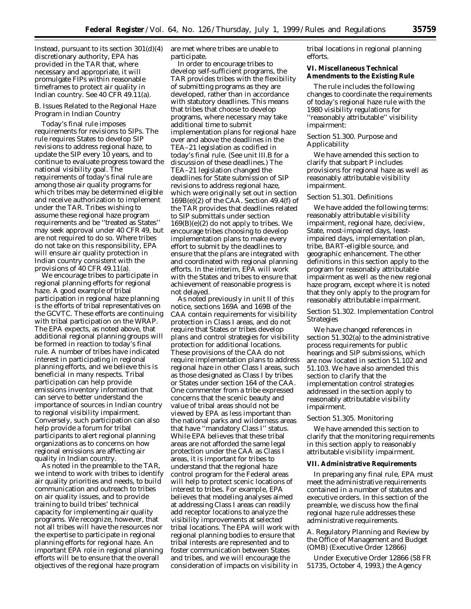Instead, pursuant to its section  $301(d)(4)$ discretionary authority, EPA has provided in the TAR that, where necessary and appropriate, it will promulgate FIPs within reasonable timeframes to protect air quality in Indian country. See 40 CFR 49.11(a).

## *B. Issues Related to the Regional Haze Program in Indian Country*

Today's final rule imposes requirements for revisions to SIPs. The rule requires States to develop SIP revisions to address regional haze, to update the SIP every 10 years, and to continue to evaluate progress toward the national visibility goal. The requirements of today's final rule are among those air quality programs for which tribes may be determined eligible and receive authorization to implement under the TAR. Tribes wishing to assume these regional haze program requirements and be ''treated as States'' may seek approval under 40 CFR 49, but are not required to do so. Where tribes do not take on this responsibility, EPA will ensure air quality protection in Indian country consistent with the provisions of 40 CFR 49.11(a).

We encourage tribes to participate in regional planning efforts for regional haze. A good example of tribal participation in regional haze planning is the efforts of tribal representatives on the GCVTC. These efforts are continuing with tribal participation on the WRAP. The EPA expects, as noted above, that additional regional planning groups will be formed in reaction to today's final rule. A number of tribes have indicated interest in participating in regional planning efforts, and we believe this is beneficial in many respects. Tribal participation can help provide emissions inventory information that can serve to better understand the importance of sources in Indian country to regional visibility impairment. Conversely, such participation can also help provide a forum for tribal participants to alert regional planning organizations as to concerns on how regional emissions are affecting air quality in Indian country.

As noted in the preamble to the TAR, we intend to work with tribes to identify air quality priorities and needs, to build communication and outreach to tribes on air quality issues, and to provide training to build tribes' technical capacity for implementing air quality programs. We recognize, however, that not all tribes will have the resources nor the expertise to participate in regional planning efforts for regional haze. An important EPA role in regional planning efforts will be to ensure that the overall objectives of the regional haze program

are met where tribes are unable to participate.

In order to encourage tribes to develop self-sufficient programs, the TAR provides tribes with the flexibility of submitting programs as they are developed, rather than in accordance with statutory deadlines. This means that tribes that choose to develop programs, where necessary may take additional time to submit implementation plans for regional haze over and above the deadlines in the TEA–21 legislation as codified in today's final rule. (See unit III.B for a discussion of these deadlines.) The TEA–21 legislation changed the deadlines for State submission of SIP revisions to address regional haze, which were originally set out in section 169B(e)(2) of the CAA. Section 49.4(f) of the TAR provides that deadlines related to SIP submittals under section 169(B)(e)(2) do not apply to tribes. We encourage tribes choosing to develop implementation plans to make every effort to submit by the deadlines to ensure that the plans are integrated with and coordinated with regional planning efforts. In the interim, EPA will work with the States and tribes to ensure that achievement of reasonable progress is not delayed.

As noted previously in unit II of this notice, sections 169A and 169B of the CAA contain requirements for visibility protection in Class I areas, and do not require that States or tribes develop plans and control strategies for visibility protection for additional locations. These provisions of the CAA do not require implementation plans to address regional haze in other Class I areas, such as those designated as Class I by tribes or States under section 164 of the CAA. One commenter from a tribe expressed concerns that the scenic beauty and value of tribal areas should not be viewed by EPA as less important than the national parks and wilderness areas that have ''mandatory Class I'' status. While EPA believes that these tribal areas are not afforded the same legal protection under the CAA as Class I areas, it is important for tribes to understand that the regional haze control program for the Federal areas will help to protect scenic locations of interest to tribes. For example, EPA believes that modeling analyses aimed at addressing Class I areas can readily add receptor locations to analyze the visibility improvements at selected tribal locations. The EPA will work with regional planning bodies to ensure that tribal interests are represented and to foster communication between States and tribes, and we will encourage the consideration of impacts on visibility in

tribal locations in regional planning efforts.

## **VI. Miscellaneous Technical Amendments to the Existing Rule**

The rule includes the following changes to coordinate the requirements of today's regional haze rule with the 1980 visibility regulations for ''reasonably attributable'' visibility impairment:

#### *Section 51.300. Purpose and Applicability*

We have amended this section to clarify that subpart P includes provisions for regional haze as well as reasonably attributable visibility impairment.

#### *Section 51.301. Definitions*

We have added the following terms: reasonably attributable visibility impairment, regional haze, deciview, State, most-impaired days, leastimpaired days, implementation plan, tribe, BART-eligible source, and geographic enhancement. The other definitions in this section apply to the program for reasonably attributable impairment as well as the new regional haze program, except where it is noted that they only apply to the program for reasonably attributable impairment.

## *Section 51.302. Implementation Control Strategies*

We have changed references in section 51.302(a) to the administrative process requirements for public hearings and SIP submissions, which are now located in section 51.102 and 51.103. We have also amended this section to clarify that the implementation control strategies addressed in the section apply to reasonably attributable visibility impairment.

#### *Section 51.305. Monitoring*

We have amended this section to clarify that the monitoring requirements in this section apply to reasonably attributable visibility impairment.

#### **VII. Administrative Requirements**

In preparing any final rule, EPA must meet the administrative requirements contained in a number of statutes and executive orders. In this section of the preamble, we discuss how the final regional haze rule addresses these administrative requirements.

## *A. Regulatory Planning and Review by the Office of Management and Budget (OMB) (Executive Order 12866)*

Under Executive Order 12866 (58 FR 51735, October 4, 1993,) the Agency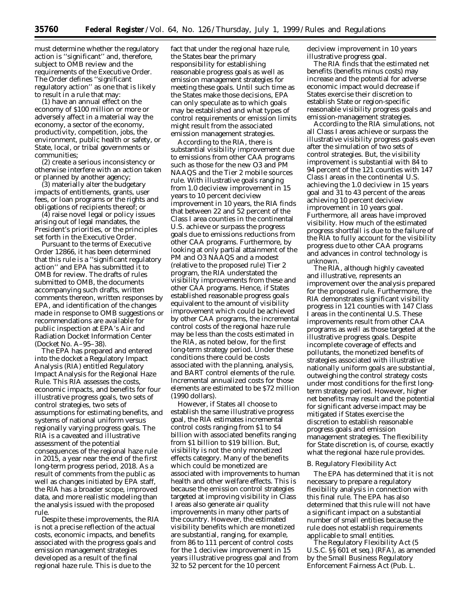must determine whether the regulatory action is ''significant'' and, therefore, subject to OMB review and the requirements of the Executive Order. The Order defines ''significant regulatory action'' as one that is likely to result in a rule that may:

(1) have an annual effect on the economy of \$100 million or more or adversely affect in a material way the economy, a sector of the economy, productivity, competition, jobs, the environment, public health or safety, or State, local, or tribal governments or communities;

(2) create a serious inconsistency or otherwise interfere with an action taken or planned by another agency;

(3) materially alter the budgetary impacts of entitlements, grants, user fees, or loan programs or the rights and obligations of recipients thereof; or

(4) raise novel legal or policy issues arising out of legal mandates, the President's priorities, or the principles set forth in the Executive Order.

Pursuant to the terms of Executive Order 12866, it has been determined that this rule is a ''significant regulatory action'' and EPA has submitted it to OMB for review. The drafts of rules submitted to OMB, the documents accompanying such drafts, written comments thereon, written responses by EPA, and identification of the changes made in response to OMB suggestions or recommendations are available for public inspection at EPA's Air and Radiation Docket Information Center (Docket No. A–95–38).

The EPA has prepared and entered into the docket a Regulatory Impact Analysis (RIA) entitled Regulatory Impact Analysis for the Regional Haze Rule. This RIA assesses the costs, economic impacts, and benefits for four illustrative progress goals, two sets of control strategies, two sets of assumptions for estimating benefits, and systems of national uniform versus regionally varying progress goals. The RIA is a caveated and illustrative assessment of the potential consequences of the regional haze rule in 2015, a year near the end of the first long-term progress period, 2018. As a result of comments from the public as well as changes initiated by EPA staff, the RIA has a broader scope, improved data, and more realistic modeling than the analysis issued with the proposed rule.

Despite these improvements, the RIA is not a precise reflection of the actual costs, economic impacts, and benefits associated with the progress goals and emission management strategies developed as a result of the final regional haze rule. This is due to the

fact that under the regional haze rule, the States bear the primary responsibility for establishing reasonable progress goals as well as emission management strategies for meeting these goals. Until such time as the States make those decisions, EPA can only speculate as to which goals may be established and what types of control requirements or emission limits might result from the associated emission management strategies.

According to the RIA, there is substantial visibility improvement due to emissions from other CAA programs such as those for the new O3 and PM NAAQS and the Tier 2 mobile sources rule. With illustrative goals ranging from 1.0 deciview improvement in 15 years to 10 percent deciview improvement in 10 years, the RIA finds that between 22 and 52 percent of the Class I area counties in the continental U.S. achieve or surpass the progress goals due to emissions reductions from other CAA programs. Furthermore, by looking at only partial attainment of the PM and O3 NAAQS and a modest (relative to the proposed rule) Tier 2 program, the RIA understated the visibility improvements from these and other CAA programs. Hence, if States established reasonable progress goals equivalent to the amount of visibility improvement which could be achieved by other CAA programs, the incremental control costs of the regional haze rule may be less than the costs estimated in the RIA, as noted below, for the first long-term strategy period. Under these conditions there could be costs associated with the planning, analysis, and BART control elements of the rule. Incremental annualized costs for those elements are estimated to be \$72 million (1990 dollars).

However, if States all choose to establish the same illustrative progress goal, the RIA estimates incremental control costs ranging from \$1 to \$4 billion with associated benefits ranging from \$1 billion to \$19 billion. But, visibility is not the only monetized effects category. Many of the benefits which could be monetized are associated with improvements to human health and other welfare effects. This is because the emission control strategies targeted at improving visibility in Class I areas also generate air quality improvements in many other parts of the country. However, the estimated visibility benefits which are monetized are substantial, ranging, for example, from 86 to 111 percent of control costs for the 1 deciview improvement in 15 years illustrative progress goal and from 32 to 52 percent for the 10 percent

deciview improvement in 10 years illustrative progress goal.

The RIA finds that the estimated net benefits (benefits minus costs) may increase and the potential for adverse economic impact would decrease if States exercise their discretion to establish State or region-specific reasonable visibility progress goals and emission-management strategies.

According to the RIA simulations, not all Class I areas achieve or surpass the illustrative visibility progress goals even after the simulation of two sets of control strategies. But, the visibility improvement is substantial with 84 to 94 percent of the 121 counties with 147 Class I areas in the continental U.S. achieving the 1.0 deciview in 15 years goal and 31 to 43 percent of the areas achieving 10 percent deciview improvement in 10 years goal. Furthermore, all areas have improved visibility. How much of the estimated progress shortfall is due to the failure of the RIA to fully account for the visibility progress due to other CAA programs and advances in control technology is unknown.

The RIA, although highly caveated and illustrative, represents an improvement over the analysis prepared for the proposed rule. Furthermore, the RIA demonstrates significant visibility progress in 121 counties with 147 Class I areas in the continental U.S. These improvements result from other CAA programs as well as those targeted at the illustrative progress goals. Despite incomplete coverage of effects and pollutants, the monetized benefits of strategies associated with illustrative nationally uniform goals are substantial, outweighing the control strategy costs under most conditions for the first longterm strategy period. However, higher net benefits may result and the potential for significant adverse impact may be mitigated if States exercise the discretion to establish reasonable progress goals and emission management strategies. The flexibility for State discretion is, of course, exactly what the regional haze rule provides.

#### *B. Regulatory Flexibility Act*

The EPA has determined that it is not necessary to prepare a regulatory flexibility analysis in connection with this final rule. The EPA has also determined that this rule will not have a significant impact on a substantial number of small entities because the rule does not establish requirements applicable to small entities.

The Regulatory Flexibility Act (5 U.S.C. §§ 601 et seq.) (RFA), as amended by the Small Business Regulatory Enforcement Fairness Act (Pub. L.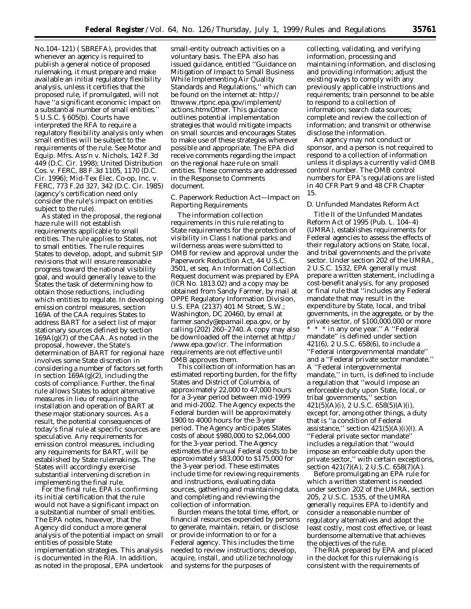No.104–121) ( SBREFA), provides that whenever an agency is required to publish a general notice of proposed rulemaking, it must prepare and make available an initial regulatory flexibility analysis, unless it certifies that the proposed rule, if promulgated, will not have ''a significant economic impact on a substantial number of small entities.'' 5 U.S.C. § 605(b). Courts have interpreted the RFA to require a regulatory flexibility analysis only when small entities will be subject to the requirements of the rule. See *Motor and Equip. Mfrs. Ass'n* v. *Nichols,* 142 F.3d 449 (D.C. Cir. 1998); *United Distribution Cos.* v. *FERC,* 88 F.3d 1105, 1170 (D.C. Cir. 1996); Mid-Tex Elec. Co-op, Inc. v. FERC, 773 F.2d 327, 342 (D.C. Cir. 1985) (agency's certification need only consider the rule's impact on entities subject to the rule).

As stated in the proposal, the regional haze rule will not establish requirements applicable to small entities. The rule applies to States, not to small entities. The rule requires States to develop, adopt, and submit SIP revisions that will ensure reasonable progress toward the national visibility goal, and would generally leave to the States the task of determining how to obtain those reductions, including which entities to regulate. In developing emission control measures, section 169A of the CAA requires States to address BART for a select list of major stationary sources defined by section  $169A(g)(7)$  of the CAA. As noted in the proposal, however, the State's determination of BART for regional haze involves some State discretion in considering a number of factors set forth in section  $169A(g)(2)$ , including the costs of compliance. Further, the final rule allows States to adopt alternative measures in lieu of requiring the installation and operation of BART at these major stationary sources. As a result, the potential consequences of today's final rule at specific sources are speculative. Any requirements for emission control measures, including any requirements for BART, will be established by State rulemakings. The States will accordingly exercise substantial intervening discretion in implementing the final rule.

For the final rule, EPA is confirming its initial certification that the rule would not have a significant impact on a substantial number of small entities. The EPA notes, however, that the Agency did conduct a more general analysis of the potential impact on small entities of possible State implementation strategies. This analysis is documented in the RIA. In addition, as noted in the proposal, EPA undertook

small-entity outreach activities on a voluntary basis. The EPA also has issued guidance, entitled ''Guidance on Mitigation of Impact to Small Business While Implementing Air Quality Standards and Regulations,'' which can be found on the internet at: http:// ttnwww.rtpnc.epa.gov/implement/ actions.htmιOther. This guidance outlines potential implementation strategies that would mitigate impacts on small sources and encourages States to make use of these strategies wherever possible and appropriate. The EPA did receive comments regarding the impact on the regional haze rule on small entities. These comments are addressed in the Response to Comments document.

#### *C. Paperwork Reduction Act—Impact on Reporting Requirements*

The information collection requirements in this rule relating to State requirements for the protection of visibility in Class I national parks and wilderness areas were submitted to OMB for review and approval under the Paperwork Reduction Act, 44 U.S.C. 3501, *et seq.* An Information Collection Request document was prepared by EPA (ICR No. 1813.02) and a copy may be obtained from Sandy Farmer, by mail at OPPE Regulatory Information Division, U.S. EPA (2137) 401 M Street, S.W.; Washington, DC 20460, by email at *farmer.sandy@epamail.epa.gov,* or by calling  $(202)$   $260-2740$ . A copy may also be downloaded off the internet at *http:/ /www.epa.gov/icr.* The information requirements are not effective until OMB approves them.

This collection of information has an estimated reporting burden, for the fifty States and District of Columbia, of approximately 22,000 to 47,000 hours for a 3-year period between mid-1999 and mid-2002. The Agency expects the Federal burden will be approximately 1900 to 4000 hours for the 3-year period. The Agency anticipates States costs of about \$980,000 to \$2,064,000 for the 3-year period. The Agency estimates the annual Federal costs to be approximately \$83,000 to \$175,000 for the 3-year period. These estimates include time for reviewing requirements and instructions, evaluating data sources, gathering and maintaining data, and completing and reviewing the collection of information.

Burden means the total time, effort, or financial resources expended by persons to generate, maintain, retain, or disclose or provide information to or for a Federal agency. This includes the time needed to review instructions; develop, acquire, install, and utilize technology and systems for the purposes of

collecting, validating, and verifying information, processing and maintaining information, and disclosing and providing information; adjust the existing ways to comply with any previously applicable instructions and requirements; train personnel to be able to respond to a collection of information; search data sources; complete and review the collection of information; and transmit or otherwise disclose the information.

An agency may not conduct or sponsor, and a person is not required to respond to a collection of information unless it displays a currently valid OMB control number. The OMB control numbers for EPA's regulations are listed in 40 CFR Part 9 and 48 CFR Chapter 15.

#### *D. Unfunded Mandates Reform Act*

Title II of the Unfunded Mandates Reform Act of 1995 (Pub. L. 104–4) (UMRA), establishes requirements for Federal agencies to assess the effects of their regulatory actions on State, local, and tribal governments and the private sector. Under section 202 of the UMRA, 2 U.S.C. 1532, EPA generally must prepare a written statement, including a cost-benefit analysis, for any proposed or final rule that ''includes any Federal mandate that may result in the expenditure by State, local, and tribal governments, in the aggregate, or by the private sector, of \$100,000,000 or more

\* \* \* in any one year.'' A ''Federal mandate'' is defined under section 421(6), 2 U.S.C. 658(6), to include a ''Federal intergovernmental mandate'' and a ''Federal private sector mandate.'' A ''Federal intergovernmental mandate,'' in turn, is defined to include a regulation that ''would impose an enforceable duty upon State, local, or tribal governments,'' section  $421(5)$ (A)(i), 2 U.S.C. 658(5)(A)(i), except for, among other things, a duty that is ''a condition of Federal assistance," section  $421(5)(A)(i)(I)$ . A ''Federal private sector mandate'' includes a regulation that ''would impose an enforceable duty upon the private sector,'' with certain exceptions, section 421(7)(A), 2 U.S.C. 658(7)(A).

Before promulgating an EPA rule for which a written statement is needed under section 202 of the UMRA, section 205, 2 U.S.C. 1535, of the UMRA generally requires EPA to identify and consider a reasonable number of regulatory alternatives and adopt the least costly, most cost effective, or least burdensome alternative that achieves the objectives of the rule.

The RIA prepared by EPA and placed in the docket for this rulemaking is consistent with the requirements of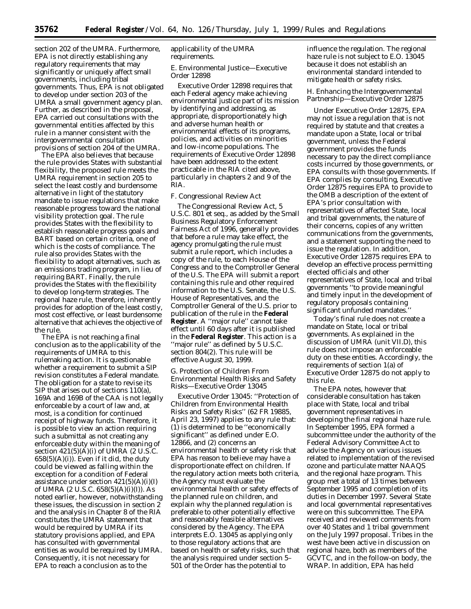section 202 of the UMRA. Furthermore, EPA is not directly establishing any regulatory requirements that may significantly or uniquely affect small governments, including tribal governments. Thus, EPA is not obligated to develop under section 203 of the UMRA a small government agency plan. Further, as described in the proposal, EPA carried out consultations with the governmental entities affected by this rule in a manner consistent with the intergovernmental consultation provisions of section 204 of the UMRA.

The EPA also believes that because the rule provides States with substantial flexibility, the proposed rule meets the UMRA requirement in section 205 to select the least costly and burdensome alternative in light of the statutory mandate to issue regulations that make reasonable progress toward the national visibility protection goal. The rule provides States with the flexibility to establish reasonable progress goals and BART based on certain criteria, one of which is the costs of compliance. The rule also provides States with the flexibility to adopt alternatives, such as an emissions trading program, in lieu of requiring BART. Finally, the rule provides the States with the flexibility to develop long-term strategies. The regional haze rule, therefore, inherently provides for adoption of the least costly, most cost effective, or least burdensome alternative that achieves the objective of the rule.

The EPA is not reaching a final conclusion as to the applicability of the requirements of UMRA to this rulemaking action. It is questionable whether a requirement to submit a SIP revision constitutes a Federal mandate. The obligation for a state to revise its SIP that arises out of sections 110(a), 169A and 169B of the CAA is not legally enforceable by a court of law and, at most, is a condition for continued receipt of highway funds. Therefore, it is possible to view an action requiring such a submittal as not creating any enforceable duty within the meaning of section  $421(5)(A)(i)$  of UMRA (2 U.S.C.  $658(5)(A)(i)$ . Even if it did, the duty could be viewed as falling within the exception for a condition of Federal assistance under section  $421(5)(A)(i)(I)$ of UMRA (2 U.S.C. 658(5)(A)(i)(I)). As noted earlier, however, notwithstanding these issues, the discussion in section 2 and the analysis in Chapter 8 of the RIA constitutes the UMRA statement that would be required by UMRA if its statutory provisions applied, and EPA has consulted with governmental entities as would be required by UMRA. Consequently, it is not necessary for EPA to reach a conclusion as to the

#### applicability of the UMRA requirements.

#### *E. Environmental Justice—Executive Order 12898*

Executive Order 12898 requires that each Federal agency make achieving environmental justice part of its mission by identifying and addressing, as appropriate, disproportionately high and adverse human health or environmental effects of its programs, policies, and activities on minorities and low-income populations. The requirements of Executive Order 12898 have been addressed to the extent practicable in the RIA cited above, particularly in chapters 2 and 9 of the RIA.

#### *F. Congressional Review Act*

The Congressional Review Act, 5 U.S.C. 801 *et seq.*, as added by the Small Business Regulatory Enforcement Fairness Act of 1996, generally provides that before a rule may take effect, the agency promulgating the rule must submit a rule report, which includes a copy of the rule, to each House of the Congress and to the Comptroller General of the U.S. The EPA will submit a report containing this rule and other required information to the U.S. Senate, the U.S. House of Representatives, and the Comptroller General of the U.S. prior to publication of the rule in the **Federal Register**. A ''major rule'' cannot take effect until 60 days after it is published in the **Federal Register**. This action is a ''major rule'' as defined by 5 U.S.C. section 804(2). This rule will be effective August 30, 1999.

### *G. Protection of Children From Environmental Health Risks and Safety Risks—Executive Order 13045*

Executive Order 13045: ''Protection of Children from Environmental Health Risks and Safety Risks'' (62 FR 19885, April 23, 1997) applies to any rule that: (1) is determined to be ''economically significant'' as defined under E.O. 12866, and (2) concerns an environmental health or safety risk that EPA has reason to believe may have a disproportionate effect on children. If the regulatory action meets both criteria, the Agency must evaluate the environmental health or safety effects of the planned rule on children, and explain why the planned regulation is preferable to other potentially effective and reasonably feasible alternatives considered by the Agency. The EPA interprets E.O. 13045 as applying only to those regulatory actions that are based on health or safety risks, such that the analysis required under section 5– 501 of the Order has the potential to

influence the regulation. The regional haze rule is not subject to E.O. 13045 because it does not establish an environmental standard intended to mitigate health or safety risks.

#### *H. Enhancing the Intergovernmental Partnership—Executive Order 12875*

Under Executive Order 12875, EPA may not issue a regulation that is not required by statute and that creates a mandate upon a State, local or tribal government, unless the Federal government provides the funds necessary to pay the direct compliance costs incurred by those governments, or EPA consults with those governments. If EPA complies by consulting, Executive Order 12875 requires EPA to provide to the OMB a description of the extent of EPA's prior consultation with representatives of affected State, local and tribal governments, the nature of their concerns, copies of any written communications from the governments, and a statement supporting the need to issue the regulation. In addition, Executive Order 12875 requires EPA to develop an effective process permitting elected officials and other representatives of State, local and tribal governments ''to provide meaningful and timely input in the development of regulatory proposals containing significant unfunded mandates.''

Today's final rule does not create a mandate on State, local or tribal governments. As explained in the discussion of UMRA (unit VII.D), this rule does not impose an enforceable duty on these entities. Accordingly, the requirements of section 1(a) of Executive Order 12875 do not apply to this rule.

The EPA notes, however that considerable consultation has taken place with State, local and tribal government representatives in developing the final regional haze rule. In September 1995, EPA formed a subcommittee under the authority of the Federal Advisory Committee Act to advise the Agency on various issues related to implementation of the revised ozone and particulate matter NAAQS and the regional haze program. This group met a total of 13 times between September 1995 and completion of its duties in December 1997. Several State and local governmental representatives were on this subcommittee. The EPA received and reviewed comments from over 40 States and 1 tribal government on the July 1997 proposal. Tribes in the west have been active in discussion on regional haze, both as members of the GCVTC, and in the follow-on body, the WRAP. In addition, EPA has held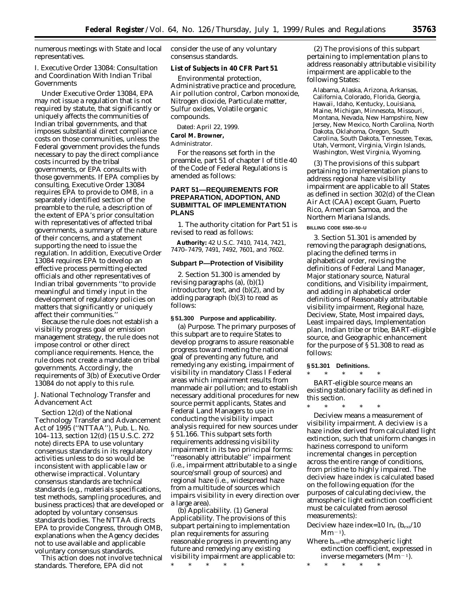numerous meetings with State and local representatives.

## *I. Executive Order 13084: Consultation and Coordination With Indian Tribal Governments*

Under Executive Order 13084, EPA may not issue a regulation that is not required by statute, that significantly or uniquely affects the communities of Indian tribal governments, and that imposes substantial direct compliance costs on those communities, unless the Federal government provides the funds necessary to pay the direct compliance costs incurred by the tribal governments, or EPA consults with those governments. If EPA complies by consulting, Executive Order 13084 requires EPA to provide to OMB, in a separately identified section of the preamble to the rule, a description of the extent of EPA's prior consultation with representatives of affected tribal governments, a summary of the nature of their concerns, and a statement supporting the need to issue the regulation. In addition, Executive Order 13084 requires EPA to develop an effective process permitting elected officials and other representatives of Indian tribal governments ''to provide meaningful and timely input in the development of regulatory policies on matters that significantly or uniquely affect their communities.''

Because the rule does not establish a visibility progress goal or emission management strategy, the rule does not impose control or other direct compliance requirements. Hence, the rule does not create a mandate on tribal governments. Accordingly, the requirements of 3(b) of Executive Order 13084 do not apply to this rule.

#### *J. National Technology Transfer and Advancement Act*

Section 12(d) of the National Technology Transfer and Advancement Act of 1995 (''NTTAA''), Pub. L. No. 104–113, section 12(d) (15 U.S.C. 272 note) directs EPA to use voluntary consensus standards in its regulatory activities unless to do so would be inconsistent with applicable law or otherwise impractical. Voluntary consensus standards are technical standards (e.g., materials specifications, test methods, sampling procedures, and business practices) that are developed or adopted by voluntary consensus standards bodies. The NTTAA directs EPA to provide Congress, through OMB, explanations when the Agency decides not to use available and applicable voluntary consensus standards.

This action does not involve technical standards. Therefore, EPA did not

consider the use of any voluntary consensus standards.

#### **List of Subjects in 40 CFR Part 51**

Environmental protection, Administrative practice and procedure, Air pollution control, Carbon monoxide, Nitrogen dioxide, Particulate matter, Sulfur oxides, Volatile organic compounds.

Dated: April 22, 1999.

## **Carol M. Browner,**

## *Administrator.*

For the reasons set forth in the preamble, part 51 of chapter I of title 40 of the Code of Federal Regulations is amended as follows:

## **PART 51—REQUIREMENTS FOR PREPARATION, ADOPTION, AND SUBMITTAL OF IMPLEMENTATION PLANS**

1. The authority citation for Part 51 is revised to read as follows:

**Authority:** 42 U.S.C. 7410, 7414, 7421, 7470–7479, 7491, 7492, 7601, and 7602.

#### **Subpart P—Protection of Visibility**

2. Section 51.300 is amended by revising paragraphs (a), (b)(1) introductory text, and (b)(2), and by adding paragraph (b)(3) to read as follows:

#### **§ 51.300 Purpose and applicability.**

(a) *Purpose.* The primary purposes of this subpart are to require States to develop programs to assure reasonable progress toward meeting the national goal of preventing any future, and remedying any existing, impairment of visibility in mandatory Class I Federal areas which impairment results from manmade air pollution; and to establish necessary additional procedures for new source permit applicants, States and Federal Land Managers to use in conducting the visibility impact analysis required for new sources under § 51.166. This subpart sets forth requirements addressing visibility impairment in its two principal forms: ''reasonably attributable'' impairment (i.e., impairment attributable to a single source/small group of sources) and regional haze (i.e., widespread haze from a multitude of sources which impairs visibility in every direction over a large area).

(b) *Applicability.* (1) *General Applicability.* The provisions of this subpart pertaining to implementation plan requirements for assuring reasonable progress in preventing any future and remedying any existing visibility impairment are applicable to:

\* \* \* \* \*

(2) The provisions of this subpart pertaining to implementation plans to address reasonably attributable visibility impairment are applicable to the following States:

Alabama, Alaska, Arizona, Arkansas, California, Colorado, Florida, Georgia, Hawaii, Idaho, Kentucky, Louisiana, Maine, Michigan, Minnesota, Missouri, Montana, Nevada, New Hampshire, New Jersey, New Mexico, North Carolina, North Dakota, Oklahoma, Oregon, South Carolina, South Dakota, Tennessee, Texas, Utah, Vermont, Virginia, Virgin Islands, Washington, West Virginia, Wyoming.

(3) The provisions of this subpart pertaining to implementation plans to address regional haze visibility impairment are applicable to all States as defined in section 302(d) of the Clean Air Act (CAA) except Guam, Puerto Rico, American Samoa, and the Northern Mariana Islands.

## **BILLING CODE 6560–50–U**

3. Section 51.301 is amended by removing the paragraph designations, placing the defined terms in alphabetical order, revising the definitions of *Federal Land Manager, Major stationary source, Natural conditions,* and *Visibility impairment,* and adding in alphabetical order definitions of *Reasonably attributable visibility impairment, Regional haze, Deciview, State, Most impaired days, Least impaired days, Implementation plan, Indian tribe* or *tribe, BART-eligible source,* and *Geographic enhancement for the purpose of § 51.308* to read as follows:

#### **§ 51.301 Definitions.**

\* \* \* \* \* *BART-eligible source* means an *existing stationary facility* as defined in this section.

\* \* \* \* \* *Deciview* means a measurement of visibility impairment. A deciview is a haze index derived from calculated light extinction, such that uniform changes in haziness correspond to uniform incremental changes in perception across the entire range of conditions, from pristine to highly impaired. The deciview haze index is calculated based on the following equation (for the purposes of calculating deciview, the atmospheric light extinction coefficient must be calculated from aerosol measurements):

Deciview haze index=10  $\ln_e (b_{ext}/10$  $Mm^{-1}$ ).

Where  $b_{\text{ext}}$ =the atmospheric light extinction coefficient, expressed in inverse megameters  $(Mm^{-1})$ .

\* \* \* \* \*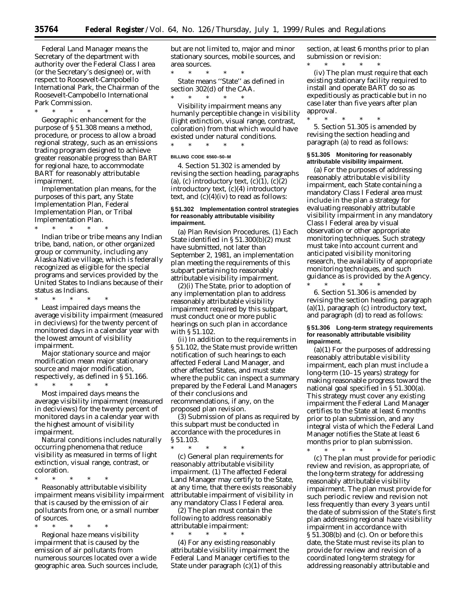*Federal Land Manager* means the Secretary of the department with authority over the Federal Class I area (or the Secretary's designee) or, with respect to Roosevelt-Campobello International Park, the Chairman of the Roosevelt-Campobello International Park Commission.

\* \* \* \* \* *Geographic enhancement for the purpose of § 51.308* means a method, procedure, or process to allow a broad regional strategy, such as an emissions trading program designed to achieve greater reasonable progress than BART for regional haze, to accommodate BART for reasonably attributable impairment.

*Implementation plan* means, for the purposes of this part, any State Implementation Plan, Federal Implementation Plan, or Tribal Implementation Plan.

\* \* \* \* \* *Indian tribe* or *tribe* means any Indian tribe, band, nation, or other organized group or community, including any Alaska Native village, which is federally recognized as eligible for the special programs and services provided by the United States to Indians because of their status as Indians.

\* \* \* \* \* *Least impaired days* means the average visibility impairment (measured in deciviews) for the twenty percent of monitored days in a calendar year with the lowest amount of visibility impairment.

*Major stationary source* and major modification mean major stationary source and major modification, respectively, as defined in § 51.166.

\* \* \* \* \*

*Most impaired days* means the average visibility impairment (measured in deciviews) for the twenty percent of monitored days in a calendar year with the highest amount of visibility impairment.

*Natural conditions* includes naturally occurring phenomena that reduce visibility as measured in terms of light extinction, visual range, contrast, or coloration.

\* \* \* \* \*

*Reasonably attributable visibility impairment* means visibility impairment that is caused by the emission of air pollutants from one, or a small number of sources.

\* \* \* \* \* *Regional haze* means visibility impairment that is caused by the emission of air pollutants from numerous sources located over a wide geographic area. Such sources include, but are not limited to, major and minor stationary sources, mobile sources, and area sources.

\* \* \* \* \* *State* means ''State'' as defined in section 302(d) of the CAA.

\* \* \* \* \* *Visibility impairment* means any humanly perceptible change in visibility

(light extinction, visual range, contrast, coloration) from that which would have existed under natural conditions.

\* \* \* \* \*

## **BILLING CODE 6560–50–M**

4. Section 51.302 is amended by revising the section heading, paragraphs (a), (c) introductory text,  $(c)(1)$ ,  $(c)(2)$ introductory text, (c)(4) introductory text, and  $(c)(4)(iv)$  to read as follows:

#### **§ 51.302 Implementation control strategies for reasonably attributable visibility impairment.**

(a) *Plan Revision Procedures.* (1) Each State identified in § 51.300(b)(2) must have submitted, not later than September 2, 1981, an implementation plan meeting the requirements of this subpart pertaining to reasonably attributable visibility impairment.

(2)(i) The State, prior to adoption of any implementation plan to address reasonably attributable visibility impairment required by this subpart, must conduct one or more public hearings on such plan in accordance with § 51.102.

(ii) In addition to the requirements in § 51.102, the State must provide written notification of such hearings to each affected Federal Land Manager, and other affected States, and must state where the public can inspect a summary prepared by the Federal Land Managers of their conclusions and recommendations, if any, on the proposed plan revision.

(3) Submission of plans as required by this subpart must be conducted in accordance with the procedures in § 51.103.

\* \* \* \* \*

(c) *General plan requirements for reasonably attributable visibility impairment.* (1) The affected Federal Land Manager may certify to the State, at any time, that there exists reasonably attributable impairment of visibility in any mandatory Class I Federal area.

(2) The plan must contain the following to address reasonably attributable impairment: \* \* \* \* \*

(4) For any existing reasonably attributable visibility impairment the Federal Land Manager certifies to the State under paragraph  $(c)(1)$  of this

section, at least 6 months prior to plan submission or revision:

\* \* \* \* \* (iv) The plan must require that each existing stationary facility required to install and operate BART do so as expeditiously as practicable but in no case later than five years after plan approval.

\* \* \* \* \* 5. Section 51.305 is amended by revising the section heading and paragraph (a) to read as follows:

#### **§ 51.305 Monitoring for reasonably attributable visibility impairment.**

(a) For the purposes of addressing reasonably attributable visibility impairment, each State containing a mandatory Class I Federal area must include in the plan a strategy for evaluating reasonably attributable visibility impairment in any mandatory Class I Federal area by visual observation or other appropriate monitoring techniques. Such strategy must take into account current and anticipated visibility monitoring research, the availability of appropriate monitoring techniques, and such guidance as is provided by the Agency.

\* \* \* \* \* 6. Section 51.306 is amended by revising the section heading, paragraph (a)(1), paragraph (c) introductory text, and paragraph (d) to read as follows:

#### **§ 51.306 Long-term strategy requirements for reasonably attributable visibility impairment.**

(a)(1) For the purposes of addressing reasonably attributable visibility impairment, each plan must include a long-term (10–15 years) strategy for making reasonable progress toward the national goal specified in § 51.300(a). This strategy must cover any existing impairment the Federal Land Manager certifies to the State at least 6 months prior to plan submission, and any integral vista of which the Federal Land Manager notifies the State at least 6 months prior to plan submission.

\* \* \* \* \* (c) The plan must provide for periodic review and revision, as appropriate, of the long-term strategy for addressing reasonably attributable visibility impairment. The plan must provide for such periodic review and revision not less frequently than every 3 years until the date of submission of the State's first plan addressing regional haze visibility impairment in accordance with § 51.308(b) and (c). On or before this date, the State must revise its plan to provide for review and revision of a coordinated long-term strategy for addressing reasonably attributable and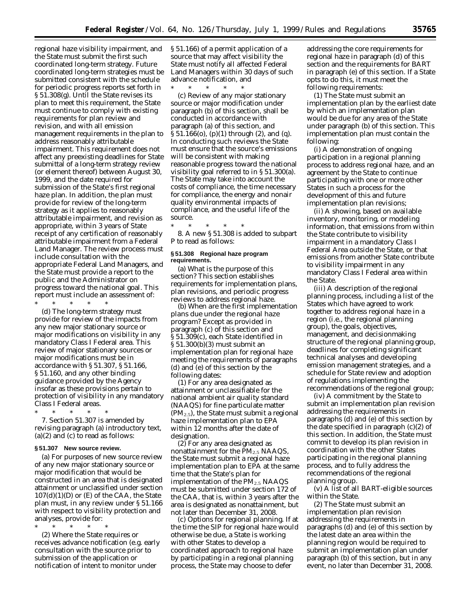regional haze visibility impairment, and the State must submit the first such coordinated long-term strategy. Future coordinated long-term strategies must be submitted consistent with the schedule for periodic progress reports set forth in § 51.308(g). Until the State revises its plan to meet this requirement, the State must continue to comply with existing requirements for plan review and revision, and with all emission management requirements in the plan to address reasonably attributable impairment. This requirement does not affect any preexisting deadlines for State submittal of a long-term strategy review (or element thereof) between August 30, 1999, and the date required for submission of the State's first regional haze plan. In addition, the plan must provide for review of the long-term strategy as it applies to reasonably attributable impairment, and revision as appropriate, within 3 years of State receipt of any certification of reasonably attributable impairment from a Federal Land Manager. The review process must include consultation with the appropriate Federal Land Managers, and the State must provide a report to the public and the Administrator on progress toward the national goal. This report must include an assessment of: \* \* \* \* \*

(d) The long-term strategy must provide for review of the impacts from any new major stationary source or major modifications on visibility in any mandatory Class I Federal area. This review of major stationary sources or major modifications must be in accordance with § 51.307, § 51.166, § 51.160, and any other binding guidance provided by the Agency insofar as these provisions pertain to protection of visibility in any mandatory Class I Federal areas.

\* \* \* \* \* 7. Section 51.307 is amended by revising paragraph (a) introductory text,  $(a)(2)$  and  $(c)$  to read as follows:

#### **§ 51.307 New source review.**

(a) For purposes of new source review of any new major stationary source or major modification that would be constructed in an area that is designated attainment or unclassified under section  $107(d)(1)(D)$  or  $(E)$  of the CAA, the State plan must, in any review under § 51.166 with respect to visibility protection and analyses, provide for:

\* \* \* \* \* (2) Where the State requires or receives advance notification (e.g. early consultation with the source prior to submission of the application or notification of intent to monitor under

§ 51.166) of a permit application of a source that may affect visibility the State must notify all affected Federal Land Managers within 30 days of such advance notification, and  $*$ 

\* \* \* \* \* (c) Review of any major stationary source or major modification under paragraph (b) of this section, shall be conducted in accordance with paragraph (a) of this section, and § 51.166(o), (p)(1) through (2), and (q). In conducting such reviews the State must ensure that the source's emissions will be consistent with making reasonable progress toward the national visibility goal referred to in § 51.300(a). The State may take into account the costs of compliance, the time necessary for compliance, the energy and nonair quality environmental impacts of compliance, and the useful life of the source.

\* \* \* \* \* 8. A new § 51.308 is added to subpart P to read as follows:

#### **§ 51.308 Regional haze program requirements.**

(a) *What is the purpose of this section?* This section establishes requirements for implementation plans, plan revisions, and periodic progress reviews to address regional haze.

(b) *When are the first implementation plans due under the regional haze program?* Except as provided in paragraph (c) of this section and § 51.309(c), each State identified in § 51.300(b)(3) must submit an implementation plan for regional haze meeting the requirements of paragraphs (d) and (e) of this section by the following dates:

(1) For any area designated as attainment or unclassifiable for the national ambient air quality standard (NAAQS) for fine particulate matter (PM2.5), the State must submit a regional haze implementation plan to EPA within 12 months after the date of designation.

(2) For any area designated as nonattainment for the PM<sub>2.5</sub> NAAQS, the State must submit a regional haze implementation plan to EPA at the same time that the State's plan for implementation of the  $PM<sub>2.5</sub> NAAGS$ must be submitted under section 172 of the CAA, that is, within 3 years after the area is designated as nonattainment, but not later than December 31, 2008.

(c) *Options for regional planning.* If at the time the SIP for regional haze would otherwise be due, a State is working with other States to develop a coordinated approach to regional haze by participating in a regional planning process, the State may choose to defer

addressing the core requirements for regional haze in paragraph (d) of this section and the requirements for BART in paragraph (e) of this section. If a State opts to do this, it must meet the following requirements:

(1) The State must submit an implementation plan by the earliest date by which an implementation plan would be due for any area of the State under paragraph (b) of this section. This implementation plan must contain the following:

(i) A demonstration of ongoing participation in a regional planning process to address regional haze, and an agreement by the State to continue participating with one or more other States in such a process for the development of this and future implementation plan revisions;

(ii) A showing, based on available inventory, monitoring, or modeling information, that emissions from within the State contribute to visibility impairment in a mandatory Class I Federal Area outside the State, or that emissions from another State contribute to visibility impairment in any mandatory Class I Federal area within the State.

(iii) A description of the regional planning process, including a list of the States which have agreed to work together to address regional haze in a region (i.e., the regional planning group), the goals, objectives, management, and decisionmaking structure of the regional planning group, deadlines for completing significant technical analyses and developing emission management strategies, and a schedule for State review and adoption of regulations implementing the recommendations of the regional group;

(iv) A commitment by the State to submit an implementation plan revision addressing the requirements in paragraphs (d) and (e) of this section by the date specified in paragraph (c)(2) of this section. In addition, the State must commit to develop its plan revision in coordination with the other States participating in the regional planning process, and to fully address the recommendations of the regional planning group.

(v) A list of all BART-eligible sources within the State.

(2) The State must submit an implementation plan revision addressing the requirements in paragraphs (d) and (e) of this section by the latest date an area within the planning region would be required to submit an implementation plan under paragraph (b) of this section, but in any event, no later than December 31, 2008.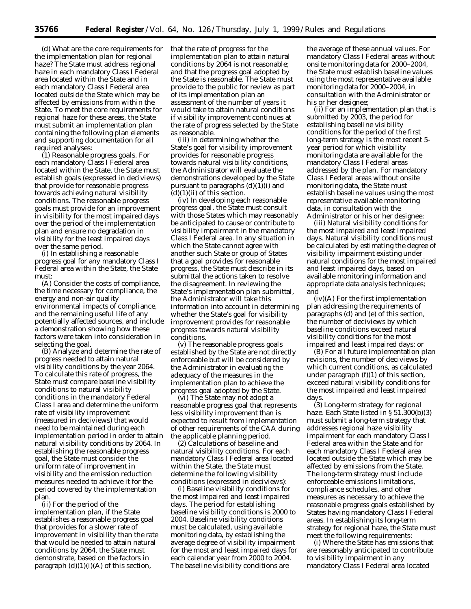(d) *What are the core requirements for the implementation plan for regional haze?* The State must address regional haze in each mandatory Class I Federal area located within the State and in each mandatory Class I Federal area located outside the State which may be affected by emissions from within the State. To meet the core requirements for regional haze for these areas, the State must submit an implementation plan containing the following plan elements and supporting documentation for all required analyses:

(1) *Reasonable progress goals.* For each mandatory Class I Federal area located within the State, the State must establish goals (expressed in deciviews) that provide for reasonable progress towards achieving natural visibility conditions. The reasonable progress goals must provide for an improvement in visibility for the most impaired days over the period of the implementation plan and ensure no degradation in visibility for the least impaired days over the same period.

(i) In establishing a reasonable progress goal for any mandatory Class I Federal area within the State, the State must:

(A) Consider the costs of compliance, the time necessary for compliance, the energy and non-air quality environmental impacts of compliance, and the remaining useful life of any potentially affected sources, and include a demonstration showing how these factors were taken into consideration in selecting the goal.

(B) Analyze and determine the rate of progress needed to attain natural visibility conditions by the year 2064. To calculate this rate of progress, the State must compare baseline visibility conditions to natural visibility conditions in the mandatory Federal Class I area and determine the uniform rate of visibility improvement (measured in deciviews) that would need to be maintained during each implementation period in order to attain natural visibility conditions by 2064. In establishing the reasonable progress goal, the State must consider the uniform rate of improvement in visibility and the emission reduction measures needed to achieve it for the period covered by the implementation plan.

(ii) For the period of the implementation plan, if the State establishes a reasonable progress goal that provides for a slower rate of improvement in visibility than the rate that would be needed to attain natural conditions by 2064, the State must demonstrate, based on the factors in paragraph  $(d)(1)(i)(A)$  of this section,

that the rate of progress for the implementation plan to attain natural conditions by 2064 is not reasonable; and that the progress goal adopted by the State is reasonable. The State must provide to the public for review as part of its implementation plan an assessment of the number of years it would take to attain natural conditions if visibility improvement continues at the rate of progress selected by the State as reasonable.

(iii) In determining whether the State's goal for visibility improvement provides for reasonable progress towards natural visibility conditions, the Administrator will evaluate the demonstrations developed by the State pursuant to paragraphs  $(d)(1)(i)$  and  $(d)(1)(ii)$  of this section.

(iv) In developing each reasonable progress goal, the State must consult with those States which may reasonably be anticipated to cause or contribute to visibility impairment in the mandatory Class I Federal area. In any situation in which the State cannot agree with another such State or group of States that a goal provides for reasonable progress, the State must describe in its submittal the actions taken to resolve the disagreement. In reviewing the State's implementation plan submittal, the Administrator will take this information into account in determining whether the State's goal for visibility improvement provides for reasonable progress towards natural visibility conditions.

(v) The reasonable progress goals established by the State are not directly enforceable but will be considered by the Administrator in evaluating the adequacy of the measures in the implementation plan to achieve the progress goal adopted by the State.

(vi) The State may not adopt a reasonable progress goal that represents less visibility improvement than is expected to result from implementation of other requirements of the CAA during the applicable planning period.

(2) *Calculations of baseline and natural visibility conditions.* For each mandatory Class I Federal area located within the State, the State must determine the following visibility conditions (expressed in deciviews):

(i) Baseline visibility conditions for the most impaired and least impaired days. The period for establishing baseline visibility conditions is 2000 to 2004. Baseline visibility conditions must be calculated, using available monitoring data, by establishing the average degree of visibility impairment for the most and least impaired days for each calendar year from 2000 to 2004. The baseline visibility conditions are

the average of these annual values. For mandatory Class I Federal areas without onsite monitoring data for 2000–2004, the State must establish baseline values using the most representative available monitoring data for 2000–2004, in consultation with the Administrator or his or her designee;

(ii) For an implementation plan that is submitted by 2003, the period for establishing baseline visibility conditions for the period of the first long-term strategy is the most recent 5 year period for which visibility monitoring data are available for the mandatory Class I Federal areas addressed by the plan. For mandatory Class I Federal areas without onsite monitoring data, the State must establish baseline values using the most representative available monitoring data, in consultation with the Administrator or his or her designee;

(iii) Natural visibility conditions for the most impaired and least impaired days. Natural visibility conditions must be calculated by estimating the degree of visibility impairment existing under natural conditions for the most impaired and least impaired days, based on available monitoring information and appropriate data analysis techniques; and

(iv)(A) For the first implementation plan addressing the requirements of paragraphs (d) and (e) of this section, the number of deciviews by which baseline conditions exceed natural visibility conditions for the most impaired and least impaired days; or

(B) For all future implementation plan revisions, the number of deciviews by which current conditions, as calculated under paragraph  $(f)(1)$  of this section, exceed natural visibility conditions for the most impaired and least impaired days.

(3) *Long-term strategy for regional haze.* Each State listed in § 51.300(b)(3) must submit a long-term strategy that addresses regional haze visibility impairment for each mandatory Class I Federal area within the State and for each mandatory Class I Federal area located outside the State which may be affected by emissions from the State. The long-term strategy must include enforceable emissions limitations, compliance schedules, and other measures as necessary to achieve the reasonable progress goals established by States having mandatory Class I Federal areas. In establishing its long-term strategy for regional haze, the State must meet the following requirements:

(i) Where the State has emissions that are reasonably anticipated to contribute to visibility impairment in any mandatory Class I Federal area located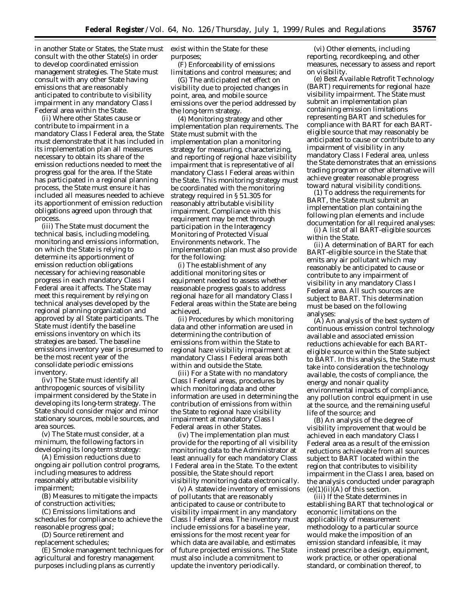in another State or States, the State must consult with the other State(s) in order to develop coordinated emission management strategies. The State must consult with any other State having emissions that are reasonably anticipated to contribute to visibility impairment in any mandatory Class I Federal area within the State.

(ii) Where other States cause or contribute to impairment in a mandatory Class I Federal area, the State must demonstrate that it has included in its implementation plan all measures necessary to obtain its share of the emission reductions needed to meet the progress goal for the area. If the State has participated in a regional planning process, the State must ensure it has included all measures needed to achieve its apportionment of emission reduction obligations agreed upon through that process.

(iii) The State must document the technical basis, including modeling, monitoring and emissions information, on which the State is relying to determine its apportionment of emission reduction obligations necessary for achieving reasonable progress in each mandatory Class I Federal area it affects. The State may meet this requirement by relying on technical analyses developed by the regional planning organization and approved by all State participants. The State must identify the baseline emissions inventory on which its strategies are based. The baseline emissions inventory year is presumed to be the most recent year of the consolidate periodic emissions inventory.

(iv) The State must identify all anthropogenic sources of visibility impairment considered by the State in developing its long-term strategy. The State should consider major and minor stationary sources, mobile sources, and area sources.

(v) The State must consider, at a minimum, the following factors in developing its long-term strategy:

(A) Emission reductions due to ongoing air pollution control programs, including measures to address reasonably attributable visibility impairment;

(B) Measures to mitigate the impacts of construction activities;

(C) Emissions limitations and schedules for compliance to achieve the reasonable progress goal;

(D) Source retirement and replacement schedules;

(E) Smoke management techniques for agricultural and forestry management purposes including plans as currently

exist within the State for these purposes;

(F) Enforceability of emissions limitations and control measures; and

(G) The anticipated net effect on visibility due to projected changes in point, area, and mobile source emissions over the period addressed by the long-term strategy.

(4) *Monitoring strategy and other implementation plan requirements.* The State must submit with the implementation plan a monitoring strategy for measuring, characterizing, and reporting of regional haze visibility impairment that is representative of all mandatory Class I Federal areas within the State. This monitoring strategy must be coordinated with the monitoring strategy required in § 51.305 for reasonably attributable visibility impairment. Compliance with this requirement may be met through participation in the Interagency Monitoring of Protected Visual Environments network. The implementation plan must also provide for the following:

(i) The establishment of any additional monitoring sites or equipment needed to assess whether reasonable progress goals to address regional haze for all mandatory Class I Federal areas within the State are being achieved.

(ii) Procedures by which monitoring data and other information are used in determining the contribution of emissions from within the State to regional haze visibility impairment at mandatory Class I Federal areas both within and outside the State.

(iii) For a State with no mandatory Class I Federal areas, procedures by which monitoring data and other information are used in determining the contribution of emissions from within the State to regional haze visibility impairment at mandatory Class I Federal areas in other States.

(iv) The implementation plan must provide for the reporting of all visibility monitoring data to the Administrator at least annually for each mandatory Class I Federal area in the State. To the extent possible, the State should report visibility monitoring data electronically.

(v) A statewide inventory of emissions of pollutants that are reasonably anticipated to cause or contribute to visibility impairment in any mandatory Class I Federal area. The inventory must include emissions for a baseline year, emissions for the most recent year for which data are available, and estimates of future projected emissions. The State must also include a commitment to update the inventory periodically.

(vi) Other elements, including reporting, recordkeeping, and other measures, necessary to assess and report on visibility.

(e) *Best Available Retrofit Technology (BART) requirements for regional haze visibility impairment.* The State must submit an implementation plan containing emission limitations representing BART and schedules for compliance with BART for each BARTeligible source that may reasonably be anticipated to cause or contribute to any impairment of visibility in any mandatory Class I Federal area, unless the State demonstrates that an emissions trading program or other alternative will achieve greater reasonable progress toward natural visibility conditions.

(1) To address the requirements for BART, the State must submit an implementation plan containing the following plan elements and include documentation for all required analyses:

(i) A list of all BART-eligible sources within the State.

(ii) A determination of BART for each BART-eligible source in the State that emits any air pollutant which may reasonably be anticipated to cause or contribute to any impairment of visibility in any mandatory Class I Federal area. All such sources are subject to BART. This determination must be based on the following analyses:

(A) An analysis of the best system of continuous emission control technology available and associated emission reductions achievable for each BARTeligible source within the State subject to BART. In this analysis, the State must take into consideration the technology available, the costs of compliance, the energy and nonair quality environmental impacts of compliance, any pollution control equipment in use at the source, and the remaining useful life of the source; and

(B) An analysis of the degree of visibility improvement that would be achieved in each mandatory Class I Federal area as a result of the emission reductions achievable from all sources subject to BART located within the region that contributes to visibility impairment in the Class I area, based on the analysis conducted under paragraph  $(e)(1)(ii)(A)$  of this section.

(iii) If the State determines in establishing BART that technological or economic limitations on the applicability of measurement methodology to a particular source would make the imposition of an emission standard infeasible, it may instead prescribe a design, equipment, work practice, or other operational standard, or combination thereof, to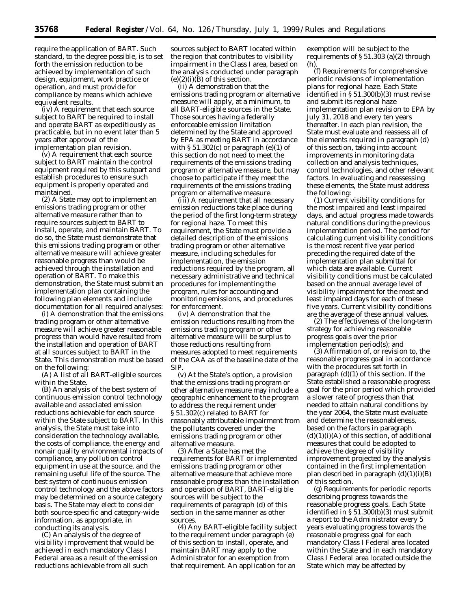require the application of BART. Such standard, to the degree possible, is to set forth the emission reduction to be achieved by implementation of such design, equipment, work practice or operation, and must provide for compliance by means which achieve equivalent results.

(iv) A requirement that each source subject to BART be required to install and operate BART as expeditiously as practicable, but in no event later than 5 years after approval of the implementation plan revision.

(v) A requirement that each source subject to BART maintain the control equipment required by this subpart and establish procedures to ensure such equipment is properly operated and maintained.

(2) A State may opt to implement an emissions trading program or other alternative measure rather than to require sources subject to BART to install, operate, and maintain BART. To do so, the State must demonstrate that this emissions trading program or other alternative measure will achieve greater reasonable progress than would be achieved through the installation and operation of BART. To make this demonstration, the State must submit an implementation plan containing the following plan elements and include documentation for all required analyses:

(i) A demonstration that the emissions trading program or other alternative measure will achieve greater reasonable progress than would have resulted from the installation and operation of BART at all sources subject to BART in the State. This demonstration must be based on the following:

(A) A list of all BART-eligible sources within the State.

(B) An analysis of the best system of continuous emission control technology available and associated emission reductions achievable for each source within the State subject to BART. In this analysis, the State must take into consideration the technology available, the costs of compliance, the energy and nonair quality environmental impacts of compliance, any pollution control equipment in use at the source, and the remaining useful life of the source. The best system of continuous emission control technology and the above factors may be determined on a source category basis. The State may elect to consider both source-specific and category-wide information, as appropriate, in conducting its analysis.

(C) An analysis of the degree of visibility improvement that would be achieved in each mandatory Class I Federal area as a result of the emission reductions achievable from all such

sources subject to BART located within the region that contributes to visibility impairment in the Class I area, based on the analysis conducted under paragraph  $(e)(2)(i)(B)$  of this section.

(ii) A demonstration that the emissions trading program or alternative measure will apply, at a minimum, to all BART-eligible sources in the State. Those sources having a federally enforceable emission limitation determined by the State and approved by EPA as meeting BART in accordance with  $\S 51.302(c)$  or paragraph (e)(1) of this section do not need to meet the requirements of the emissions trading program or alternative measure, but may choose to participate if they meet the requirements of the emissions trading program or alternative measure.

(iii) A requirement that all necessary emission reductions take place during the period of the first long-term strategy for regional haze. To meet this requirement, the State must provide a detailed description of the emissions trading program or other alternative measure, including schedules for implementation, the emission reductions required by the program, all necessary administrative and technical procedures for implementing the program, rules for accounting and monitoring emissions, and procedures for enforcement.

(iv) A demonstration that the emission reductions resulting from the emissions trading program or other alternative measure will be surplus to those reductions resulting from measures adopted to meet requirements of the CAA as of the baseline date of the SIP.

(v) At the State's option, a provision that the emissions trading program or other alternative measure may include a geographic enhancement to the program to address the requirement under § 51.302(c) related to BART for reasonably attributable impairment from the pollutants covered under the emissions trading program or other alternative measure.

(3) After a State has met the requirements for BART or implemented emissions trading program or other alternative measure that achieve more reasonable progress than the installation and operation of BART, BART-eligible sources will be subject to the requirements of paragraph (d) of this section in the same manner as other sources.

(4) Any BART-eligible facility subject to the requirement under paragraph (e) of this section to install, operate, and maintain BART may apply to the Administrator for an exemption from that requirement. An application for an

exemption will be subject to the requirements of § 51.303 (a)(2) through (h).

(f) *Requirements for comprehensive periodic revisions of implementation plans for regional haze.* Each State identified in § 51.300(b)(3) must revise and submit its regional haze implementation plan revision to EPA by July 31, 2018 and every ten years thereafter. In each plan revision, the State must evaluate and reassess all of the elements required in paragraph (d) of this section, taking into account improvements in monitoring data collection and analysis techniques, control technologies, and other relevant factors. In evaluating and reassessing these elements, the State must address the following:

(1) Current visibility conditions for the most impaired and least impaired days, and actual progress made towards natural conditions during the previous implementation period. The period for calculating current visibility conditions is the most recent five year period preceding the required date of the implementation plan submittal for which data are available. Current visibility conditions must be calculated based on the annual average level of visibility impairment for the most and least impaired days for each of these five years. Current visibility conditions are the average of these annual values.

(2) The effectiveness of the long-term strategy for achieving reasonable progress goals over the prior implementation period(s); and

(3) Affirmation of, or revision to, the reasonable progress goal in accordance with the procedures set forth in paragraph (d)(1) of this section. If the State established a reasonable progress goal for the prior period which provided a slower rate of progress than that needed to attain natural conditions by the year 2064, the State must evaluate and determine the reasonableness, based on the factors in paragraph  $(d)(1)(i)(A)$  of this section, of additional measures that could be adopted to achieve the degree of visibility improvement projected by the analysis contained in the first implementation plan described in paragraph  $(d)(1)(i)(B)$ of this section.

(g) *Requirements for periodic reports describing progress towards the reasonable progress goals.* Each State identified in  $\S 51.30\bar{0}$ (b)(3) must submit a report to the Administrator every 5 years evaluating progress towards the reasonable progress goal for each mandatory Class I Federal area located within the State and in each mandatory Class I Federal area located outside the State which may be affected by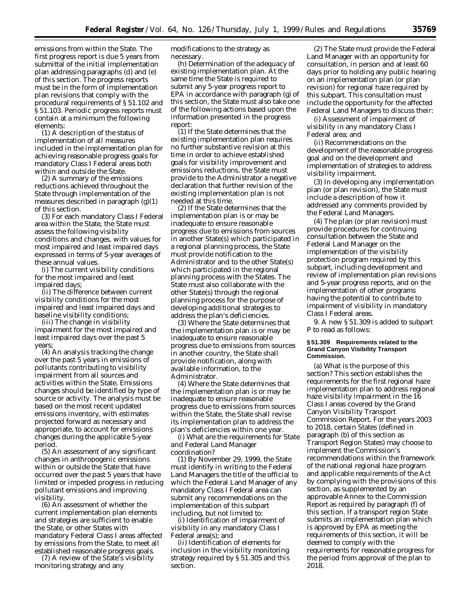emissions from within the State. The first progress report is due 5 years from submittal of the initial implementation plan addressing paragraphs (d) and (e) of this section. The progress reports must be in the form of implementation plan revisions that comply with the procedural requirements of § 51.102 and § 51.103. Periodic progress reports must contain at a minimum the following elements:

(1) A description of the status of implementation of all measures included in the implementation plan for achieving reasonable progress goals for mandatory Class I Federal areas both within and outside the State.

(2) A summary of the emissions reductions achieved throughout the State through implementation of the measures described in paragraph  $(g)(1)$ of this section.

(3) For each mandatory Class I Federal area within the State, the State must assess the following visibility conditions and changes, with values for most impaired and least impaired days expressed in terms of 5-year averages of these annual values.

(i) The current visibility conditions for the most impaired and least impaired days;

(ii) The difference between current visibility conditions for the most impaired and least impaired days and baseline visibility conditions;

(iii) The change in visibility impairment for the most impaired and least impaired days over the past 5 years;

(4) An analysis tracking the change over the past 5 years in emissions of pollutants contributing to visibility impairment from all sources and activities within the State. Emissions changes should be identified by type of source or activity. The analysis must be based on the most recent updated emissions inventory, with estimates projected forward as necessary and appropriate, to account for emissions changes during the applicable 5-year period.

(5) An assessment of any significant changes in anthropogenic emissions within or outside the State that have occurred over the past 5 years that have limited or impeded progress in reducing pollutant emissions and improving visibility.

(6) An assessment of whether the current implementation plan elements and strategies are sufficient to enable the State, or other States with mandatory Federal Class I areas affected by emissions from the State, to meet all established reasonable progress goals.

(7) A review of the State's visibility monitoring strategy and any

modifications to the strategy as necessary.

(h) *Determination of the adequacy of existing implementation plan.* At the same time the State is required to submit any 5-year progress report to EPA in accordance with paragraph (g) of this section, the State must also take one of the following actions based upon the information presented in the progress report:

(1) If the State determines that the existing implementation plan requires no further substantive revision at this time in order to achieve established goals for visibility improvement and emissions reductions, the State must provide to the Administrator a negative declaration that further revision of the existing implementation plan is not needed at this time.

(2) If the State determines that the implementation plan is or may be inadequate to ensure reasonable progress due to emissions from sources in another State(s) which participated in a regional planning process, the State must provide notification to the Administrator and to the other State(s) which participated in the regional planning process with the States. The State must also collaborate with the other State(s) through the regional planning process for the purpose of developing additional strategies to address the plan's deficiencies.

(3) Where the State determines that the implementation plan is or may be inadequate to ensure reasonable progress due to emissions from sources in another country, the State shall provide notification, along with available information, to the Administrator.

(4) Where the State determines that the implementation plan is or may be inadequate to ensure reasonable progress due to emissions from sources within the State, the State shall revise its implementation plan to address the plan's deficiencies within one year.

(i) *What are the requirements for State and Federal Land Manager coordination*?

(1) By November 29, 1999, the State must identify in writing to the Federal Land Managers the title of the official to which the Federal Land Manager of any mandatory Class I Federal area can submit any recommendations on the implementation of this subpart including, but not limited to:

(i) Identification of impairment of visibility in any mandatory Class I Federal area(s); and

(ii) Identification of elements for inclusion in the visibility monitoring strategy required by § 51.305 and this section.

(2) The State must provide the Federal Land Manager with an opportunity for consultation, in person and at least 60 days prior to holding any public hearing on an implementation plan (or plan revision) for regional haze required by this subpart. This consultation must include the opportunity for the affected Federal Land Managers to discuss their:

(i) Assessment of impairment of visibility in any mandatory Class I Federal area; and

(ii) Recommendations on the development of the reasonable progress goal and on the development and implementation of strategies to address visibility impairment.

(3) In developing any implementation plan (or plan revision), the State must include a description of how it addressed any comments provided by the Federal Land Managers.

(4) The plan (or plan revision) must provide procedures for continuing consultation between the State and Federal Land Manager on the implementation of the visibility protection program required by this subpart, including development and review of implementation plan revisions and 5-year progress reports, and on the implementation of other programs having the potential to contribute to impairment of visibility in mandatory Class I Federal areas.

9. A new § 51.309 is added to subpart P to read as follows:

#### **§ 51.309 Requirements related to the Grand Canyon Visibility Transport Commission.**

(a) *What is the purpose of this section*? This section establishes the requirements for the first regional haze implementation plan to address regional haze visibility impairment in the 16 Class I areas covered by the Grand Canyon Visibility Transport Commission Report. For the years 2003 to 2018, certain States (defined in paragraph (b) of this section as Transport Region States) may choose to implement the Commission's recommendations within the framework of the national regional haze program and applicable requirements of the Act by complying with the provisions of this section, as supplemented by an approvable Annex to the Commission Report as required by paragraph (f) of this section. If a transport region State submits an implementation plan which is approved by EPA as meeting the requirements of this section, it will be deemed to comply with the requirements for reasonable progress for the period from approval of the plan to 2018.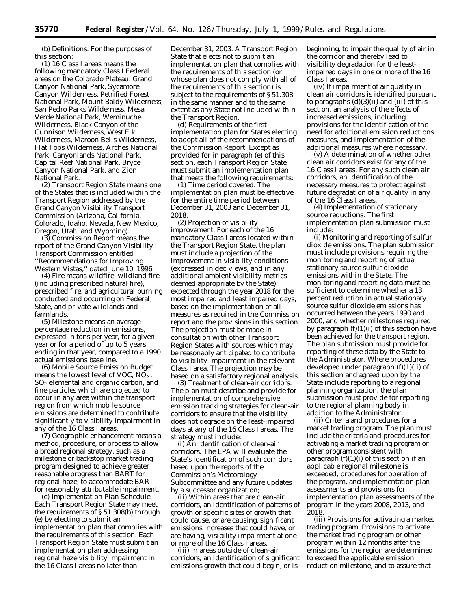(b) *Definitions.* For the purposes of this section:

(1) *16 Class I areas* means the following mandatory Class I Federal areas on the Colorado Plateau: Grand Canyon National Park, Sycamore Canyon Wilderness, Petrified Forest National Park, Mount Baldy Wilderness, San Pedro Parks Wilderness, Mesa Verde National Park, Weminuche Wilderness, Black Canyon of the Gunnison Wilderness, West Elk Wilderness, Maroon Bells Wilderness, Flat Tops Wilderness, Arches National Park, Canyonlands National Park, Capital Reef National Park, Bryce Canyon National Park, and Zion National Park.

(2) *Transport Region State* means one of the States that is included within the Transport Region addressed by the Grand Canyon Visibility Transport Commission (Arizona, California, Colorado, Idaho, Nevada, New Mexico, Oregon, Utah, and Wyoming).

(3) *Commission Report* means the report of the Grand Canyon Visibility Transport Commission entitled ''Recommendations for Improving Western Vistas,'' dated June 10, 1996.

(4) *Fire* means wildfire, wildland fire (including prescribed natural fire), prescribed fire, and agricultural burning conducted and occurring on Federal, State, and private wildlands and farmlands.

(5) *Milestone* means an average percentage reduction in emissions, expressed in tons per year, for a given year or for a period of up to 5 years ending in that year, compared to a 1990 actual emissions baseline.

(6) *Mobile Source Emission Budget* means the lowest level of VOC,  $NO<sub>X</sub>$ ,  $SO<sub>2</sub>$  elemental and organic carbon, and fine particles which are projected to occur in any area within the transport region from which mobile source emissions are determined to contribute significantly to visibility impairment in any of the 16 Class I areas.

(7) *Geographic enhancement* means a method, procedure, or process to allow a broad regional strategy, such as a milestone or backstop market trading program designed to achieve greater reasonable progress than BART for regional haze, to accommodate BART for reasonably attributable impairment.

(c) *Implementation Plan Schedule.* Each Transport Region State may meet the requirements of § 51.308(b) through (e) by electing to submit an implementation plan that complies with the requirements of this section. Each Transport Region State must submit an implementation plan addressing regional haze visibility impairment in the 16 Class I areas no later than

December 31, 2003. A Transport Region State that elects not to submit an implementation plan that complies with the requirements of this section (or whose plan does not comply with all of the requirements of this section) is subject to the requirements of § 51.308 in the same manner and to the same extent as any State not included within the Transport Region.

(d) *Requirements of the first implementation plan for States electing to adopt all of the recommendations of the Commission Report.* Except as provided for in paragraph (e) of this section, each Transport Region State must submit an implementation plan that meets the following requirements:

(1) *Time period covered.* The implementation plan must be effective for the entire time period between December 31, 2003 and December 31, 2018.

(2) *Projection of visibility improvement.* For each of the 16 mandatory Class I areas located within the Transport Region State, the plan must include a projection of the improvement in visibility conditions (expressed in deciviews, and in any additional ambient visibility metrics deemed appropriate by the State) expected through the year 2018 for the most impaired and least impaired days, based on the implementation of all measures as required in the Commission report and the provisions in this section. The projection must be made in consultation with other Transport Region States with sources which may be reasonably anticipated to contribute to visibility impairment in the relevant Class I area. The projection may be based on a satisfactory regional analysis.

(3) *Treatment of clean-air corridors.* The plan must describe and provide for implementation of comprehensive emission tracking strategies for clean-air corridors to ensure that the visibility does not degrade on the least-impaired days at any of the 16 Class I areas. The strategy must include:

(i) An identification of clean-air corridors. The EPA will evaluate the State's identification of such corridors based upon the reports of the Commission's Meteorology Subcommittee and any future updates by a successor organization;

(ii) Within areas that are clean-air corridors, an identification of patterns of growth or specific sites of growth that could cause, or are causing, significant emissions increases that could have, or are having, visibility impairment at one or more of the 16 Class I areas.

(iii) In areas outside of clean-air corridors, an identification of significant emissions growth that could begin, or is

beginning, to impair the quality of air in the corridor and thereby lead to visibility degradation for the leastimpaired days in one or more of the 16 Class I areas.

(iv) If impairment of air quality in clean air corridors is identified pursuant to paragraphs  $(d)(3)(ii)$  and  $(iii)$  of this section, an analysis of the effects of increased emissions, including provisions for the identification of the need for additional emission reductions measures, and implementation of the additional measures where necessary.

(v) A determination of whether other clean air corridors exist for any of the 16 Class I areas. For any such clean air corridors, an identification of the necessary measures to protect against future degradation of air quality in any of the 16 Class I areas.

(4) *Implementation of stationary source reductions.* The first implementation plan submission must include:

(i) Monitoring and reporting of sulfur dioxide emissions. The plan submission must include provisions requiring the monitoring and reporting of actual stationary source sulfur dioxide emissions within the State. The monitoring and reporting data must be sufficient to determine whether a 13 percent reduction in actual stationary source sulfur dioxide emissions has occurred between the years 1990 and 2000, and whether milestones required by paragraph  $(f)(1)(i)$  of this section have been achieved for the transport region. The plan submission must provide for reporting of these data by the State to the Administrator. Where procedures developed under paragraph (f)(1)(ii) of this section and agreed upon by the State include reporting to a regional planning organization, the plan submission must provide for reporting to the regional planning body in addition to the Administrator.

(ii) Criteria and procedures for a market trading program. The plan must include the criteria and procedures for activating a market trading program or other program consistent with paragraph  $(f)(1)(i)$  of this section if an applicable regional milestone is exceeded, procedures for operation of the program, and implementation plan assessments and provisions for implementation plan assessments of the program in the years 2008, 2013, and 2018.

(iii) Provisions for activating a market trading program. Provisions to activate the market trading program or other program within 12 months after the emissions for the region are determined to exceed the applicable emission reduction milestone, and to assure that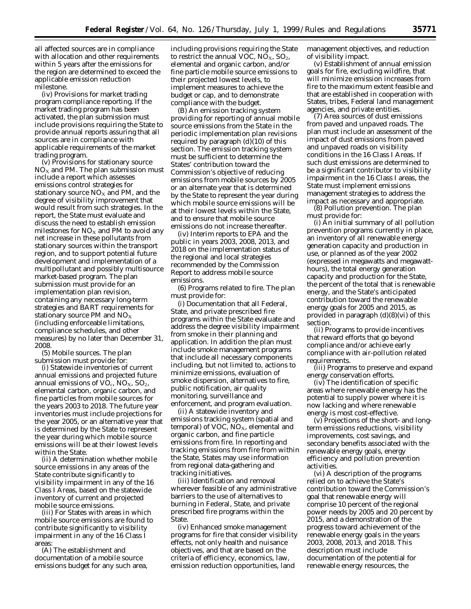all affected sources are in compliance with allocation and other requirements within 5 years after the emissions for the region are determined to exceed the applicable emission reduction milestone.

(iv) Provisions for market trading program compliance reporting. If the market trading program has been activated, the plan submission must include provisions requiring the State to provide annual reports assuring that all sources are in compliance with applicable requirements of the market trading program.

(v) Provisions for stationary source  $NO<sub>X</sub>$  and PM. The plan submission must include a report which assesses emissions control strategies for stationary source  $NO<sub>x</sub>$  and PM, and the degree of visibility improvement that would result from such strategies. In the report, the State must evaluate and discuss the need to establish emission milestones for  $NO<sub>X</sub>$  and PM to avoid any net increase in these pollutants from stationary sources within the transport region, and to support potential future development and implementation of a multipollutant and possibly multisource market-based program. The plan submission must provide for an implementation plan revision, containing any necessary long-term strategies and BART requirements for stationary source PM and  $NO_X$ (including enforceable limitations, compliance schedules, and other measures) by no later than December 31, 2008.

(5) *Mobile sources.* The plan submission must provide for:

(i) Statewide inventories of current annual emissions and projected future annual emissions of  $VO_c$ ,  $NO_X$ ,  $SO_2$ , elemental carbon, organic carbon, and fine particles from mobile sources for the years 2003 to 2018. The future year inventories must include projections for the year 2005, or an alternative year that is determined by the State to represent the year during which mobile source emissions will be at their lowest levels within the State.

(ii) A determination whether mobile source emissions in any areas of the State contribute significantly to visibility impairment in any of the 16 Class I Areas, based on the statewide inventory of current and projected mobile source emissions.

(iii) For States with areas in which mobile source emissions are found to contribute significantly to visibility impairment in any of the 16 Class I areas:

(A) The establishment and documentation of a mobile source emissions budget for any such area,

including provisions requiring the State to restrict the annual VOC,  $NO<sub>X</sub>$ ,  $SO<sub>2</sub>$ , elemental and organic carbon, and/or fine particle mobile source emissions to their projected lowest levels, to implement measures to achieve the budget or cap, and to demonstrate compliance with the budget.

(B) An emission tracking system providing for reporting of annual mobile source emissions from the State in the periodic implementation plan revisions required by paragraph (d)(10) of this section. The emission tracking system must be sufficient to determine the States' contribution toward the Commission's objective of reducing emissions from mobile sources by 2005 or an alternate year that is determined by the State to represent the year during which mobile source emissions will be at their lowest levels within the State, and to ensure that mobile source emissions do not increase thereafter.

(iv) Interim reports to EPA and the public in years 2003, 2008, 2013, and 2018 on the implementation status of the regional and local strategies recommended by the Commission Report to address mobile source emissions.

(6) *Programs related to fire.* The plan must provide for:

(i) Documentation that all Federal, State, and private prescribed fire programs within the State evaluate and address the degree visibility impairment from smoke in their planning and application. In addition the plan must include smoke management programs that include all necessary components including, but not limited to, actions to minimize emissions, evaluation of smoke dispersion, alternatives to fire, public notification, air quality monitoring, surveillance and enforcement, and program evaluation.

(ii) A statewide inventory and emissions tracking system (spatial and temporal) of VOC,  $NO<sub>X</sub>$ , elemental and organic carbon, and fine particle emissions from fire. In reporting and tracking emissions from fire from within the State, States may use information from regional data-gathering and tracking initiatives.

(iii) Identification and removal wherever feasible of any administrative barriers to the use of alternatives to burning in Federal, State, and private prescribed fire programs within the State.

(iv) Enhanced smoke management programs for fire that consider visibility effects, not only health and nuisance objectives, and that are based on the criteria of efficiency, economics, law, emission reduction opportunities, land

management objectives, and reduction of visibility impact.

(v) Establishment of annual emission goals for fire, excluding wildfire, that will minimize emission increases from fire to the maximum extent feasible and that are established in cooperation with States, tribes, Federal land management agencies, and private entities.

(7) *Area sources of dust emissions from paved and unpaved roads.* The plan must include an assessment of the impact of dust emissions from paved and unpaved roads on visibility conditions in the 16 Class I Areas. If such dust emissions are determined to be a significant contributor to visibility impairment in the 16 Class I areas, the State must implement emissions management strategies to address the impact as necessary and appropriate.

(8) *Pollution prevention.* The plan must provide for:

(i) An initial summary of all pollution prevention programs currently in place, an inventory of all renewable energy generation capacity and production in use, or planned as of the year 2002 (expressed in megawatts and megawatthours), the total energy generation capacity and production for the State, the percent of the total that is renewable energy, and the State's anticipated contribution toward the renewable energy goals for 2005 and 2015, as provided in paragraph (d)(8)(vi) of this section.

(ii) Programs to provide incentives that reward efforts that go beyond compliance and/or achieve early compliance with air-pollution related requirements.

(iii) Programs to preserve and expand energy conservation efforts.

(iv) The identification of specific areas where renewable energy has the potential to supply power where it is now lacking and where renewable energy is most cost-effective.

(v) Projections of the short- and longterm emissions reductions, visibility improvements, cost savings, and secondary benefits associated with the renewable energy goals, energy efficiency and pollution prevention activities.

(vi) A description of the programs relied on to achieve the State's contribution toward the Commission's goal that renewable energy will comprise 10 percent of the regional power needs by 2005 and 20 percent by 2015, and a demonstration of the progress toward achievement of the renewable energy goals in the years 2003, 2008, 2013, and 2018. This description must include documentation of the potential for renewable energy resources, the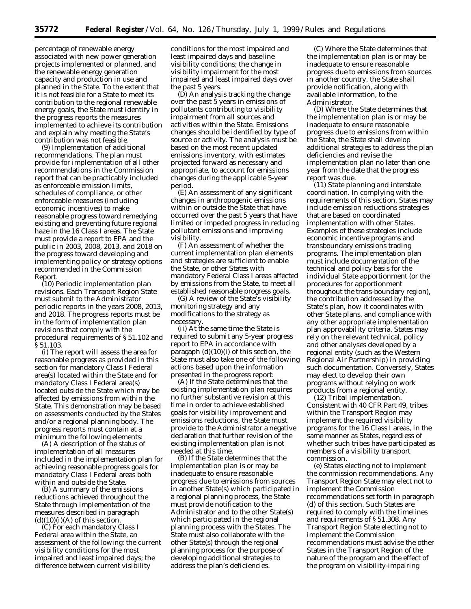percentage of renewable energy associated with new power generation projects implemented or planned, and the renewable energy generation capacity and production in use and planned in the State. To the extent that it is not feasible for a State to meet its contribution to the regional renewable energy goals, the State must identify in the progress reports the measures implemented to achieve its contribution and explain why meeting the State's contribution was not feasible.

(9) *Implementation of additional recommendations.* The plan must provide for implementation of all other recommendations in the Commission report that can be practicably included as enforceable emission limits, schedules of compliance, or other enforceable measures (including economic incentives) to make reasonable progress toward remedying existing and preventing future regional haze in the 16 Class I areas. The State must provide a report to EPA and the public in 2003, 2008, 2013, and 2018 on the progress toward developing and implementing policy or strategy options recommended in the Commission Report.

(10) *Periodic implementation plan revisions.* Each Transport Region State must submit to the Administrator periodic reports in the years 2008, 2013, and 2018. The progress reports must be in the form of implementation plan revisions that comply with the procedural requirements of § 51.102 and § 51.103.

(i) The report will assess the area for reasonable progress as provided in this section for mandatory Class I Federal area(s) located within the State and for mandatory Class I Federal area(s) located outside the State which may be affected by emissions from within the State. This demonstration may be based on assessments conducted by the States and/or a regional planning body. The progress reports must contain at a minimum the following elements:

(A) A description of the status of implementation of all measures included in the implementation plan for achieving reasonable progress goals for mandatory Class I Federal areas both within and outside the State.

(B) A summary of the emissions reductions achieved throughout the State through implementation of the measures described in paragraph  $(d)(10)(i)(A)$  of this section.

(C) For each mandatory Class I Federal area within the State, an assessment of the following: the current visibility conditions for the most impaired and least impaired days; the difference between current visibility

conditions for the most impaired and least impaired days and baseline visibility conditions; the change in visibility impairment for the most impaired and least impaired days over the past 5 years.

(D) An analysis tracking the change over the past 5 years in emissions of pollutants contributing to visibility impairment from all sources and activities within the State. Emissions changes should be identified by type of source or activity. The analysis must be based on the most recent updated emissions inventory, with estimates projected forward as necessary and appropriate, to account for emissions changes during the applicable 5-year period.

(E) An assessment of any significant changes in anthropogenic emissions within or outside the State that have occurred over the past 5 years that have limited or impeded progress in reducing pollutant emissions and improving visibility.

(F) An assessment of whether the current implementation plan elements and strategies are sufficient to enable the State, or other States with mandatory Federal Class I areas affected by emissions from the State, to meet all established reasonable progress goals.

(G) A review of the State's visibility monitoring strategy and any modifications to the strategy as necessary.

(ii) At the same time the State is required to submit any 5-year progress report to EPA in accordance with paragaph  $(d)(10)(i)$  of this section, the State must also take one of the following actions based upon the information presented in the progress report:

(A) If the State determines that the existing implementation plan requires no further substantive revision at this time in order to achieve established goals for visibility improvement and emissions reductions, the State must provide to the Administrator a negative declaration that further revision of the existing implementation plan is not needed at this time.

(B) If the State determines that the implementation plan is or may be inadequate to ensure reasonable progress due to emissions from sources in another State(s) which participated in a regional planning process, the State must provide notification to the Administrator and to the other State(s) which participated in the regional planning process with the States. The State must also collaborate with the other State(s) through the regional planning process for the purpose of developing additional strategies to address the plan's deficiencies.

(C) Where the State determines that the implementation plan is or may be inadequate to ensure reasonable progress due to emissions from sources in another country, the State shall provide notification, along with available information, to the Administrator.

(D) Where the State determines that the implementation plan is or may be inadequate to ensure reasonable progress due to emissions from within the State, the State shall develop additional strategies to address the plan deficiencies and revise the implementation plan no later than one year from the date that the progress report was due.

(11) *State planning and interstate coordination.* In complying with the requirements of this section, States may include emission reductions strategies that are based on coordinated implementation with other States. Examples of these strategies include economic incentive programs and transboundary emissions trading programs. The implementation plan must include documentation of the technical and policy basis for the individual State apportionment (or the procedures for apportionment throughout the trans-boundary region), the contribution addressed by the State's plan, how it coordinates with other State plans, and compliance with any other appropriate implementation plan approvability criteria. States may rely on the relevant technical, policy and other analyses developed by a regional entity (such as the Western Regional Air Partnership) in providing such documentation. Conversely, States may elect to develop their own programs without relying on work products from a regional entity.

(12) *Tribal implementation.* Consistent with 40 CFR Part 49, tribes within the Transport Region may implement the required visibility programs for the 16 Class I areas, in the same manner as States, regardless of whether such tribes have participated as members of a visibility transport commission.

(e) *States electing not to implement the commission recommendations.* Any Transport Region State may elect not to implement the Commission recommendations set forth in paragraph (d) of this section. Such States are required to comply with the timelines and requirements of § 51.308. Any Transport Region State electing not to implement the Commission recommendations must advise the other States in the Transport Region of the nature of the program and the effect of the program on visibility-impairing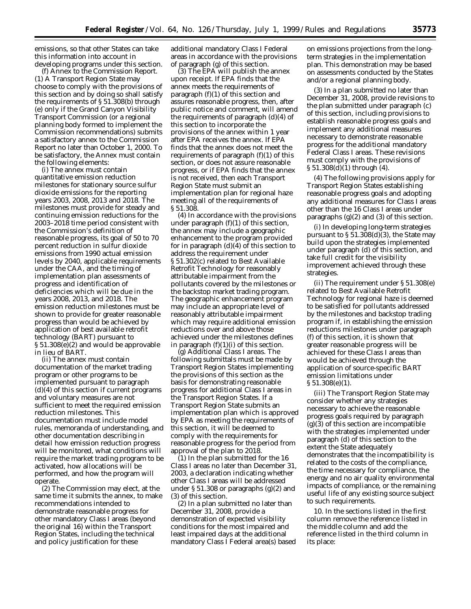emissions, so that other States can take this information into account in developing programs under this section.

(f) *Annex to the Commission Report.* (1) A Transport Region State may choose to comply with the provisions of this section and by doing so shall satisfy the requirements of § 51.308(b) through (e) only if the Grand Canyon Visibility Transport Commission (or a regional planning body formed to implement the Commission recommendations) submits a satisfactory annex to the Commission Report no later than October 1, 2000. To be satisfactory, the Annex must contain the following elements:

(i) The annex must contain quantitative emission reduction milestones for stationary source sulfur dioxide emissions for the reporting years 2003, 2008, 2013 and 2018. The milestones must provide for steady and continuing emission reductions for the 2003–2018 time period consistent with the Commission's definition of reasonable progress, its goal of 50 to 70 percent reduction in sulfur dioxide emissions from 1990 actual emission levels by 2040, applicable requirements under the CAA, and the timing of implementation plan assessments of progress and identification of deficiencies which will be due in the years 2008, 2013, and 2018. The emission reduction milestones must be shown to provide for greater reasonable progress than would be achieved by application of best available retrofit technology (BART) pursuant to § 51.308(e)(2) and would be approvable in lieu of BART.

(ii) The annex must contain documentation of the market trading program or other programs to be implemented pursuant to paragraph  $(d)(4)$  of this section if current programs and voluntary measures are not sufficient to meet the required emission reduction milestones. This documentation must include model rules, memoranda of understanding, and other documentation describing in detail how emission reduction progress will be monitored, what conditions will require the market trading program to be activated, how allocations will be performed, and how the program will operate.

(2) The Commission may elect, at the same time it submits the annex, to make recommendations intended to demonstrate reasonable progress for other mandatory Class I areas (beyond the original 16) within the Transport Region States, including the technical and policy justification for these

additional mandatory Class I Federal areas in accordance with the provisions of paragraph (g) of this section.

(3) The EPA will publish the annex upon receipt. If EPA finds that the annex meets the requirements of paragraph (f)(1) of this section and assures reasonable progress, then, after public notice and comment, will amend the requirements of paragraph (d)(4) of this section to incorporate the provisions of the annex within 1 year after EPA receives the annex. If EPA finds that the annex does not meet the requirements of paragraph (f)(1) of this section, or does not assure reasonable progress, or if EPA finds that the annex is not received, then each Transport Region State must submit an implementation plan for regional haze meeting all of the requirements of § 51.308.

(4) In accordance with the provisions under paragraph (f)(1) of this section, the annex may include a geographic enhancement to the program provided for in paragraph  $(d)(4)$  of this section to address the requirement under § 51.302(c) related to Best Available Retrofit Technology for reasonably attributable impairment from the pollutants covered by the milestones or the backstop market trading program. The geographic enhancement program may include an appropriate level of reasonably attributable impairment which may require additional emission reductions over and above those achieved under the milestones defines in paragraph  $(f)(1)(i)$  of this section.

(g) *Additional Class I areas.* The following submittals must be made by Transport Region States implementing the provisions of this section as the basis for demonstrating reasonable progress for additional Class I areas in the Transport Region States. If a Transport Region State submits an implementation plan which is approved by EPA as meeting the requirements of this section, it will be deemed to comply with the requirements for reasonable progress for the period from approval of the plan to 2018.

(1) In the plan submitted for the 16 Class I areas no later than December 31, 2003, a declaration indicating whether other Class I areas will be addressed under § 51.308 or paragraphs (g)(2) and (3) of this section.

(2) In a plan submitted no later than December 31, 2008, provide a demonstration of expected visibility conditions for the most impaired and least impaired days at the additional mandatory Class I Federal area(s) based on emissions projections from the longterm strategies in the implementation plan. This demonstration may be based on assessments conducted by the States and/or a regional planning body.

(3) In a plan submitted no later than December 31, 2008, provide revisions to the plan submitted under paragraph (c) of this section, including provisions to establish reasonable progress goals and implement any additional measures necessary to demonstrate reasonable progress for the additional mandatory Federal Class I areas. These revisions must comply with the provisions of § 51.308(d)(1) through (4).

(4) The following provisions apply for Transport Region States establishing reasonable progress goals and adopting any additional measures for Class I areas other than the 16 Class I areas under paragraphs  $(g)(2)$  and  $(3)$  of this section.

(i) In developing long-term strategies pursuant to  $\S 51.308(d)(3)$ , the State may build upon the strategies implemented under paragraph (d) of this section, and take full credit for the visibility improvement achieved through these strategies.

(ii) The requirement under § 51.308(e) related to Best Available Retrofit Technology for regional haze is deemed to be satisfied for pollutants addressed by the milestones and backstop trading program if, in establishing the emission reductions milestones under paragraph (f) of this section, it is shown that greater reasonable progress will be achieved for these Class I areas than would be achieved through the application of source-specific BART emission limitations under § 51.308(e)(1).

(iii) The Transport Region State may consider whether any strategies necessary to achieve the reasonable progress goals required by paragraph  $(g)(3)$  of this section are incompatible with the strategies implemented under paragraph (d) of this section to the extent the State adequately demonstrates that the incompatibility is related to the costs of the compliance, the time necessary for compliance, the energy and no air quality environmental impacts of compliance, or the remaining useful life of any existing source subject to such requirements.

10. In the sections listed in the first column remove the reference listed in the middle column and add the reference listed in the third column in its place: